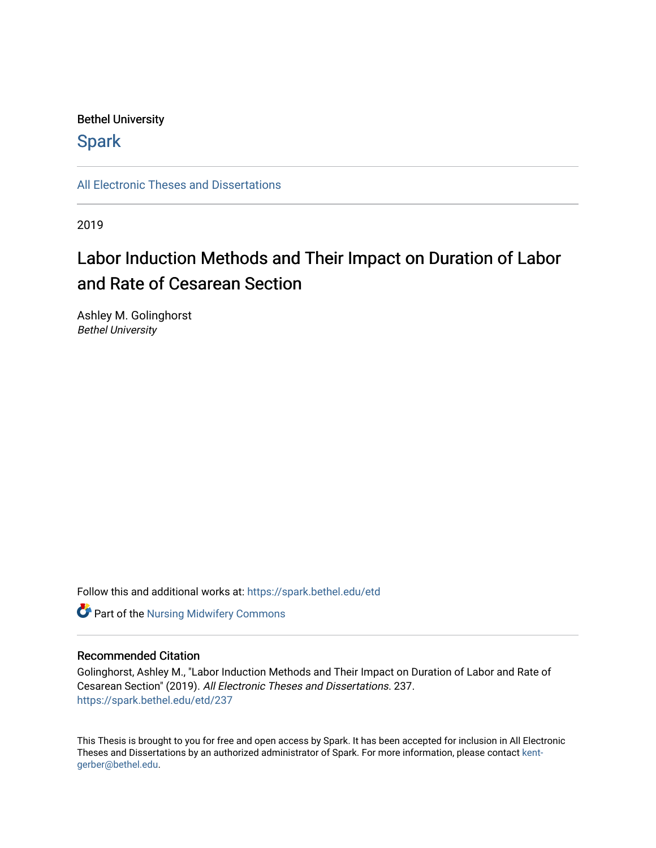## Bethel University

## **Spark**

[All Electronic Theses and Dissertations](https://spark.bethel.edu/etd) 

2019

# Labor Induction Methods and Their Impact on Duration of Labor and Rate of Cesarean Section

Ashley M. Golinghorst Bethel University

Follow this and additional works at: [https://spark.bethel.edu/etd](https://spark.bethel.edu/etd?utm_source=spark.bethel.edu%2Fetd%2F237&utm_medium=PDF&utm_campaign=PDFCoverPages)

**Part of the Nursing Midwifery Commons** 

#### Recommended Citation

Golinghorst, Ashley M., "Labor Induction Methods and Their Impact on Duration of Labor and Rate of Cesarean Section" (2019). All Electronic Theses and Dissertations. 237. [https://spark.bethel.edu/etd/237](https://spark.bethel.edu/etd/237?utm_source=spark.bethel.edu%2Fetd%2F237&utm_medium=PDF&utm_campaign=PDFCoverPages)

This Thesis is brought to you for free and open access by Spark. It has been accepted for inclusion in All Electronic Theses and Dissertations by an authorized administrator of Spark. For more information, please contact [kent](mailto:kent-gerber@bethel.edu)[gerber@bethel.edu.](mailto:kent-gerber@bethel.edu)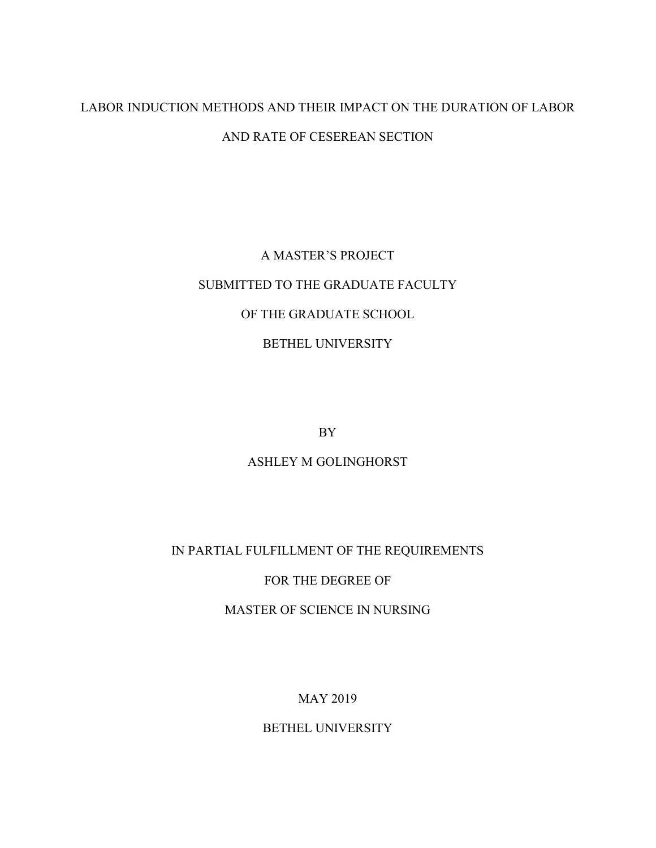## LABOR INDUCTION METHODS AND THEIR IMPACT ON THE DURATION OF LABOR AND RATE OF CESEREAN SECTION

# A MASTER'S PROJECT SUBMITTED TO THE GRADUATE FACULTY OF THE GRADUATE SCHOOL BETHEL UNIVERSITY

BY

## ASHLEY M GOLINGHORST

## IN PARTIAL FULFILLMENT OF THE REQUIREMENTS

## FOR THE DEGREE OF

## MASTER OF SCIENCE IN NURSING

MAY 2019

### BETHEL UNIVERSITY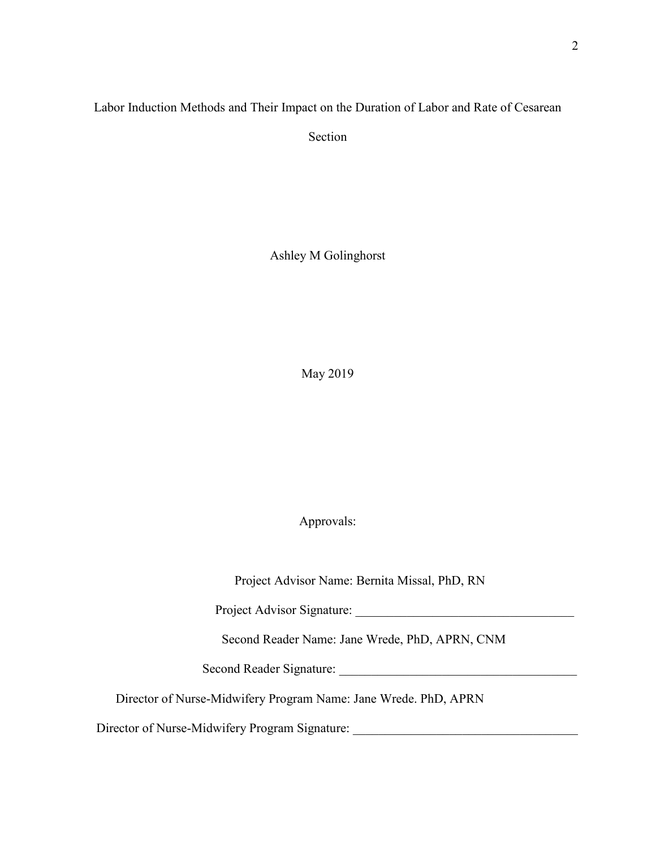Labor Induction Methods and Their Impact on the Duration of Labor and Rate of Cesarean

Section

Ashley M Golinghorst

May 2019

Approvals:

Project Advisor Name: Bernita Missal, PhD, RN

Project Advisor Signature: \_\_\_\_\_\_\_\_\_\_\_\_\_\_\_\_\_\_\_\_\_\_\_\_\_\_\_\_\_\_\_\_\_\_

Second Reader Name: Jane Wrede, PhD, APRN, CNM

Second Reader Signature: \_\_\_\_\_\_\_\_\_\_\_\_\_\_\_\_\_\_\_\_\_\_\_\_\_\_\_\_\_\_\_\_\_\_\_\_\_

Director of Nurse-Midwifery Program Name: Jane Wrede. PhD, APRN

Director of Nurse-Midwifery Program Signature: \_\_\_\_\_\_\_\_\_\_\_\_\_\_\_\_\_\_\_\_\_\_\_\_\_\_\_\_\_\_\_\_\_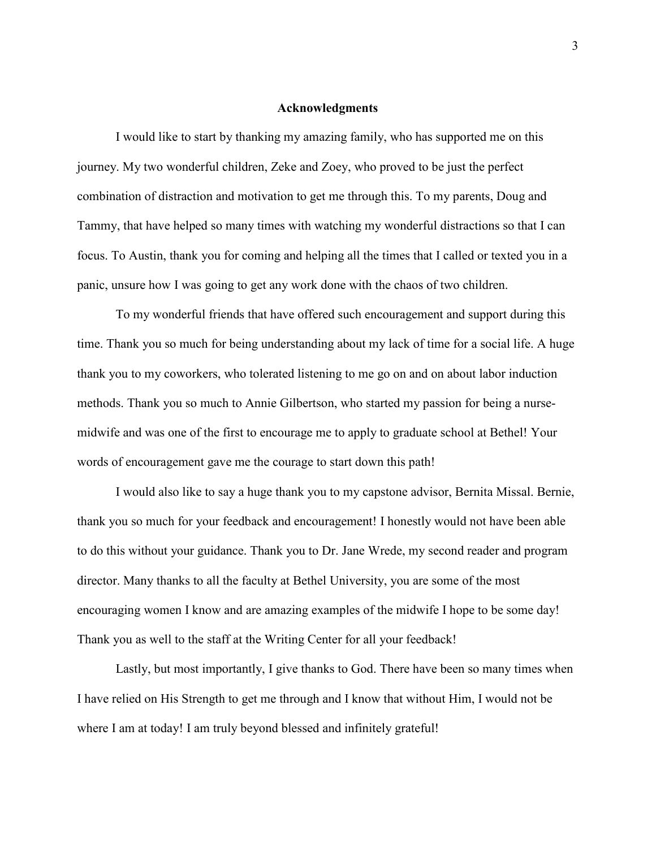#### **Acknowledgments**

 I would like to start by thanking my amazing family, who has supported me on this journey. My two wonderful children, Zeke and Zoey, who proved to be just the perfect combination of distraction and motivation to get me through this. To my parents, Doug and Tammy, that have helped so many times with watching my wonderful distractions so that I can focus. To Austin, thank you for coming and helping all the times that I called or texted you in a panic, unsure how I was going to get any work done with the chaos of two children.

 To my wonderful friends that have offered such encouragement and support during this time. Thank you so much for being understanding about my lack of time for a social life. A huge thank you to my coworkers, who tolerated listening to me go on and on about labor induction methods. Thank you so much to Annie Gilbertson, who started my passion for being a nursemidwife and was one of the first to encourage me to apply to graduate school at Bethel! Your words of encouragement gave me the courage to start down this path!

 I would also like to say a huge thank you to my capstone advisor, Bernita Missal. Bernie, thank you so much for your feedback and encouragement! I honestly would not have been able to do this without your guidance. Thank you to Dr. Jane Wrede, my second reader and program director. Many thanks to all the faculty at Bethel University, you are some of the most encouraging women I know and are amazing examples of the midwife I hope to be some day! Thank you as well to the staff at the Writing Center for all your feedback!

 Lastly, but most importantly, I give thanks to God. There have been so many times when I have relied on His Strength to get me through and I know that without Him, I would not be where I am at today! I am truly beyond blessed and infinitely grateful!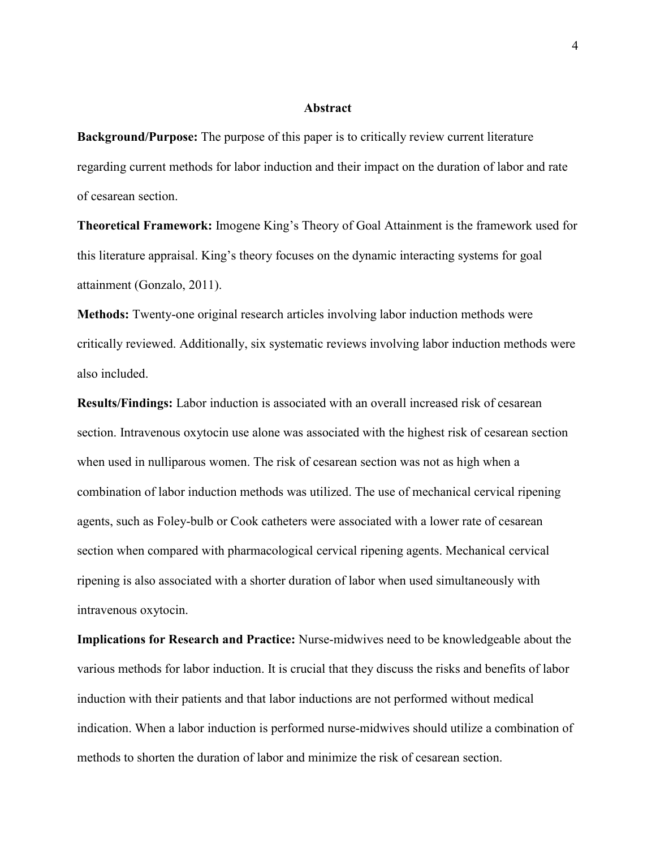#### **Abstract**

**Background/Purpose:** The purpose of this paper is to critically review current literature regarding current methods for labor induction and their impact on the duration of labor and rate of cesarean section.

**Theoretical Framework:** Imogene King's Theory of Goal Attainment is the framework used for this literature appraisal. King's theory focuses on the dynamic interacting systems for goal attainment (Gonzalo, 2011).

**Methods:** Twenty-one original research articles involving labor induction methods were critically reviewed. Additionally, six systematic reviews involving labor induction methods were also included.

**Results/Findings:** Labor induction is associated with an overall increased risk of cesarean section. Intravenous oxytocin use alone was associated with the highest risk of cesarean section when used in nulliparous women. The risk of cesarean section was not as high when a combination of labor induction methods was utilized. The use of mechanical cervical ripening agents, such as Foley-bulb or Cook catheters were associated with a lower rate of cesarean section when compared with pharmacological cervical ripening agents. Mechanical cervical ripening is also associated with a shorter duration of labor when used simultaneously with intravenous oxytocin.

**Implications for Research and Practice:** Nurse-midwives need to be knowledgeable about the various methods for labor induction. It is crucial that they discuss the risks and benefits of labor induction with their patients and that labor inductions are not performed without medical indication. When a labor induction is performed nurse-midwives should utilize a combination of methods to shorten the duration of labor and minimize the risk of cesarean section.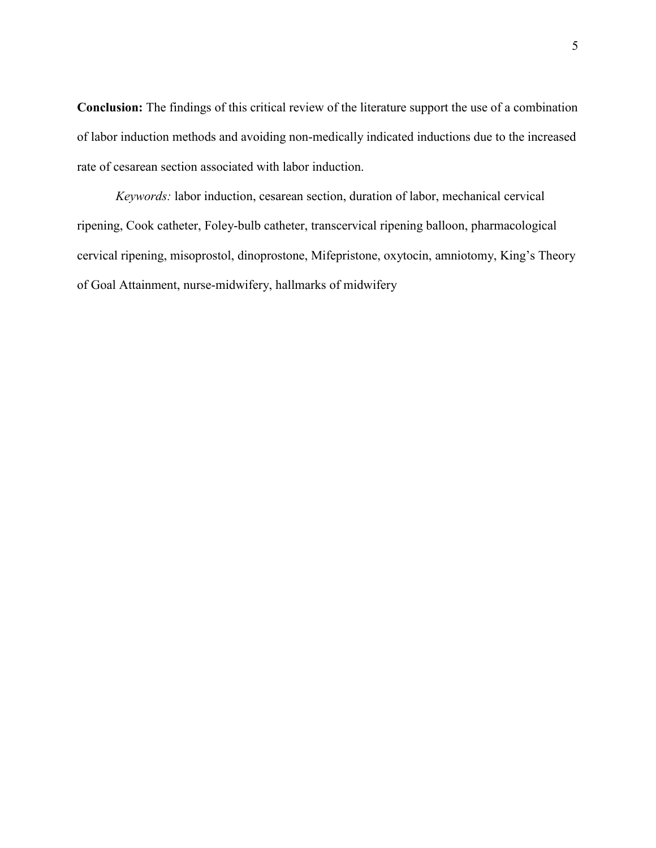**Conclusion:** The findings of this critical review of the literature support the use of a combination of labor induction methods and avoiding non-medically indicated inductions due to the increased rate of cesarean section associated with labor induction.

*Keywords:* labor induction, cesarean section, duration of labor, mechanical cervical ripening, Cook catheter, Foley-bulb catheter, transcervical ripening balloon, pharmacological cervical ripening, misoprostol, dinoprostone, Mifepristone, oxytocin, amniotomy, King's Theory of Goal Attainment, nurse-midwifery, hallmarks of midwifery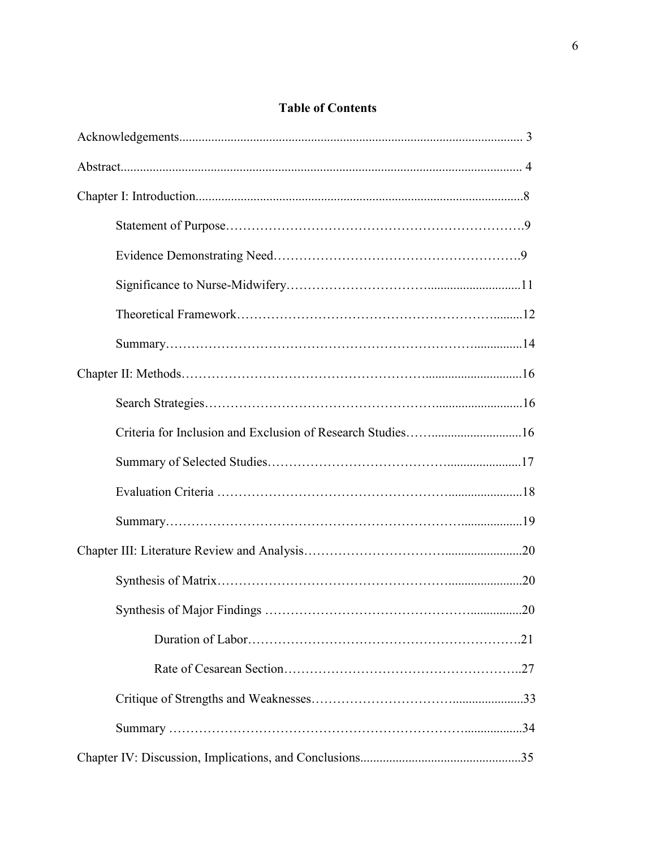## **Table of Contents**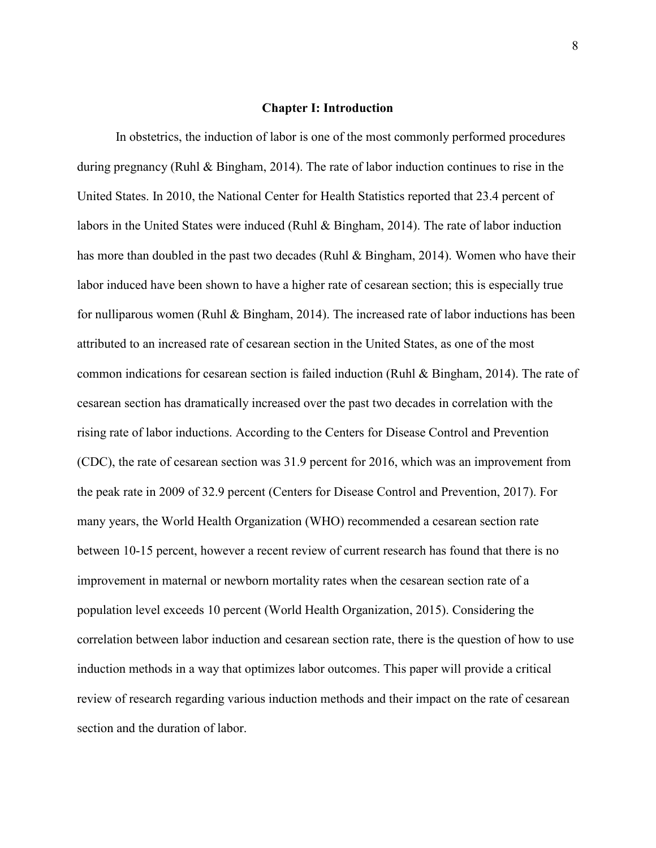#### **Chapter I: Introduction**

In obstetrics, the induction of labor is one of the most commonly performed procedures during pregnancy (Ruhl & Bingham, 2014). The rate of labor induction continues to rise in the United States. In 2010, the National Center for Health Statistics reported that 23.4 percent of labors in the United States were induced (Ruhl & Bingham, 2014). The rate of labor induction has more than doubled in the past two decades (Ruhl & Bingham, 2014). Women who have their labor induced have been shown to have a higher rate of cesarean section; this is especially true for nulliparous women (Ruhl & Bingham, 2014). The increased rate of labor inductions has been attributed to an increased rate of cesarean section in the United States, as one of the most common indications for cesarean section is failed induction (Ruhl & Bingham, 2014). The rate of cesarean section has dramatically increased over the past two decades in correlation with the rising rate of labor inductions. According to the Centers for Disease Control and Prevention (CDC), the rate of cesarean section was 31.9 percent for 2016, which was an improvement from the peak rate in 2009 of 32.9 percent (Centers for Disease Control and Prevention, 2017). For many years, the World Health Organization (WHO) recommended a cesarean section rate between 10-15 percent, however a recent review of current research has found that there is no improvement in maternal or newborn mortality rates when the cesarean section rate of a population level exceeds 10 percent (World Health Organization, 2015). Considering the correlation between labor induction and cesarean section rate, there is the question of how to use induction methods in a way that optimizes labor outcomes. This paper will provide a critical review of research regarding various induction methods and their impact on the rate of cesarean section and the duration of labor.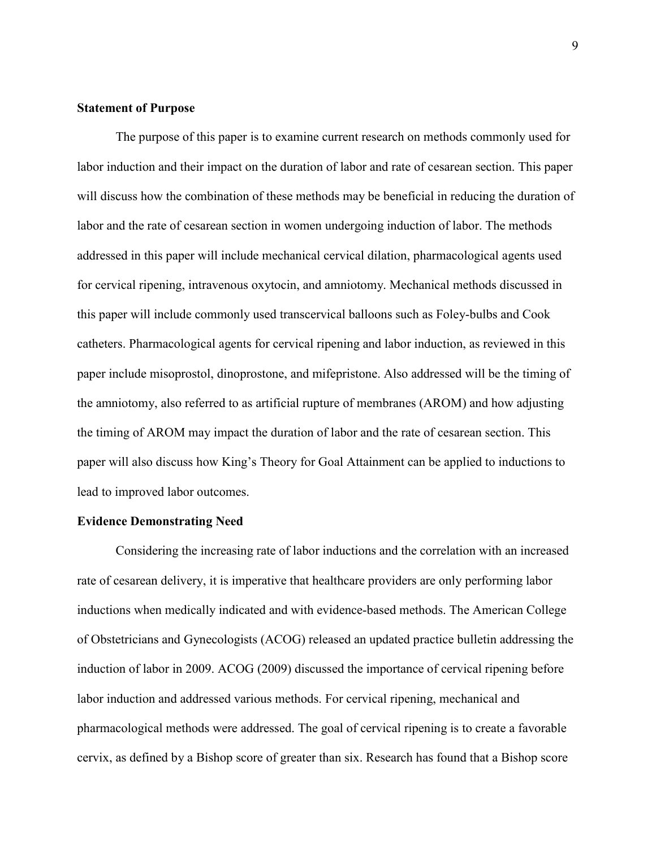#### **Statement of Purpose**

 The purpose of this paper is to examine current research on methods commonly used for labor induction and their impact on the duration of labor and rate of cesarean section. This paper will discuss how the combination of these methods may be beneficial in reducing the duration of labor and the rate of cesarean section in women undergoing induction of labor. The methods addressed in this paper will include mechanical cervical dilation, pharmacological agents used for cervical ripening, intravenous oxytocin, and amniotomy. Mechanical methods discussed in this paper will include commonly used transcervical balloons such as Foley-bulbs and Cook catheters. Pharmacological agents for cervical ripening and labor induction, as reviewed in this paper include misoprostol, dinoprostone, and mifepristone. Also addressed will be the timing of the amniotomy, also referred to as artificial rupture of membranes (AROM) and how adjusting the timing of AROM may impact the duration of labor and the rate of cesarean section. This paper will also discuss how King's Theory for Goal Attainment can be applied to inductions to lead to improved labor outcomes.

#### **Evidence Demonstrating Need**

 Considering the increasing rate of labor inductions and the correlation with an increased rate of cesarean delivery, it is imperative that healthcare providers are only performing labor inductions when medically indicated and with evidence-based methods. The American College of Obstetricians and Gynecologists (ACOG) released an updated practice bulletin addressing the induction of labor in 2009. ACOG (2009) discussed the importance of cervical ripening before labor induction and addressed various methods. For cervical ripening, mechanical and pharmacological methods were addressed. The goal of cervical ripening is to create a favorable cervix, as defined by a Bishop score of greater than six. Research has found that a Bishop score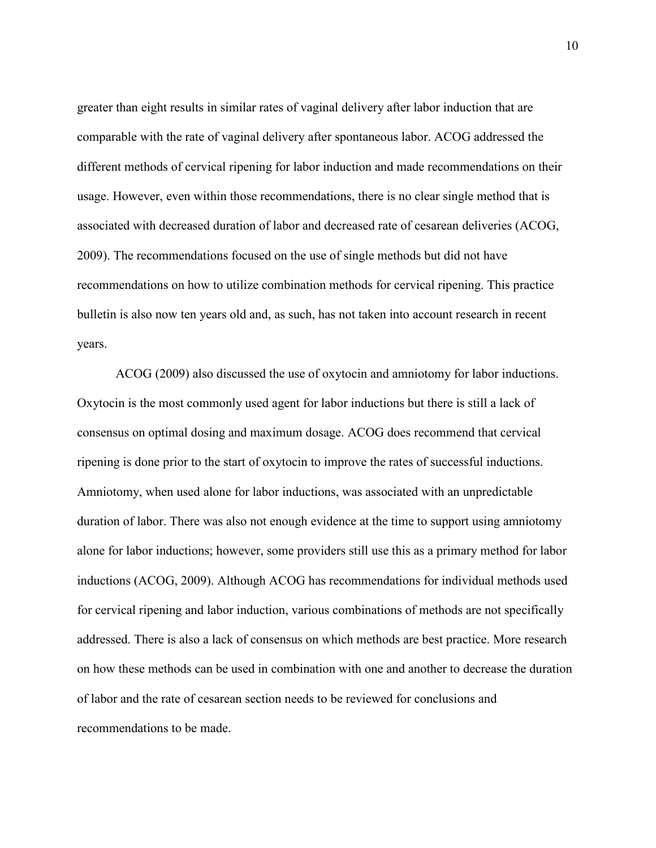greater than eight results in similar rates of vaginal delivery after labor induction that are comparable with the rate of vaginal delivery after spontaneous labor. ACOG addressed the different methods of cervical ripening for labor induction and made recommendations on their usage. However, even within those recommendations, there is no clear single method that is associated with decreased duration of labor and decreased rate of cesarean deliveries (ACOG, 2009). The recommendations focused on the use of single methods but did not have recommendations on how to utilize combination methods for cervical ripening. This practice bulletin is also now ten years old and, as such, has not taken into account research in recent years.

 ACOG (2009) also discussed the use of oxytocin and amniotomy for labor inductions. Oxytocin is the most commonly used agent for labor inductions but there is still a lack of consensus on optimal dosing and maximum dosage. ACOG does recommend that cervical ripening is done prior to the start of oxytocin to improve the rates of successful inductions. Amniotomy, when used alone for labor inductions, was associated with an unpredictable duration of labor. There was also not enough evidence at the time to support using amniotomy alone for labor inductions; however, some providers still use this as a primary method for labor inductions (ACOG, 2009). Although ACOG has recommendations for individual methods used for cervical ripening and labor induction, various combinations of methods are not specifically addressed. There is also a lack of consensus on which methods are best practice. More research on how these methods can be used in combination with one and another to decrease the duration of labor and the rate of cesarean section needs to be reviewed for conclusions and recommendations to be made.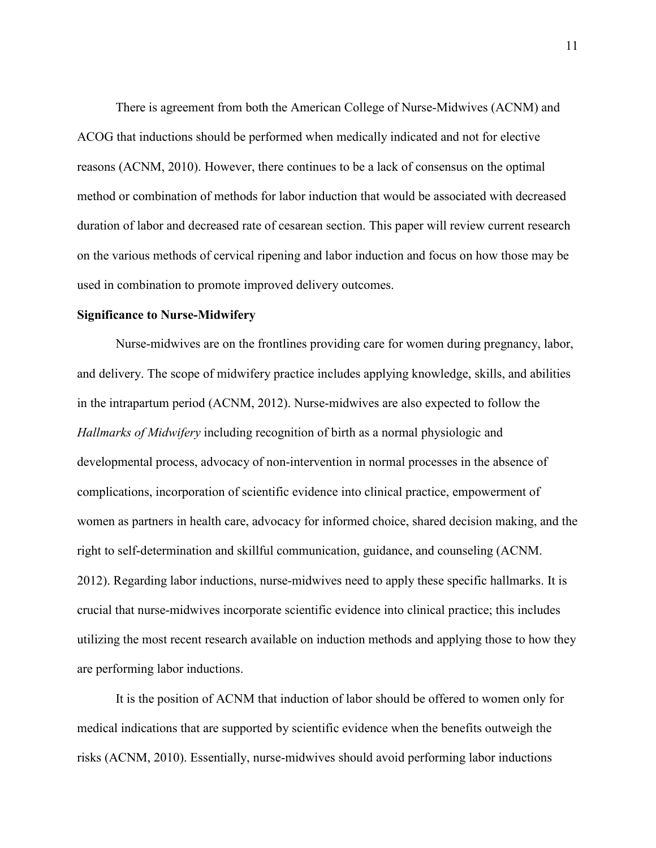There is agreement from both the American College of Nurse-Midwives (ACNM) and ACOG that inductions should be performed when medically indicated and not for elective reasons (ACNM, 2010). However, there continues to be a lack of consensus on the optimal method or combination of methods for labor induction that would be associated with decreased duration of labor and decreased rate of cesarean section. This paper will review current research on the various methods of cervical ripening and labor induction and focus on how those may be used in combination to promote improved delivery outcomes.

#### **Significance to Nurse-Midwifery**

Nurse-midwives are on the frontlines providing care for women during pregnancy, labor, and delivery. The scope of midwifery practice includes applying knowledge, skills, and abilities in the intrapartum period (ACNM, 2012). Nurse-midwives are also expected to follow the *Hallmarks of Midwifery* including recognition of birth as a normal physiologic and developmental process, advocacy of non-intervention in normal processes in the absence of complications, incorporation of scientific evidence into clinical practice, empowerment of women as partners in health care, advocacy for informed choice, shared decision making, and the right to self-determination and skillful communication, guidance, and counseling (ACNM. 2012). Regarding labor inductions, nurse-midwives need to apply these specific hallmarks. It is crucial that nurse-midwives incorporate scientific evidence into clinical practice; this includes utilizing the most recent research available on induction methods and applying those to how they are performing labor inductions.

It is the position of ACNM that induction of labor should be offered to women only for medical indications that are supported by scientific evidence when the benefits outweigh the risks (ACNM, 2010). Essentially, nurse-midwives should avoid performing labor inductions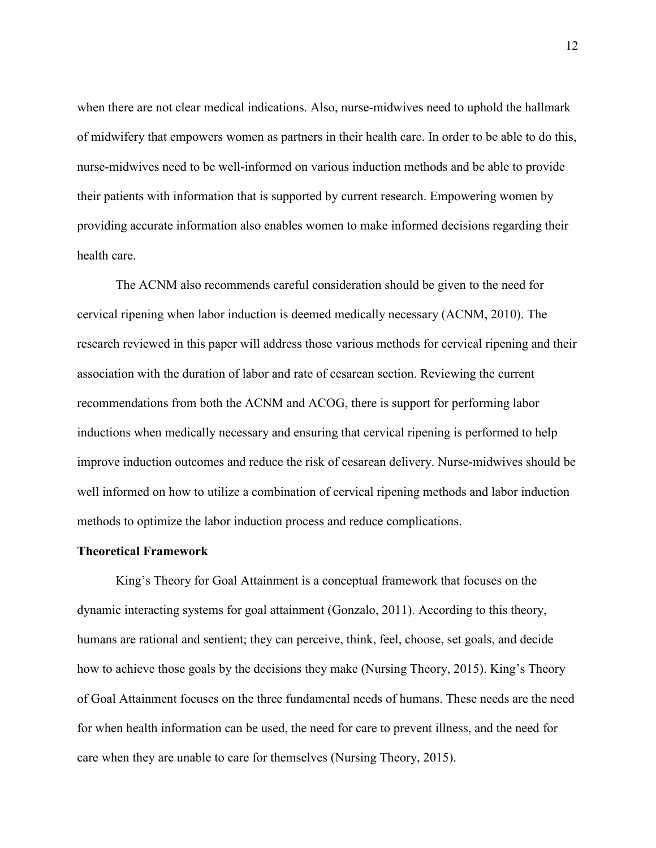when there are not clear medical indications. Also, nurse-midwives need to uphold the hallmark of midwifery that empowers women as partners in their health care. In order to be able to do this, nurse-midwives need to be well-informed on various induction methods and be able to provide their patients with information that is supported by current research. Empowering women by providing accurate information also enables women to make informed decisions regarding their health care.

The ACNM also recommends careful consideration should be given to the need for cervical ripening when labor induction is deemed medically necessary (ACNM, 2010). The research reviewed in this paper will address those various methods for cervical ripening and their association with the duration of labor and rate of cesarean section. Reviewing the current recommendations from both the ACNM and ACOG, there is support for performing labor inductions when medically necessary and ensuring that cervical ripening is performed to help improve induction outcomes and reduce the risk of cesarean delivery. Nurse-midwives should be well informed on how to utilize a combination of cervical ripening methods and labor induction methods to optimize the labor induction process and reduce complications.

#### **Theoretical Framework**

King's Theory for Goal Attainment is a conceptual framework that focuses on the dynamic interacting systems for goal attainment (Gonzalo, 2011). According to this theory, humans are rational and sentient; they can perceive, think, feel, choose, set goals, and decide how to achieve those goals by the decisions they make (Nursing Theory, 2015). King's Theory of Goal Attainment focuses on the three fundamental needs of humans. These needs are the need for when health information can be used, the need for care to prevent illness, and the need for care when they are unable to care for themselves (Nursing Theory, 2015).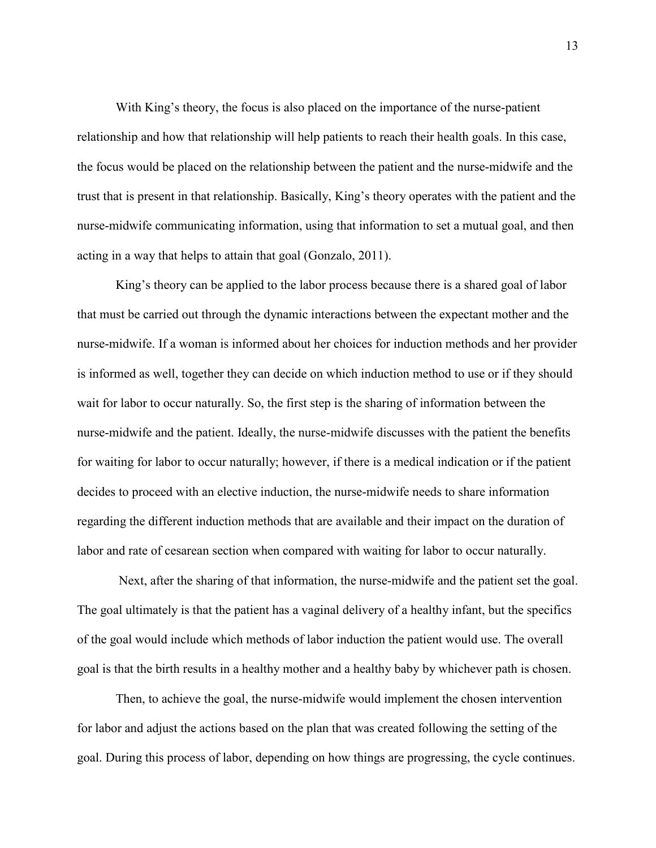With King's theory, the focus is also placed on the importance of the nurse-patient relationship and how that relationship will help patients to reach their health goals. In this case, the focus would be placed on the relationship between the patient and the nurse-midwife and the trust that is present in that relationship. Basically, King's theory operates with the patient and the nurse-midwife communicating information, using that information to set a mutual goal, and then acting in a way that helps to attain that goal (Gonzalo, 2011).

King's theory can be applied to the labor process because there is a shared goal of labor that must be carried out through the dynamic interactions between the expectant mother and the nurse-midwife. If a woman is informed about her choices for induction methods and her provider is informed as well, together they can decide on which induction method to use or if they should wait for labor to occur naturally. So, the first step is the sharing of information between the nurse-midwife and the patient. Ideally, the nurse-midwife discusses with the patient the benefits for waiting for labor to occur naturally; however, if there is a medical indication or if the patient decides to proceed with an elective induction, the nurse-midwife needs to share information regarding the different induction methods that are available and their impact on the duration of labor and rate of cesarean section when compared with waiting for labor to occur naturally.

Next, after the sharing of that information, the nurse-midwife and the patient set the goal. The goal ultimately is that the patient has a vaginal delivery of a healthy infant, but the specifics of the goal would include which methods of labor induction the patient would use. The overall goal is that the birth results in a healthy mother and a healthy baby by whichever path is chosen.

Then, to achieve the goal, the nurse-midwife would implement the chosen intervention for labor and adjust the actions based on the plan that was created following the setting of the goal. During this process of labor, depending on how things are progressing, the cycle continues.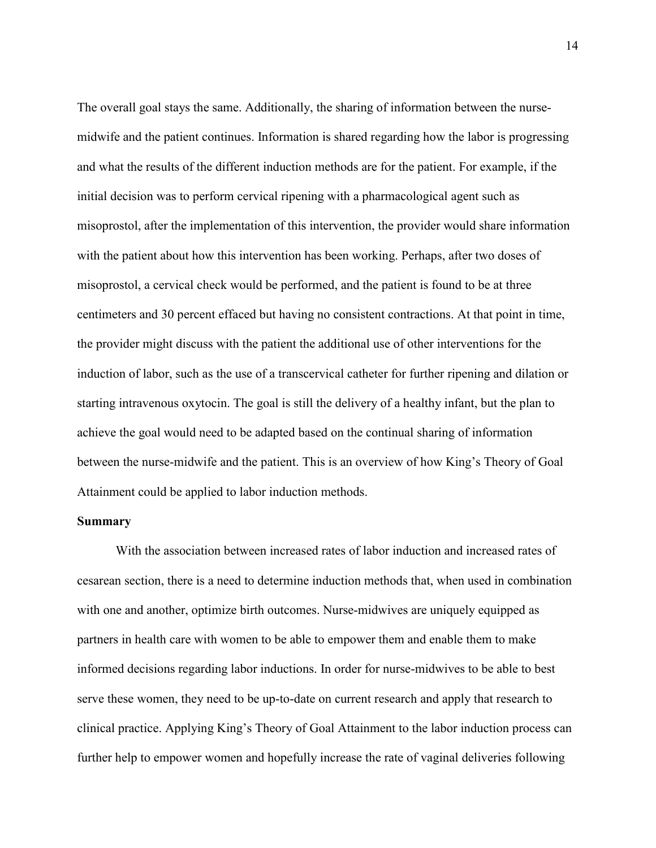The overall goal stays the same. Additionally, the sharing of information between the nursemidwife and the patient continues. Information is shared regarding how the labor is progressing and what the results of the different induction methods are for the patient. For example, if the initial decision was to perform cervical ripening with a pharmacological agent such as misoprostol, after the implementation of this intervention, the provider would share information with the patient about how this intervention has been working. Perhaps, after two doses of misoprostol, a cervical check would be performed, and the patient is found to be at three centimeters and 30 percent effaced but having no consistent contractions. At that point in time, the provider might discuss with the patient the additional use of other interventions for the induction of labor, such as the use of a transcervical catheter for further ripening and dilation or starting intravenous oxytocin. The goal is still the delivery of a healthy infant, but the plan to achieve the goal would need to be adapted based on the continual sharing of information between the nurse-midwife and the patient. This is an overview of how King's Theory of Goal Attainment could be applied to labor induction methods.

#### **Summary**

With the association between increased rates of labor induction and increased rates of cesarean section, there is a need to determine induction methods that, when used in combination with one and another, optimize birth outcomes. Nurse-midwives are uniquely equipped as partners in health care with women to be able to empower them and enable them to make informed decisions regarding labor inductions. In order for nurse-midwives to be able to best serve these women, they need to be up-to-date on current research and apply that research to clinical practice. Applying King's Theory of Goal Attainment to the labor induction process can further help to empower women and hopefully increase the rate of vaginal deliveries following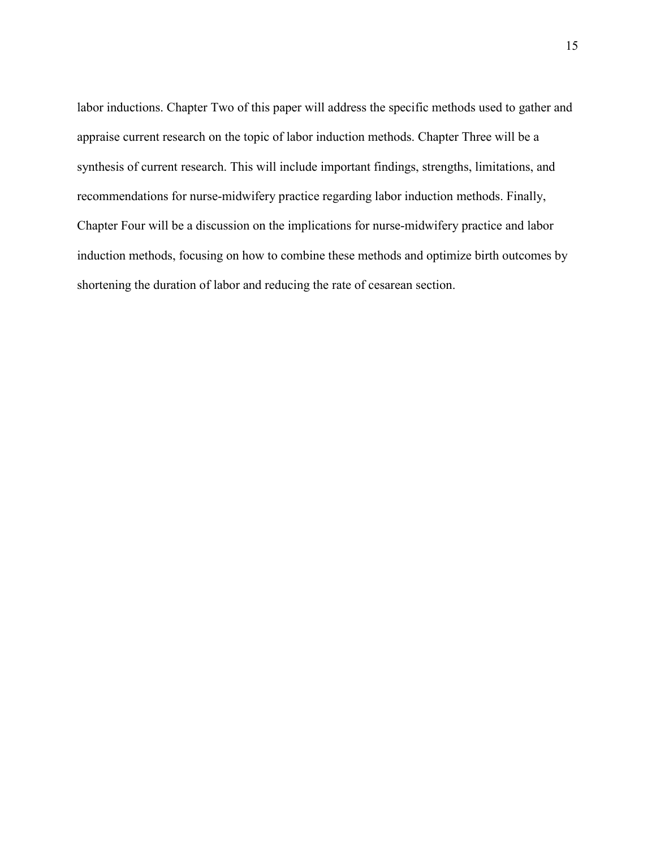labor inductions. Chapter Two of this paper will address the specific methods used to gather and appraise current research on the topic of labor induction methods. Chapter Three will be a synthesis of current research. This will include important findings, strengths, limitations, and recommendations for nurse-midwifery practice regarding labor induction methods. Finally, Chapter Four will be a discussion on the implications for nurse-midwifery practice and labor induction methods, focusing on how to combine these methods and optimize birth outcomes by shortening the duration of labor and reducing the rate of cesarean section.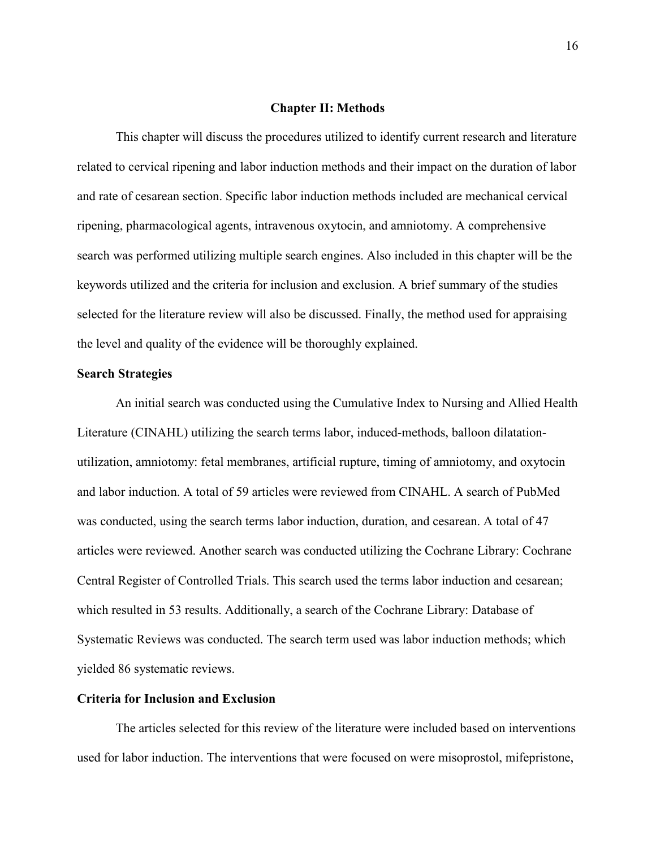#### **Chapter II: Methods**

This chapter will discuss the procedures utilized to identify current research and literature related to cervical ripening and labor induction methods and their impact on the duration of labor and rate of cesarean section. Specific labor induction methods included are mechanical cervical ripening, pharmacological agents, intravenous oxytocin, and amniotomy. A comprehensive search was performed utilizing multiple search engines. Also included in this chapter will be the keywords utilized and the criteria for inclusion and exclusion. A brief summary of the studies selected for the literature review will also be discussed. Finally, the method used for appraising the level and quality of the evidence will be thoroughly explained.

#### **Search Strategies**

 An initial search was conducted using the Cumulative Index to Nursing and Allied Health Literature (CINAHL) utilizing the search terms labor, induced-methods, balloon dilatationutilization, amniotomy: fetal membranes, artificial rupture, timing of amniotomy, and oxytocin and labor induction. A total of 59 articles were reviewed from CINAHL. A search of PubMed was conducted, using the search terms labor induction, duration, and cesarean. A total of 47 articles were reviewed. Another search was conducted utilizing the Cochrane Library: Cochrane Central Register of Controlled Trials. This search used the terms labor induction and cesarean; which resulted in 53 results. Additionally, a search of the Cochrane Library: Database of Systematic Reviews was conducted. The search term used was labor induction methods; which yielded 86 systematic reviews.

#### **Criteria for Inclusion and Exclusion**

The articles selected for this review of the literature were included based on interventions used for labor induction. The interventions that were focused on were misoprostol, mifepristone,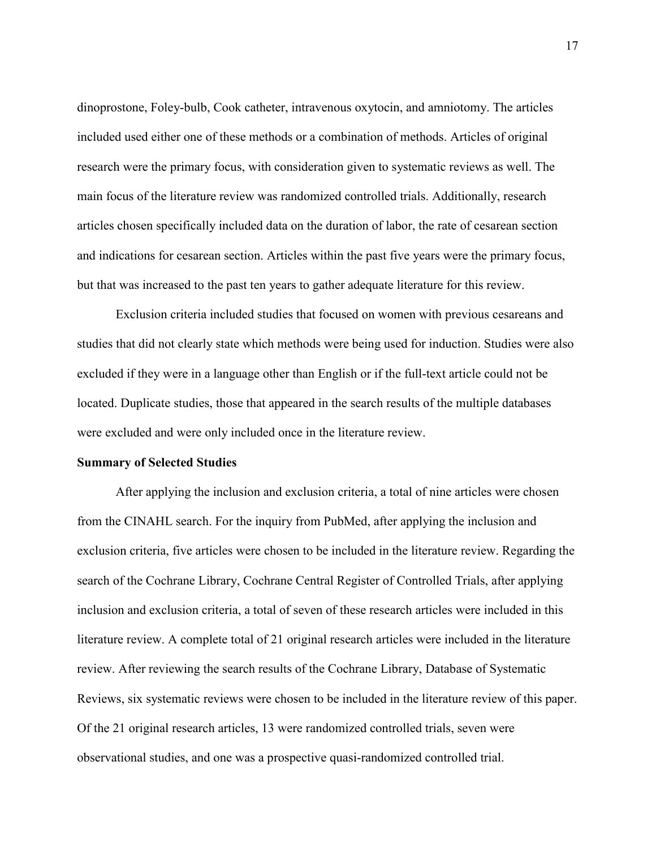dinoprostone, Foley-bulb, Cook catheter, intravenous oxytocin, and amniotomy. The articles included used either one of these methods or a combination of methods. Articles of original research were the primary focus, with consideration given to systematic reviews as well. The main focus of the literature review was randomized controlled trials. Additionally, research articles chosen specifically included data on the duration of labor, the rate of cesarean section and indications for cesarean section. Articles within the past five years were the primary focus, but that was increased to the past ten years to gather adequate literature for this review.

 Exclusion criteria included studies that focused on women with previous cesareans and studies that did not clearly state which methods were being used for induction. Studies were also excluded if they were in a language other than English or if the full-text article could not be located. Duplicate studies, those that appeared in the search results of the multiple databases were excluded and were only included once in the literature review.

#### **Summary of Selected Studies**

After applying the inclusion and exclusion criteria, a total of nine articles were chosen from the CINAHL search. For the inquiry from PubMed, after applying the inclusion and exclusion criteria, five articles were chosen to be included in the literature review. Regarding the search of the Cochrane Library, Cochrane Central Register of Controlled Trials, after applying inclusion and exclusion criteria, a total of seven of these research articles were included in this literature review. A complete total of 21 original research articles were included in the literature review. After reviewing the search results of the Cochrane Library, Database of Systematic Reviews, six systematic reviews were chosen to be included in the literature review of this paper. Of the 21 original research articles, 13 were randomized controlled trials, seven were observational studies, and one was a prospective quasi-randomized controlled trial.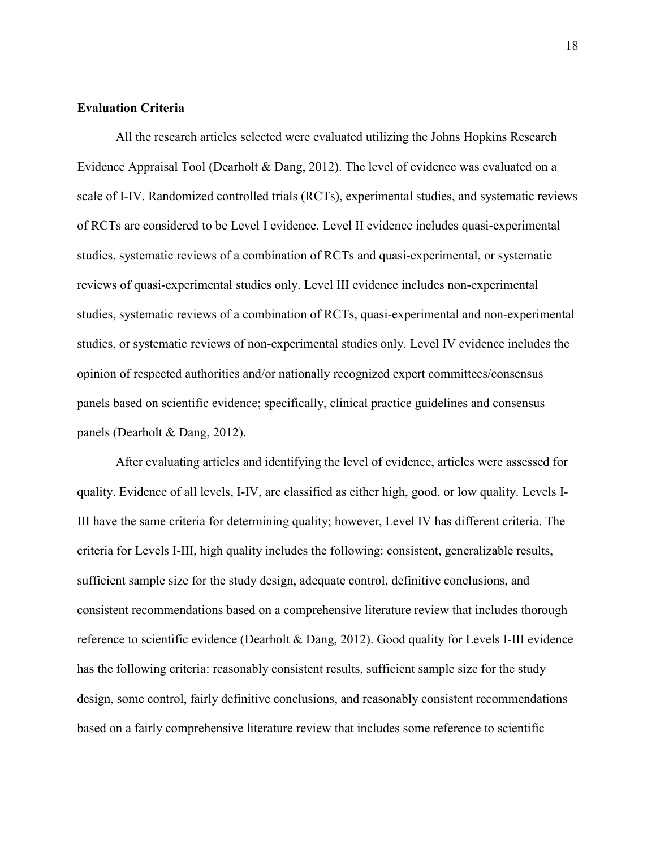#### **Evaluation Criteria**

All the research articles selected were evaluated utilizing the Johns Hopkins Research Evidence Appraisal Tool (Dearholt & Dang, 2012). The level of evidence was evaluated on a scale of I-IV. Randomized controlled trials (RCTs), experimental studies, and systematic reviews of RCTs are considered to be Level I evidence. Level II evidence includes quasi-experimental studies, systematic reviews of a combination of RCTs and quasi-experimental, or systematic reviews of quasi-experimental studies only. Level III evidence includes non-experimental studies, systematic reviews of a combination of RCTs, quasi-experimental and non-experimental studies, or systematic reviews of non-experimental studies only. Level IV evidence includes the opinion of respected authorities and/or nationally recognized expert committees/consensus panels based on scientific evidence; specifically, clinical practice guidelines and consensus panels (Dearholt & Dang, 2012).

After evaluating articles and identifying the level of evidence, articles were assessed for quality. Evidence of all levels, I-IV, are classified as either high, good, or low quality. Levels I-III have the same criteria for determining quality; however, Level IV has different criteria. The criteria for Levels I-III, high quality includes the following: consistent, generalizable results, sufficient sample size for the study design, adequate control, definitive conclusions, and consistent recommendations based on a comprehensive literature review that includes thorough reference to scientific evidence (Dearholt & Dang, 2012). Good quality for Levels I-III evidence has the following criteria: reasonably consistent results, sufficient sample size for the study design, some control, fairly definitive conclusions, and reasonably consistent recommendations based on a fairly comprehensive literature review that includes some reference to scientific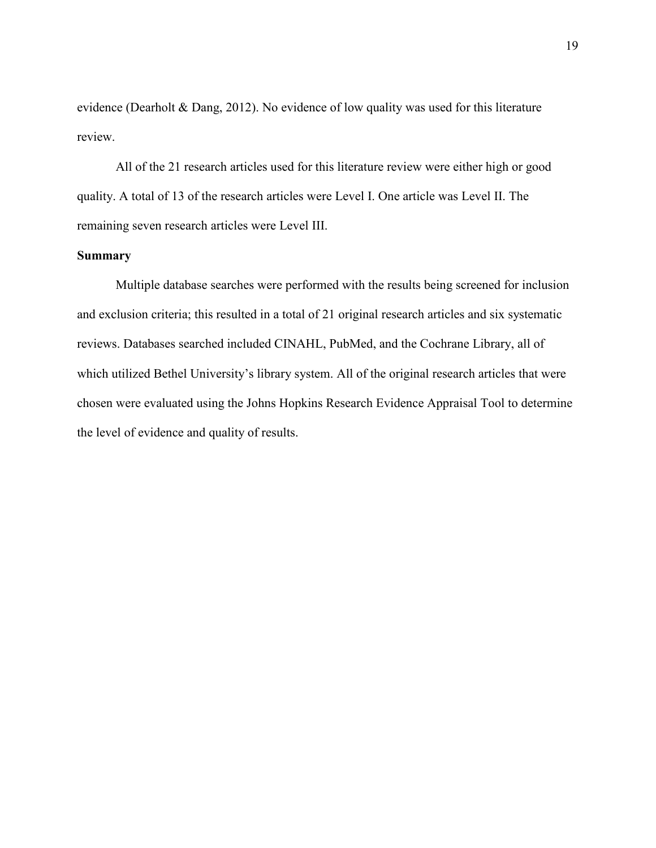evidence (Dearholt & Dang, 2012). No evidence of low quality was used for this literature review.

 All of the 21 research articles used for this literature review were either high or good quality. A total of 13 of the research articles were Level I. One article was Level II. The remaining seven research articles were Level III.

#### **Summary**

Multiple database searches were performed with the results being screened for inclusion and exclusion criteria; this resulted in a total of 21 original research articles and six systematic reviews. Databases searched included CINAHL, PubMed, and the Cochrane Library, all of which utilized Bethel University's library system. All of the original research articles that were chosen were evaluated using the Johns Hopkins Research Evidence Appraisal Tool to determine the level of evidence and quality of results.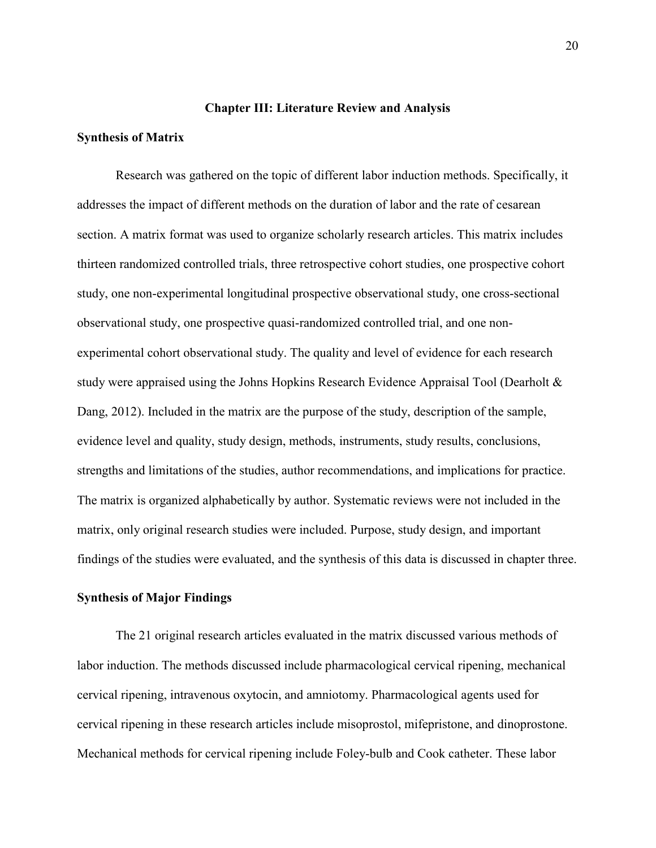#### **Chapter III: Literature Review and Analysis**

#### **Synthesis of Matrix**

Research was gathered on the topic of different labor induction methods. Specifically, it addresses the impact of different methods on the duration of labor and the rate of cesarean section. A matrix format was used to organize scholarly research articles. This matrix includes thirteen randomized controlled trials, three retrospective cohort studies, one prospective cohort study, one non-experimental longitudinal prospective observational study, one cross-sectional observational study, one prospective quasi-randomized controlled trial, and one nonexperimental cohort observational study. The quality and level of evidence for each research study were appraised using the Johns Hopkins Research Evidence Appraisal Tool (Dearholt & Dang, 2012). Included in the matrix are the purpose of the study, description of the sample, evidence level and quality, study design, methods, instruments, study results, conclusions, strengths and limitations of the studies, author recommendations, and implications for practice. The matrix is organized alphabetically by author. Systematic reviews were not included in the matrix, only original research studies were included. Purpose, study design, and important findings of the studies were evaluated, and the synthesis of this data is discussed in chapter three.

#### **Synthesis of Major Findings**

The 21 original research articles evaluated in the matrix discussed various methods of labor induction. The methods discussed include pharmacological cervical ripening, mechanical cervical ripening, intravenous oxytocin, and amniotomy. Pharmacological agents used for cervical ripening in these research articles include misoprostol, mifepristone, and dinoprostone. Mechanical methods for cervical ripening include Foley-bulb and Cook catheter. These labor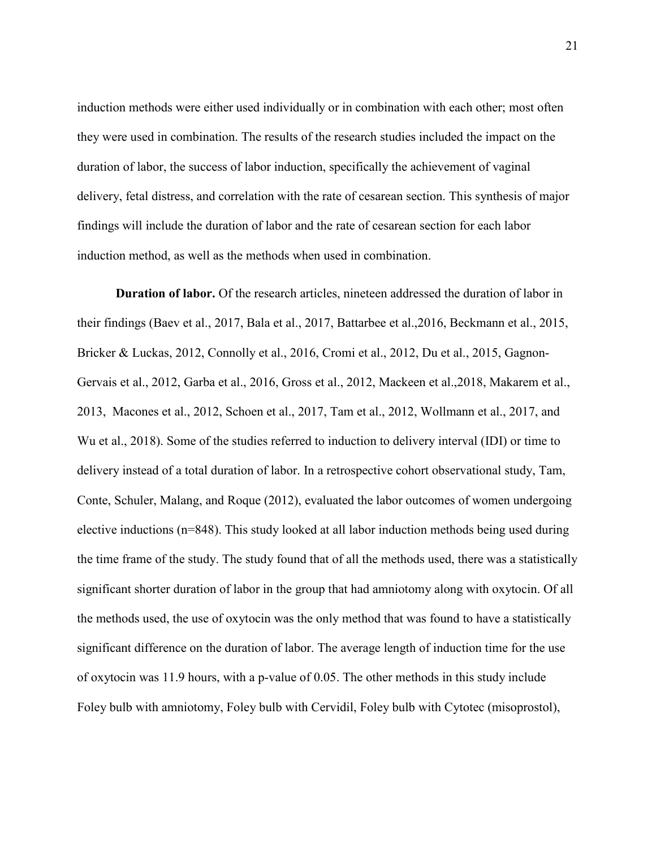induction methods were either used individually or in combination with each other; most often they were used in combination. The results of the research studies included the impact on the duration of labor, the success of labor induction, specifically the achievement of vaginal delivery, fetal distress, and correlation with the rate of cesarean section. This synthesis of major findings will include the duration of labor and the rate of cesarean section for each labor induction method, as well as the methods when used in combination.

**Duration of labor.** Of the research articles, nineteen addressed the duration of labor in their findings (Baev et al., 2017, Bala et al., 2017, Battarbee et al.,2016, Beckmann et al., 2015, Bricker & Luckas, 2012, Connolly et al., 2016, Cromi et al., 2012, Du et al., 2015, Gagnon-Gervais et al., 2012, Garba et al., 2016, Gross et al., 2012, Mackeen et al.,2018, Makarem et al., 2013, Macones et al., 2012, Schoen et al., 2017, Tam et al., 2012, Wollmann et al., 2017, and Wu et al., 2018). Some of the studies referred to induction to delivery interval (IDI) or time to delivery instead of a total duration of labor. In a retrospective cohort observational study, Tam, Conte, Schuler, Malang, and Roque (2012), evaluated the labor outcomes of women undergoing elective inductions (n=848). This study looked at all labor induction methods being used during the time frame of the study. The study found that of all the methods used, there was a statistically significant shorter duration of labor in the group that had amniotomy along with oxytocin. Of all the methods used, the use of oxytocin was the only method that was found to have a statistically significant difference on the duration of labor. The average length of induction time for the use of oxytocin was 11.9 hours, with a p-value of 0.05. The other methods in this study include Foley bulb with amniotomy, Foley bulb with Cervidil, Foley bulb with Cytotec (misoprostol),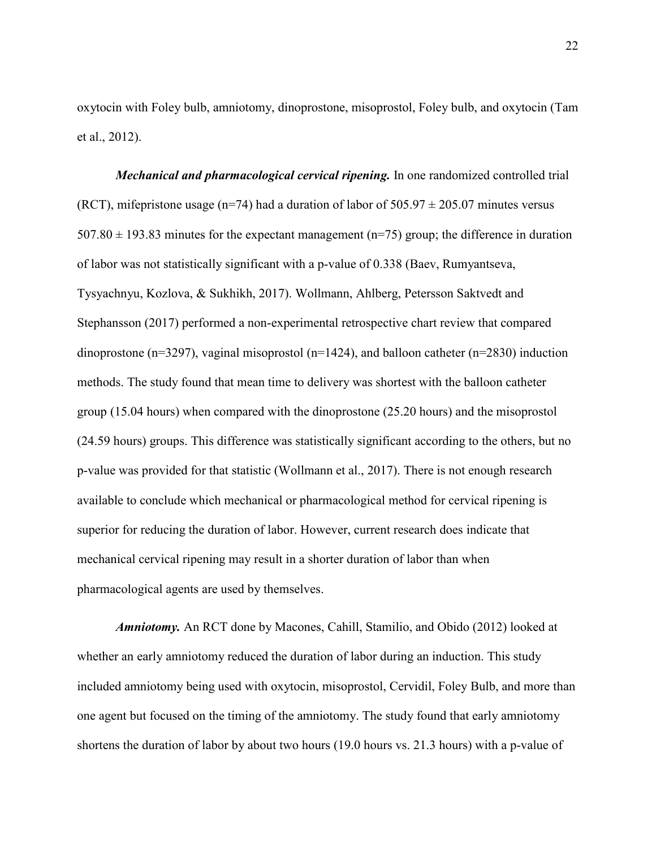oxytocin with Foley bulb, amniotomy, dinoprostone, misoprostol, Foley bulb, and oxytocin (Tam et al., 2012).

*Mechanical and pharmacological cervical ripening.* In one randomized controlled trial (RCT), mifepristone usage (n=74) had a duration of labor of  $505.97 \pm 205.07$  minutes versus  $507.80 \pm 193.83$  minutes for the expectant management (n=75) group; the difference in duration of labor was not statistically significant with a p-value of 0.338 (Baev, Rumyantseva, Tysyachnyu, Kozlova, & Sukhikh, 2017). Wollmann, Ahlberg, Petersson Saktvedt and Stephansson (2017) performed a non-experimental retrospective chart review that compared dinoprostone (n=3297), vaginal misoprostol (n=1424), and balloon catheter (n=2830) induction methods. The study found that mean time to delivery was shortest with the balloon catheter group (15.04 hours) when compared with the dinoprostone (25.20 hours) and the misoprostol (24.59 hours) groups. This difference was statistically significant according to the others, but no p-value was provided for that statistic (Wollmann et al., 2017). There is not enough research available to conclude which mechanical or pharmacological method for cervical ripening is superior for reducing the duration of labor. However, current research does indicate that mechanical cervical ripening may result in a shorter duration of labor than when pharmacological agents are used by themselves.

*Amniotomy.* An RCT done by Macones, Cahill, Stamilio, and Obido (2012) looked at whether an early amniotomy reduced the duration of labor during an induction. This study included amniotomy being used with oxytocin, misoprostol, Cervidil, Foley Bulb, and more than one agent but focused on the timing of the amniotomy. The study found that early amniotomy shortens the duration of labor by about two hours (19.0 hours vs. 21.3 hours) with a p-value of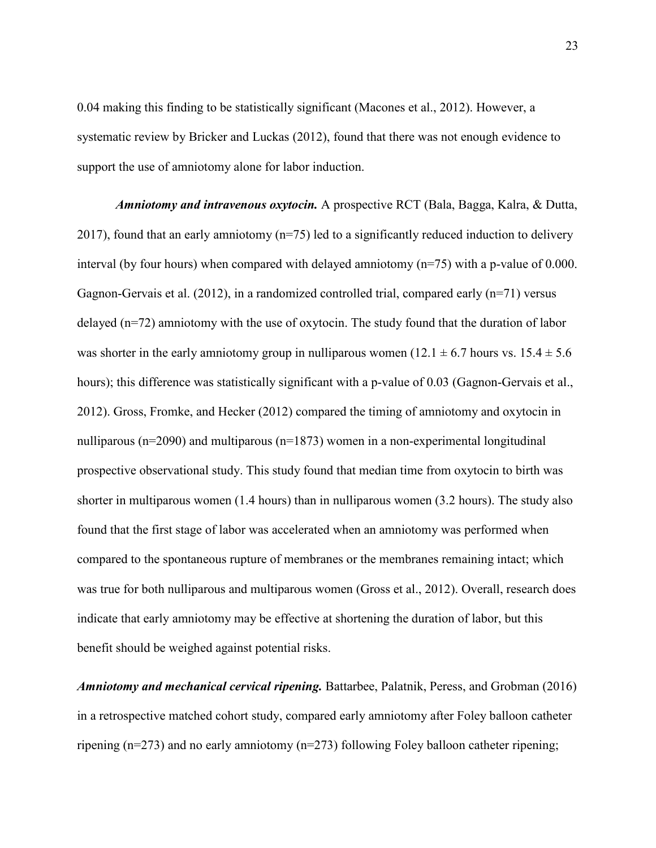0.04 making this finding to be statistically significant (Macones et al., 2012). However, a systematic review by Bricker and Luckas (2012), found that there was not enough evidence to support the use of amniotomy alone for labor induction.

*Amniotomy and intravenous oxytocin.* A prospective RCT (Bala, Bagga, Kalra, & Dutta, 2017), found that an early amniotomy (n=75) led to a significantly reduced induction to delivery interval (by four hours) when compared with delayed amniotomy (n=75) with a p-value of 0.000. Gagnon-Gervais et al.  $(2012)$ , in a randomized controlled trial, compared early  $(n=71)$  versus delayed (n=72) amniotomy with the use of oxytocin. The study found that the duration of labor was shorter in the early amniotomy group in nulliparous women (12.1  $\pm$  6.7 hours vs. 15.4  $\pm$  5.6 hours); this difference was statistically significant with a p-value of 0.03 (Gagnon-Gervais et al., 2012). Gross, Fromke, and Hecker (2012) compared the timing of amniotomy and oxytocin in nulliparous (n=2090) and multiparous (n=1873) women in a non-experimental longitudinal prospective observational study. This study found that median time from oxytocin to birth was shorter in multiparous women (1.4 hours) than in nulliparous women (3.2 hours). The study also found that the first stage of labor was accelerated when an amniotomy was performed when compared to the spontaneous rupture of membranes or the membranes remaining intact; which was true for both nulliparous and multiparous women (Gross et al., 2012). Overall, research does indicate that early amniotomy may be effective at shortening the duration of labor, but this benefit should be weighed against potential risks.

*Amniotomy and mechanical cervical ripening.* Battarbee, Palatnik, Peress, and Grobman (2016) in a retrospective matched cohort study, compared early amniotomy after Foley balloon catheter ripening (n=273) and no early amniotomy (n=273) following Foley balloon catheter ripening;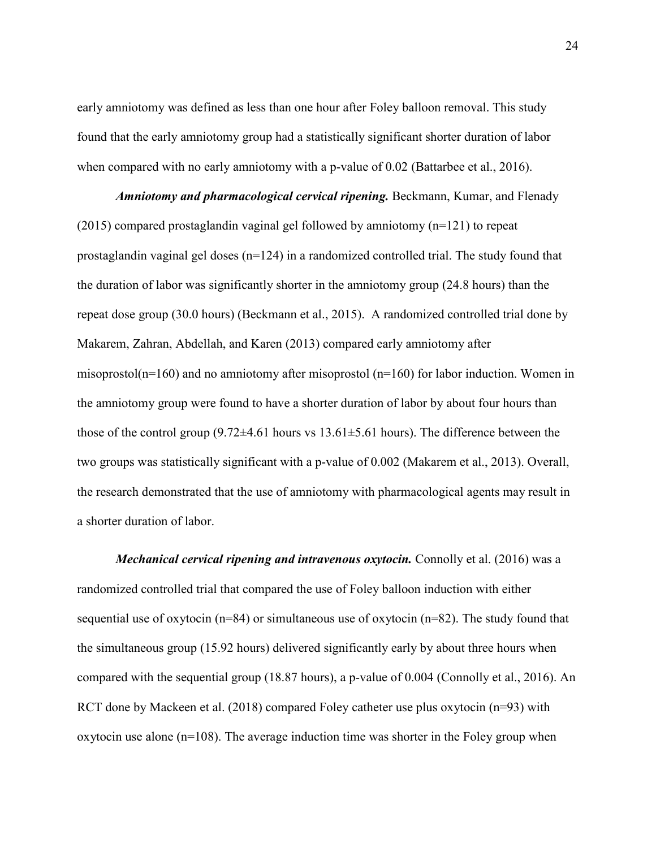early amniotomy was defined as less than one hour after Foley balloon removal. This study found that the early amniotomy group had a statistically significant shorter duration of labor when compared with no early amniotomy with a p-value of 0.02 (Battarbee et al., 2016).

*Amniotomy and pharmacological cervical ripening.* Beckmann, Kumar, and Flenady (2015) compared prostaglandin vaginal gel followed by amniotomy (n=121) to repeat prostaglandin vaginal gel doses (n=124) in a randomized controlled trial. The study found that the duration of labor was significantly shorter in the amniotomy group (24.8 hours) than the repeat dose group (30.0 hours) (Beckmann et al., 2015). A randomized controlled trial done by Makarem, Zahran, Abdellah, and Karen (2013) compared early amniotomy after misoprostol(n=160) and no amniotomy after misoprostol (n=160) for labor induction. Women in the amniotomy group were found to have a shorter duration of labor by about four hours than those of the control group  $(9.72 \pm 4.61$  hours vs  $13.61 \pm 5.61$  hours). The difference between the two groups was statistically significant with a p-value of 0.002 (Makarem et al., 2013). Overall, the research demonstrated that the use of amniotomy with pharmacological agents may result in a shorter duration of labor.

*Mechanical cervical ripening and intravenous oxytocin.* Connolly et al. (2016) was a randomized controlled trial that compared the use of Foley balloon induction with either sequential use of oxytocin (n=84) or simultaneous use of oxytocin (n=82). The study found that the simultaneous group (15.92 hours) delivered significantly early by about three hours when compared with the sequential group (18.87 hours), a p-value of 0.004 (Connolly et al., 2016). An RCT done by Mackeen et al. (2018) compared Foley catheter use plus oxytocin (n=93) with oxytocin use alone  $(n=108)$ . The average induction time was shorter in the Foley group when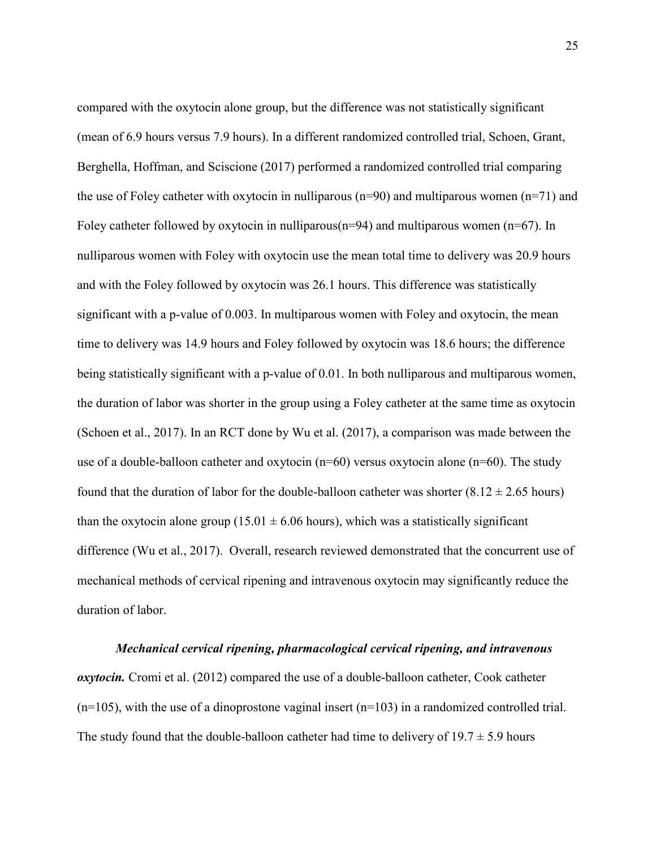compared with the oxytocin alone group, but the difference was not statistically significant (mean of 6.9 hours versus 7.9 hours). In a different randomized controlled trial, Schoen, Grant, Berghella, Hoffman, and Sciscione (2017) performed a randomized controlled trial comparing the use of Foley catheter with oxytocin in nulliparous (n=90) and multiparous women (n=71) and Foley catheter followed by oxytocin in nulliparous(n=94) and multiparous women (n=67). In nulliparous women with Foley with oxytocin use the mean total time to delivery was 20.9 hours and with the Foley followed by oxytocin was 26.1 hours. This difference was statistically significant with a p-value of 0.003. In multiparous women with Foley and oxytocin, the mean time to delivery was 14.9 hours and Foley followed by oxytocin was 18.6 hours; the difference being statistically significant with a p-value of 0.01. In both nulliparous and multiparous women, the duration of labor was shorter in the group using a Foley catheter at the same time as oxytocin (Schoen et al., 2017). In an RCT done by Wu et al. (2017), a comparison was made between the use of a double-balloon catheter and oxytocin (n=60) versus oxytocin alone (n=60). The study found that the duration of labor for the double-balloon catheter was shorter  $(8.12 \pm 2.65$  hours) than the oxytocin alone group (15.01  $\pm$  6.06 hours), which was a statistically significant difference (Wu et al., 2017). Overall, research reviewed demonstrated that the concurrent use of mechanical methods of cervical ripening and intravenous oxytocin may significantly reduce the duration of labor.

*Mechanical cervical ripening, pharmacological cervical ripening, and intravenous oxytocin.* Cromi et al. (2012) compared the use of a double-balloon catheter, Cook catheter  $(n=105)$ , with the use of a dinoprostone vaginal insert  $(n=103)$  in a randomized controlled trial. The study found that the double-balloon catheter had time to delivery of  $19.7 \pm 5.9$  hours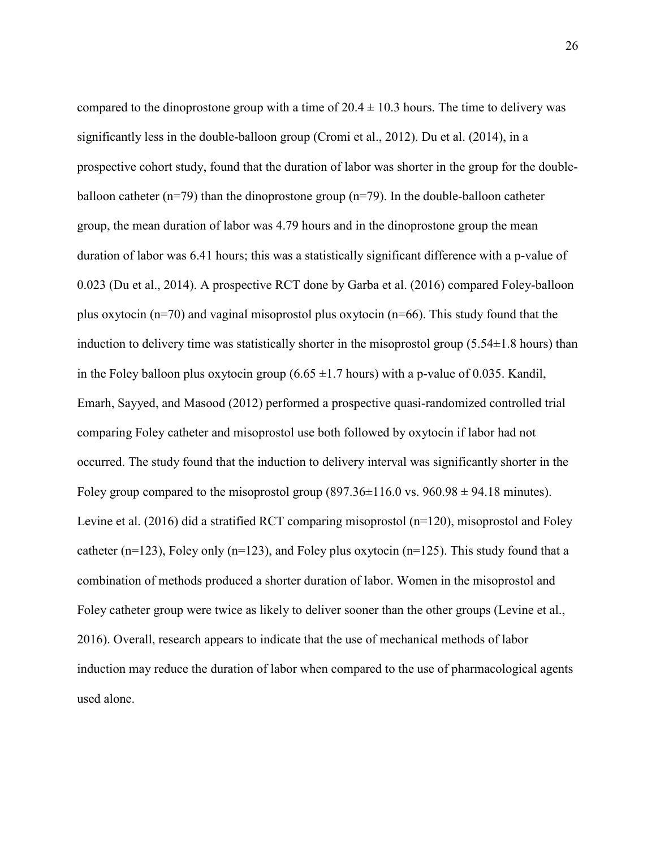compared to the dinoprostone group with a time of  $20.4 \pm 10.3$  hours. The time to delivery was significantly less in the double-balloon group (Cromi et al., 2012). Du et al. (2014), in a prospective cohort study, found that the duration of labor was shorter in the group for the doubleballoon catheter ( $n=79$ ) than the dinoprostone group ( $n=79$ ). In the double-balloon catheter group, the mean duration of labor was 4.79 hours and in the dinoprostone group the mean duration of labor was 6.41 hours; this was a statistically significant difference with a p-value of 0.023 (Du et al., 2014). A prospective RCT done by Garba et al. (2016) compared Foley-balloon plus oxytocin (n=70) and vaginal misoprostol plus oxytocin (n=66). This study found that the induction to delivery time was statistically shorter in the misoprostol group  $(5.54\pm1.8 \text{ hours})$  than in the Foley balloon plus oxytocin group (6.65  $\pm$ 1.7 hours) with a p-value of 0.035. Kandil, Emarh, Sayyed, and Masood (2012) performed a prospective quasi-randomized controlled trial comparing Foley catheter and misoprostol use both followed by oxytocin if labor had not occurred. The study found that the induction to delivery interval was significantly shorter in the Foley group compared to the misoprostol group  $(897.36\pm116.0 \text{ vs. } 960.98 \pm 94.18 \text{ minutes}).$ Levine et al. (2016) did a stratified RCT comparing misoprostol (n=120), misoprostol and Foley catheter (n=123), Foley only (n=123), and Foley plus oxytocin (n=125). This study found that a combination of methods produced a shorter duration of labor. Women in the misoprostol and Foley catheter group were twice as likely to deliver sooner than the other groups (Levine et al., 2016). Overall, research appears to indicate that the use of mechanical methods of labor induction may reduce the duration of labor when compared to the use of pharmacological agents used alone.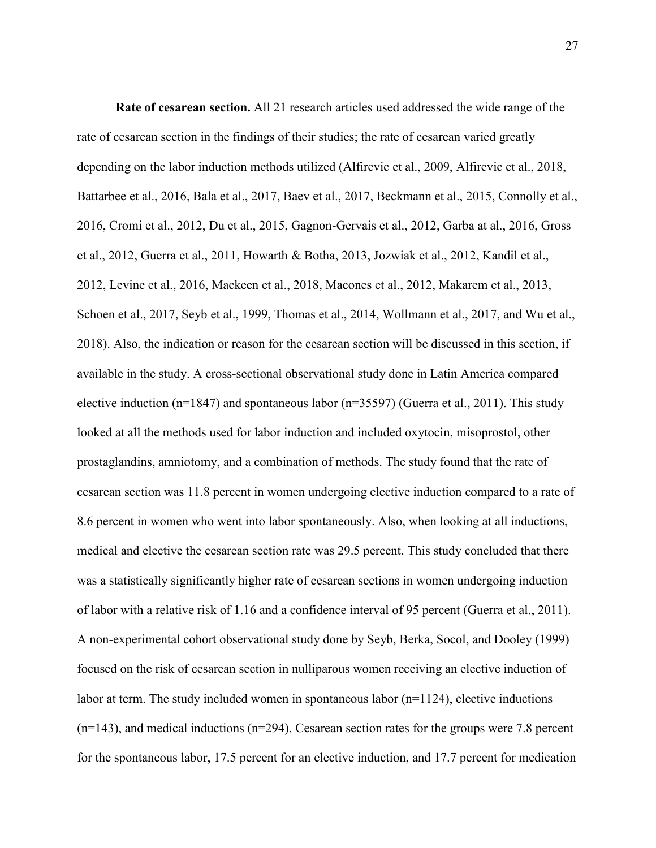**Rate of cesarean section.** All 21 research articles used addressed the wide range of the rate of cesarean section in the findings of their studies; the rate of cesarean varied greatly depending on the labor induction methods utilized (Alfirevic et al., 2009, Alfirevic et al., 2018, Battarbee et al., 2016, Bala et al., 2017, Baev et al., 2017, Beckmann et al., 2015, Connolly et al., 2016, Cromi et al., 2012, Du et al., 2015, Gagnon-Gervais et al., 2012, Garba at al., 2016, Gross et al., 2012, Guerra et al., 2011, Howarth & Botha, 2013, Jozwiak et al., 2012, Kandil et al., 2012, Levine et al., 2016, Mackeen et al., 2018, Macones et al., 2012, Makarem et al., 2013, Schoen et al., 2017, Seyb et al., 1999, Thomas et al., 2014, Wollmann et al., 2017, and Wu et al., 2018). Also, the indication or reason for the cesarean section will be discussed in this section, if available in the study. A cross-sectional observational study done in Latin America compared elective induction (n=1847) and spontaneous labor (n=35597) (Guerra et al., 2011). This study looked at all the methods used for labor induction and included oxytocin, misoprostol, other prostaglandins, amniotomy, and a combination of methods. The study found that the rate of cesarean section was 11.8 percent in women undergoing elective induction compared to a rate of 8.6 percent in women who went into labor spontaneously. Also, when looking at all inductions, medical and elective the cesarean section rate was 29.5 percent. This study concluded that there was a statistically significantly higher rate of cesarean sections in women undergoing induction of labor with a relative risk of 1.16 and a confidence interval of 95 percent (Guerra et al., 2011). A non-experimental cohort observational study done by Seyb, Berka, Socol, and Dooley (1999) focused on the risk of cesarean section in nulliparous women receiving an elective induction of labor at term. The study included women in spontaneous labor (n=1124), elective inductions  $(n=143)$ , and medical inductions  $(n=294)$ . Cesarean section rates for the groups were 7.8 percent for the spontaneous labor, 17.5 percent for an elective induction, and 17.7 percent for medication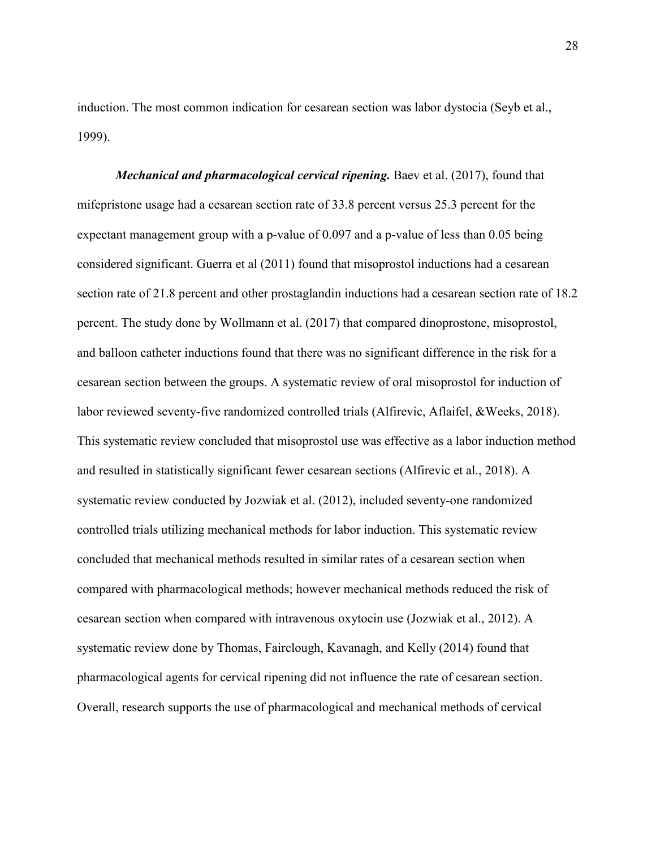induction. The most common indication for cesarean section was labor dystocia (Seyb et al., 1999).

*Mechanical and pharmacological cervical ripening.* Baev et al. (2017), found that mifepristone usage had a cesarean section rate of 33.8 percent versus 25.3 percent for the expectant management group with a p-value of 0.097 and a p-value of less than 0.05 being considered significant. Guerra et al (2011) found that misoprostol inductions had a cesarean section rate of 21.8 percent and other prostaglandin inductions had a cesarean section rate of 18.2 percent. The study done by Wollmann et al. (2017) that compared dinoprostone, misoprostol, and balloon catheter inductions found that there was no significant difference in the risk for a cesarean section between the groups. A systematic review of oral misoprostol for induction of labor reviewed seventy-five randomized controlled trials (Alfirevic, Aflaifel, &Weeks, 2018). This systematic review concluded that misoprostol use was effective as a labor induction method and resulted in statistically significant fewer cesarean sections (Alfirevic et al., 2018). A systematic review conducted by Jozwiak et al. (2012), included seventy-one randomized controlled trials utilizing mechanical methods for labor induction. This systematic review concluded that mechanical methods resulted in similar rates of a cesarean section when compared with pharmacological methods; however mechanical methods reduced the risk of cesarean section when compared with intravenous oxytocin use (Jozwiak et al., 2012). A systematic review done by Thomas, Fairclough, Kavanagh, and Kelly (2014) found that pharmacological agents for cervical ripening did not influence the rate of cesarean section. Overall, research supports the use of pharmacological and mechanical methods of cervical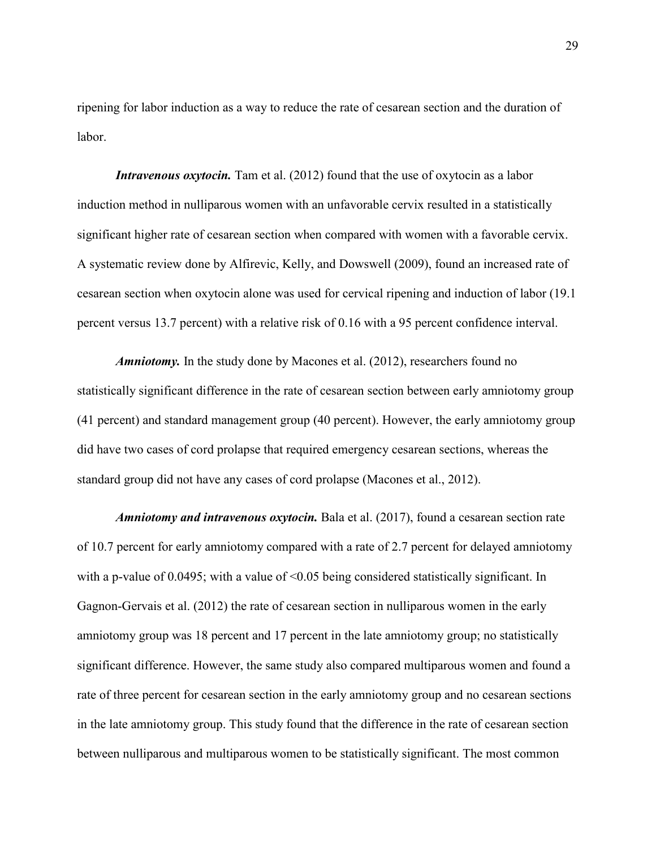ripening for labor induction as a way to reduce the rate of cesarean section and the duration of labor.

*Intravenous oxytocin.* Tam et al. (2012) found that the use of oxytocin as a labor induction method in nulliparous women with an unfavorable cervix resulted in a statistically significant higher rate of cesarean section when compared with women with a favorable cervix. A systematic review done by Alfirevic, Kelly, and Dowswell (2009), found an increased rate of cesarean section when oxytocin alone was used for cervical ripening and induction of labor (19.1 percent versus 13.7 percent) with a relative risk of 0.16 with a 95 percent confidence interval.

*Amniotomy.* In the study done by Macones et al. (2012), researchers found no statistically significant difference in the rate of cesarean section between early amniotomy group (41 percent) and standard management group (40 percent). However, the early amniotomy group did have two cases of cord prolapse that required emergency cesarean sections, whereas the standard group did not have any cases of cord prolapse (Macones et al., 2012).

*Amniotomy and intravenous oxytocin.* Bala et al. (2017), found a cesarean section rate of 10.7 percent for early amniotomy compared with a rate of 2.7 percent for delayed amniotomy with a p-value of 0.0495; with a value of <0.05 being considered statistically significant. In Gagnon-Gervais et al. (2012) the rate of cesarean section in nulliparous women in the early amniotomy group was 18 percent and 17 percent in the late amniotomy group; no statistically significant difference. However, the same study also compared multiparous women and found a rate of three percent for cesarean section in the early amniotomy group and no cesarean sections in the late amniotomy group. This study found that the difference in the rate of cesarean section between nulliparous and multiparous women to be statistically significant. The most common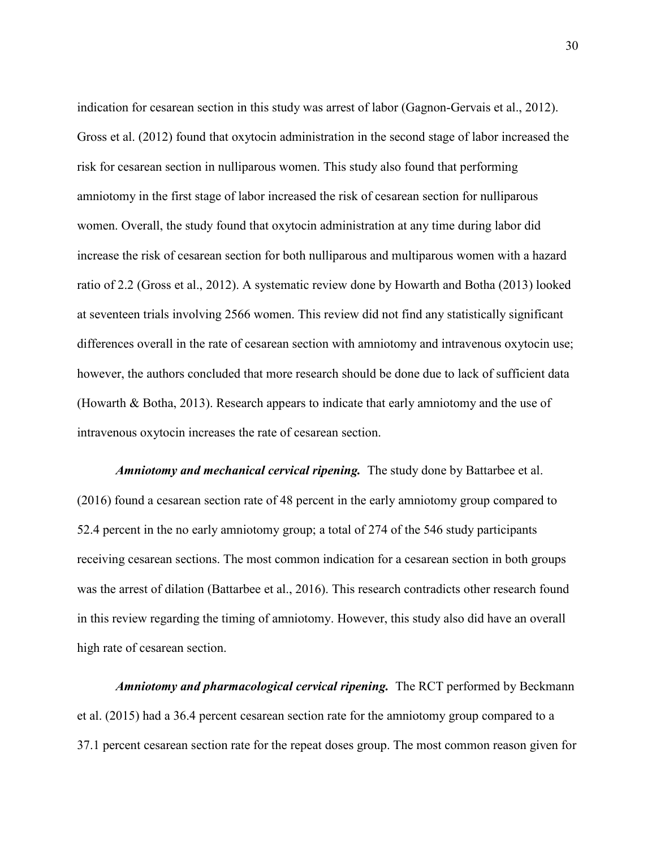indication for cesarean section in this study was arrest of labor (Gagnon-Gervais et al., 2012). Gross et al. (2012) found that oxytocin administration in the second stage of labor increased the risk for cesarean section in nulliparous women. This study also found that performing amniotomy in the first stage of labor increased the risk of cesarean section for nulliparous women. Overall, the study found that oxytocin administration at any time during labor did increase the risk of cesarean section for both nulliparous and multiparous women with a hazard ratio of 2.2 (Gross et al., 2012). A systematic review done by Howarth and Botha (2013) looked at seventeen trials involving 2566 women. This review did not find any statistically significant differences overall in the rate of cesarean section with amniotomy and intravenous oxytocin use; however, the authors concluded that more research should be done due to lack of sufficient data (Howarth & Botha, 2013). Research appears to indicate that early amniotomy and the use of intravenous oxytocin increases the rate of cesarean section.

*Amniotomy and mechanical cervical ripening.* The study done by Battarbee et al. (2016) found a cesarean section rate of 48 percent in the early amniotomy group compared to 52.4 percent in the no early amniotomy group; a total of 274 of the 546 study participants receiving cesarean sections. The most common indication for a cesarean section in both groups was the arrest of dilation (Battarbee et al., 2016). This research contradicts other research found in this review regarding the timing of amniotomy. However, this study also did have an overall high rate of cesarean section.

*Amniotomy and pharmacological cervical ripening.* The RCT performed by Beckmann et al. (2015) had a 36.4 percent cesarean section rate for the amniotomy group compared to a 37.1 percent cesarean section rate for the repeat doses group. The most common reason given for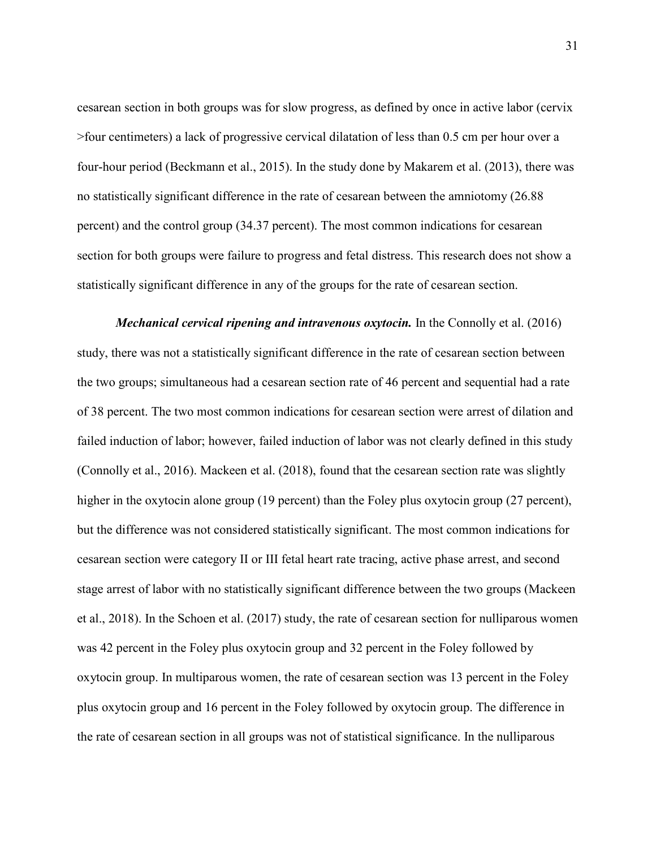cesarean section in both groups was for slow progress, as defined by once in active labor (cervix >four centimeters) a lack of progressive cervical dilatation of less than 0.5 cm per hour over a four-hour period (Beckmann et al., 2015). In the study done by Makarem et al. (2013), there was no statistically significant difference in the rate of cesarean between the amniotomy (26.88 percent) and the control group (34.37 percent). The most common indications for cesarean section for both groups were failure to progress and fetal distress. This research does not show a statistically significant difference in any of the groups for the rate of cesarean section.

*Mechanical cervical ripening and intravenous oxytocin.* In the Connolly et al. (2016) study, there was not a statistically significant difference in the rate of cesarean section between the two groups; simultaneous had a cesarean section rate of 46 percent and sequential had a rate of 38 percent. The two most common indications for cesarean section were arrest of dilation and failed induction of labor; however, failed induction of labor was not clearly defined in this study (Connolly et al., 2016). Mackeen et al. (2018), found that the cesarean section rate was slightly higher in the oxytocin alone group (19 percent) than the Foley plus oxytocin group (27 percent), but the difference was not considered statistically significant. The most common indications for cesarean section were category II or III fetal heart rate tracing, active phase arrest, and second stage arrest of labor with no statistically significant difference between the two groups (Mackeen et al., 2018). In the Schoen et al. (2017) study, the rate of cesarean section for nulliparous women was 42 percent in the Foley plus oxytocin group and 32 percent in the Foley followed by oxytocin group. In multiparous women, the rate of cesarean section was 13 percent in the Foley plus oxytocin group and 16 percent in the Foley followed by oxytocin group. The difference in the rate of cesarean section in all groups was not of statistical significance. In the nulliparous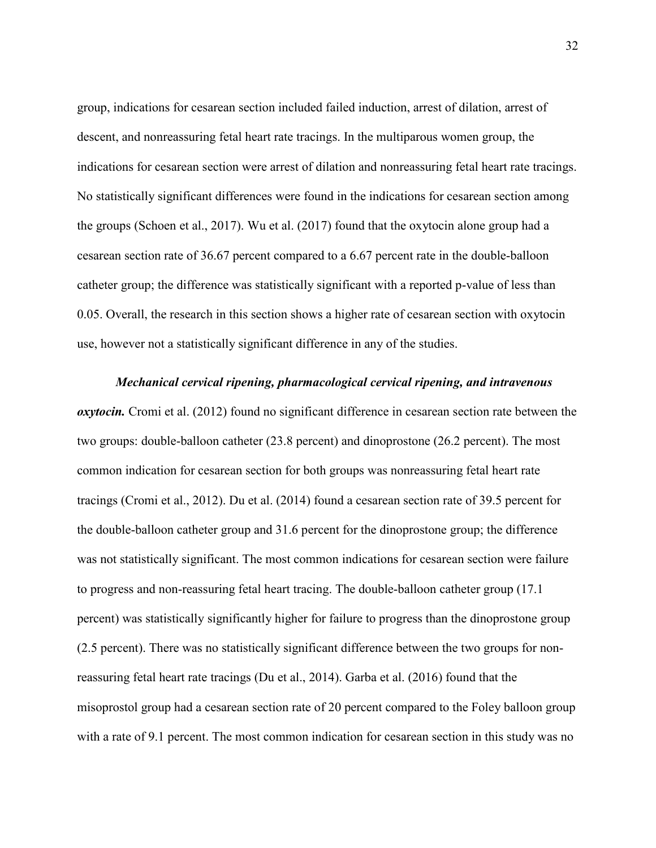group, indications for cesarean section included failed induction, arrest of dilation, arrest of descent, and nonreassuring fetal heart rate tracings. In the multiparous women group, the indications for cesarean section were arrest of dilation and nonreassuring fetal heart rate tracings. No statistically significant differences were found in the indications for cesarean section among the groups (Schoen et al., 2017). Wu et al. (2017) found that the oxytocin alone group had a cesarean section rate of 36.67 percent compared to a 6.67 percent rate in the double-balloon catheter group; the difference was statistically significant with a reported p-value of less than 0.05. Overall, the research in this section shows a higher rate of cesarean section with oxytocin use, however not a statistically significant difference in any of the studies.

*Mechanical cervical ripening, pharmacological cervical ripening, and intravenous oxytocin.* Cromi et al. (2012) found no significant difference in cesarean section rate between the two groups: double-balloon catheter (23.8 percent) and dinoprostone (26.2 percent). The most common indication for cesarean section for both groups was nonreassuring fetal heart rate tracings (Cromi et al., 2012). Du et al. (2014) found a cesarean section rate of 39.5 percent for the double-balloon catheter group and 31.6 percent for the dinoprostone group; the difference was not statistically significant. The most common indications for cesarean section were failure to progress and non-reassuring fetal heart tracing. The double-balloon catheter group (17.1 percent) was statistically significantly higher for failure to progress than the dinoprostone group (2.5 percent). There was no statistically significant difference between the two groups for nonreassuring fetal heart rate tracings (Du et al., 2014). Garba et al. (2016) found that the misoprostol group had a cesarean section rate of 20 percent compared to the Foley balloon group with a rate of 9.1 percent. The most common indication for cesarean section in this study was no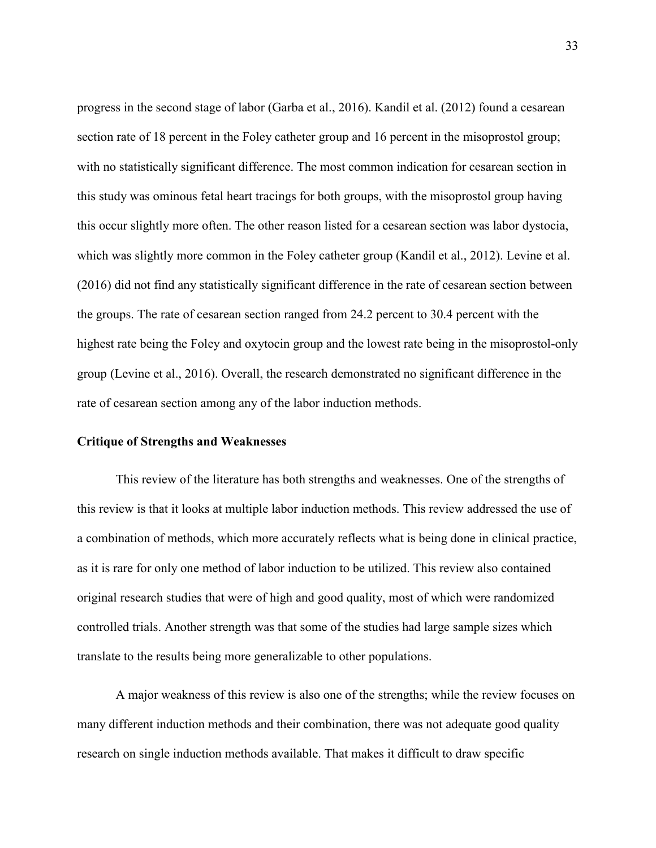progress in the second stage of labor (Garba et al., 2016). Kandil et al. (2012) found a cesarean section rate of 18 percent in the Foley catheter group and 16 percent in the misoprostol group; with no statistically significant difference. The most common indication for cesarean section in this study was ominous fetal heart tracings for both groups, with the misoprostol group having this occur slightly more often. The other reason listed for a cesarean section was labor dystocia, which was slightly more common in the Foley catheter group (Kandil et al., 2012). Levine et al. (2016) did not find any statistically significant difference in the rate of cesarean section between the groups. The rate of cesarean section ranged from 24.2 percent to 30.4 percent with the highest rate being the Foley and oxytocin group and the lowest rate being in the misoprostol-only group (Levine et al., 2016). Overall, the research demonstrated no significant difference in the rate of cesarean section among any of the labor induction methods.

#### **Critique of Strengths and Weaknesses**

This review of the literature has both strengths and weaknesses. One of the strengths of this review is that it looks at multiple labor induction methods. This review addressed the use of a combination of methods, which more accurately reflects what is being done in clinical practice, as it is rare for only one method of labor induction to be utilized. This review also contained original research studies that were of high and good quality, most of which were randomized controlled trials. Another strength was that some of the studies had large sample sizes which translate to the results being more generalizable to other populations.

A major weakness of this review is also one of the strengths; while the review focuses on many different induction methods and their combination, there was not adequate good quality research on single induction methods available. That makes it difficult to draw specific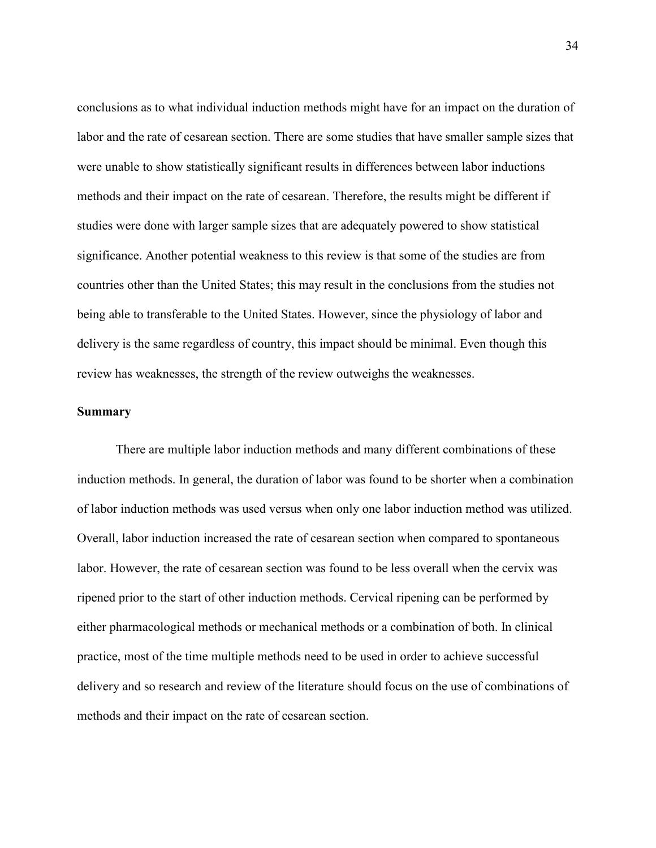conclusions as to what individual induction methods might have for an impact on the duration of labor and the rate of cesarean section. There are some studies that have smaller sample sizes that were unable to show statistically significant results in differences between labor inductions methods and their impact on the rate of cesarean. Therefore, the results might be different if studies were done with larger sample sizes that are adequately powered to show statistical significance. Another potential weakness to this review is that some of the studies are from countries other than the United States; this may result in the conclusions from the studies not being able to transferable to the United States. However, since the physiology of labor and delivery is the same regardless of country, this impact should be minimal. Even though this review has weaknesses, the strength of the review outweighs the weaknesses.

#### **Summary**

There are multiple labor induction methods and many different combinations of these induction methods. In general, the duration of labor was found to be shorter when a combination of labor induction methods was used versus when only one labor induction method was utilized. Overall, labor induction increased the rate of cesarean section when compared to spontaneous labor. However, the rate of cesarean section was found to be less overall when the cervix was ripened prior to the start of other induction methods. Cervical ripening can be performed by either pharmacological methods or mechanical methods or a combination of both. In clinical practice, most of the time multiple methods need to be used in order to achieve successful delivery and so research and review of the literature should focus on the use of combinations of methods and their impact on the rate of cesarean section.

34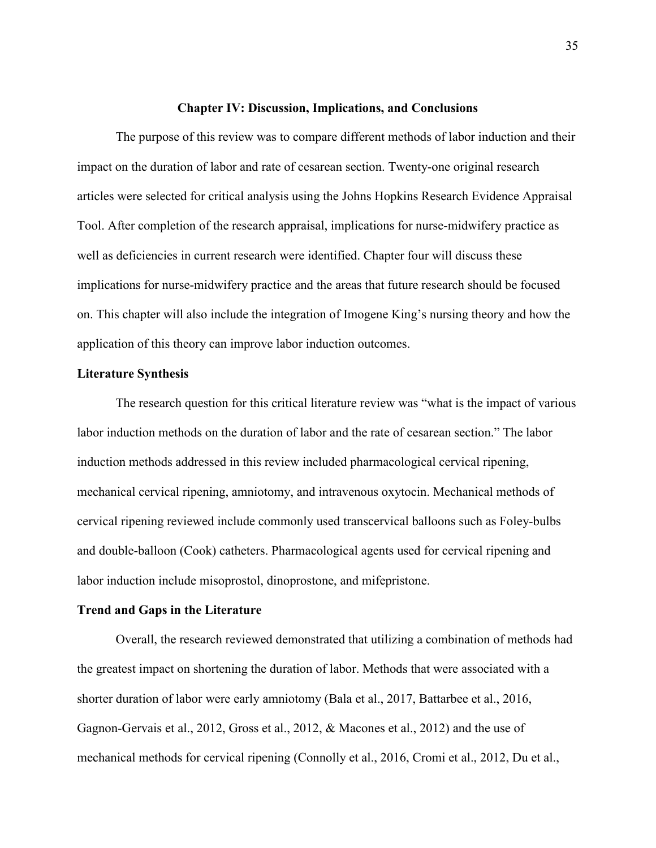#### **Chapter IV: Discussion, Implications, and Conclusions**

 The purpose of this review was to compare different methods of labor induction and their impact on the duration of labor and rate of cesarean section. Twenty-one original research articles were selected for critical analysis using the Johns Hopkins Research Evidence Appraisal Tool. After completion of the research appraisal, implications for nurse-midwifery practice as well as deficiencies in current research were identified. Chapter four will discuss these implications for nurse-midwifery practice and the areas that future research should be focused on. This chapter will also include the integration of Imogene King's nursing theory and how the application of this theory can improve labor induction outcomes.

#### **Literature Synthesis**

The research question for this critical literature review was "what is the impact of various labor induction methods on the duration of labor and the rate of cesarean section." The labor induction methods addressed in this review included pharmacological cervical ripening, mechanical cervical ripening, amniotomy, and intravenous oxytocin. Mechanical methods of cervical ripening reviewed include commonly used transcervical balloons such as Foley-bulbs and double-balloon (Cook) catheters. Pharmacological agents used for cervical ripening and labor induction include misoprostol, dinoprostone, and mifepristone.

#### **Trend and Gaps in the Literature**

 Overall, the research reviewed demonstrated that utilizing a combination of methods had the greatest impact on shortening the duration of labor. Methods that were associated with a shorter duration of labor were early amniotomy (Bala et al., 2017, Battarbee et al., 2016, Gagnon-Gervais et al., 2012, Gross et al., 2012, & Macones et al., 2012) and the use of mechanical methods for cervical ripening (Connolly et al., 2016, Cromi et al., 2012, Du et al.,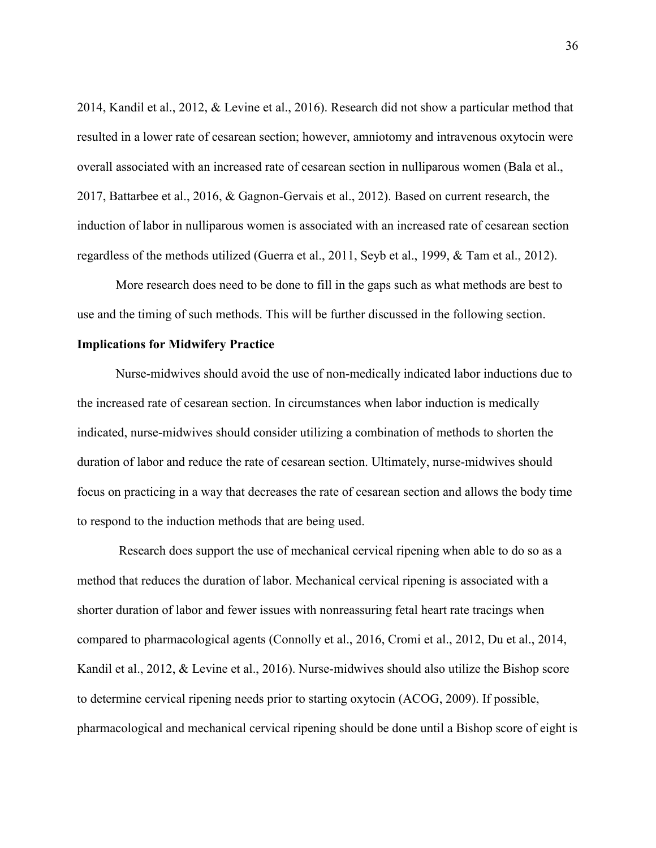2014, Kandil et al., 2012, & Levine et al., 2016). Research did not show a particular method that resulted in a lower rate of cesarean section; however, amniotomy and intravenous oxytocin were overall associated with an increased rate of cesarean section in nulliparous women (Bala et al., 2017, Battarbee et al., 2016, & Gagnon-Gervais et al., 2012). Based on current research, the induction of labor in nulliparous women is associated with an increased rate of cesarean section regardless of the methods utilized (Guerra et al., 2011, Seyb et al., 1999, & Tam et al., 2012).

 More research does need to be done to fill in the gaps such as what methods are best to use and the timing of such methods. This will be further discussed in the following section.

#### **Implications for Midwifery Practice**

Nurse-midwives should avoid the use of non-medically indicated labor inductions due to the increased rate of cesarean section. In circumstances when labor induction is medically indicated, nurse-midwives should consider utilizing a combination of methods to shorten the duration of labor and reduce the rate of cesarean section. Ultimately, nurse-midwives should focus on practicing in a way that decreases the rate of cesarean section and allows the body time to respond to the induction methods that are being used.

 Research does support the use of mechanical cervical ripening when able to do so as a method that reduces the duration of labor. Mechanical cervical ripening is associated with a shorter duration of labor and fewer issues with nonreassuring fetal heart rate tracings when compared to pharmacological agents (Connolly et al., 2016, Cromi et al., 2012, Du et al., 2014, Kandil et al., 2012, & Levine et al., 2016). Nurse-midwives should also utilize the Bishop score to determine cervical ripening needs prior to starting oxytocin (ACOG, 2009). If possible, pharmacological and mechanical cervical ripening should be done until a Bishop score of eight is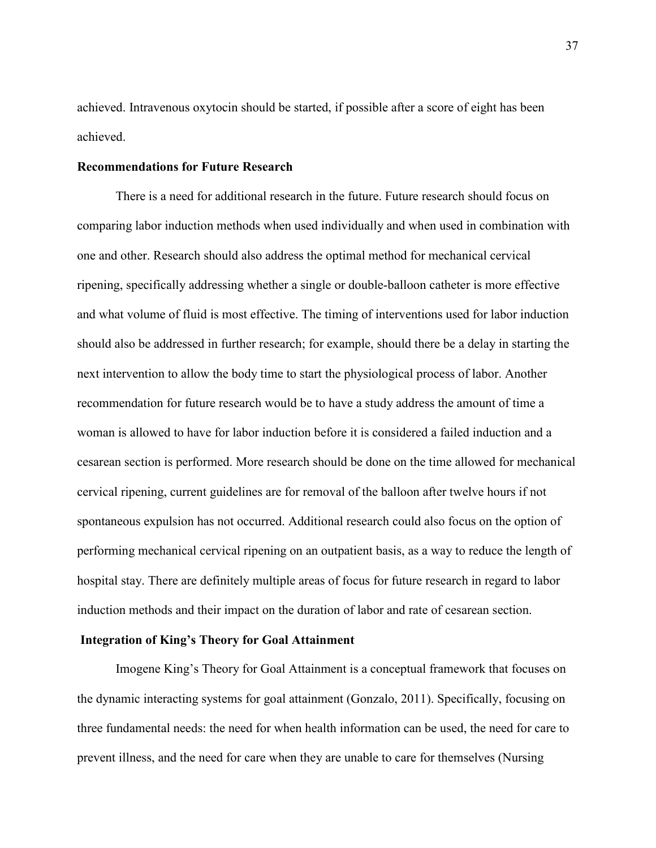achieved. Intravenous oxytocin should be started, if possible after a score of eight has been achieved.

#### **Recommendations for Future Research**

There is a need for additional research in the future. Future research should focus on comparing labor induction methods when used individually and when used in combination with one and other. Research should also address the optimal method for mechanical cervical ripening, specifically addressing whether a single or double-balloon catheter is more effective and what volume of fluid is most effective. The timing of interventions used for labor induction should also be addressed in further research; for example, should there be a delay in starting the next intervention to allow the body time to start the physiological process of labor. Another recommendation for future research would be to have a study address the amount of time a woman is allowed to have for labor induction before it is considered a failed induction and a cesarean section is performed. More research should be done on the time allowed for mechanical cervical ripening, current guidelines are for removal of the balloon after twelve hours if not spontaneous expulsion has not occurred. Additional research could also focus on the option of performing mechanical cervical ripening on an outpatient basis, as a way to reduce the length of hospital stay. There are definitely multiple areas of focus for future research in regard to labor induction methods and their impact on the duration of labor and rate of cesarean section.

#### **Integration of King's Theory for Goal Attainment**

Imogene King's Theory for Goal Attainment is a conceptual framework that focuses on the dynamic interacting systems for goal attainment (Gonzalo, 2011). Specifically, focusing on three fundamental needs: the need for when health information can be used, the need for care to prevent illness, and the need for care when they are unable to care for themselves (Nursing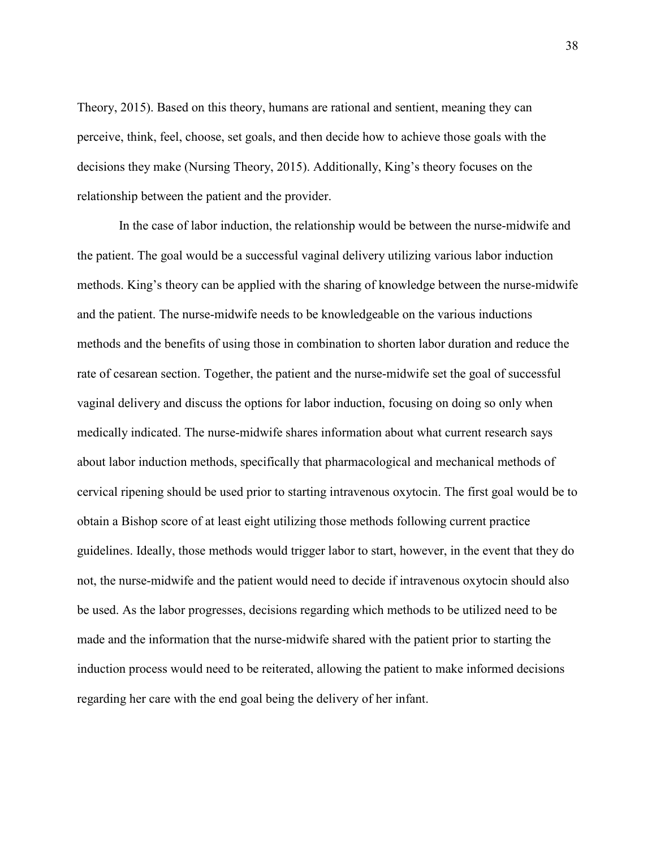Theory, 2015). Based on this theory, humans are rational and sentient, meaning they can perceive, think, feel, choose, set goals, and then decide how to achieve those goals with the decisions they make (Nursing Theory, 2015). Additionally, King's theory focuses on the relationship between the patient and the provider.

 In the case of labor induction, the relationship would be between the nurse-midwife and the patient. The goal would be a successful vaginal delivery utilizing various labor induction methods. King's theory can be applied with the sharing of knowledge between the nurse-midwife and the patient. The nurse-midwife needs to be knowledgeable on the various inductions methods and the benefits of using those in combination to shorten labor duration and reduce the rate of cesarean section. Together, the patient and the nurse-midwife set the goal of successful vaginal delivery and discuss the options for labor induction, focusing on doing so only when medically indicated. The nurse-midwife shares information about what current research says about labor induction methods, specifically that pharmacological and mechanical methods of cervical ripening should be used prior to starting intravenous oxytocin. The first goal would be to obtain a Bishop score of at least eight utilizing those methods following current practice guidelines. Ideally, those methods would trigger labor to start, however, in the event that they do not, the nurse-midwife and the patient would need to decide if intravenous oxytocin should also be used. As the labor progresses, decisions regarding which methods to be utilized need to be made and the information that the nurse-midwife shared with the patient prior to starting the induction process would need to be reiterated, allowing the patient to make informed decisions regarding her care with the end goal being the delivery of her infant.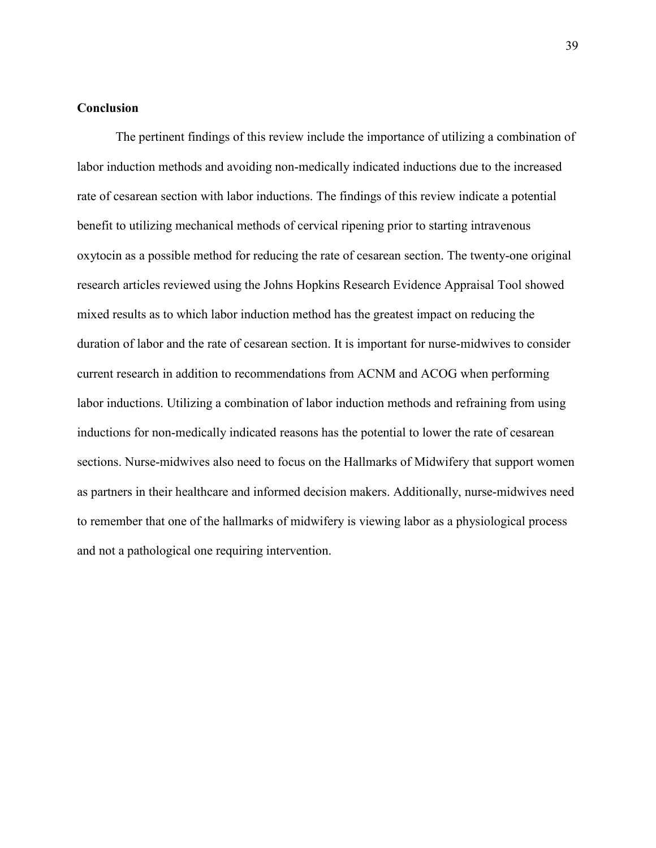#### **Conclusion**

 The pertinent findings of this review include the importance of utilizing a combination of labor induction methods and avoiding non-medically indicated inductions due to the increased rate of cesarean section with labor inductions. The findings of this review indicate a potential benefit to utilizing mechanical methods of cervical ripening prior to starting intravenous oxytocin as a possible method for reducing the rate of cesarean section. The twenty-one original research articles reviewed using the Johns Hopkins Research Evidence Appraisal Tool showed mixed results as to which labor induction method has the greatest impact on reducing the duration of labor and the rate of cesarean section. It is important for nurse-midwives to consider current research in addition to recommendations from ACNM and ACOG when performing labor inductions. Utilizing a combination of labor induction methods and refraining from using inductions for non-medically indicated reasons has the potential to lower the rate of cesarean sections. Nurse-midwives also need to focus on the Hallmarks of Midwifery that support women as partners in their healthcare and informed decision makers. Additionally, nurse-midwives need to remember that one of the hallmarks of midwifery is viewing labor as a physiological process and not a pathological one requiring intervention.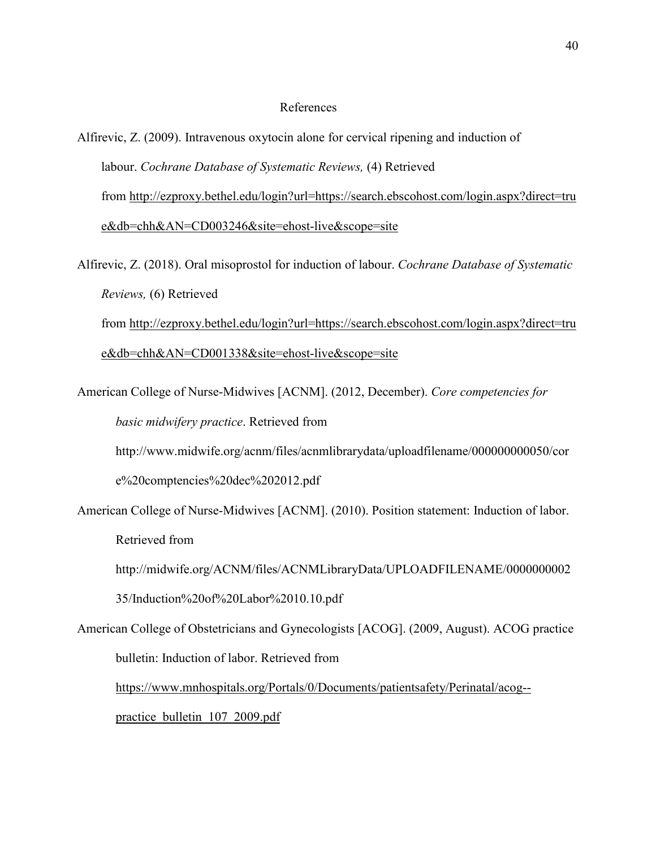#### References

Alfirevic, Z. (2009). Intravenous oxytocin alone for cervical ripening and induction of labour. *Cochrane Database of Systematic Reviews,* (4) Retrieved from [http://ezproxy.bethel.edu/login?url=https://search.ebscohost.com/login.aspx?direct=tru](http://ezproxy.bethel.edu/login?url=https://search.ebscohost.com/login.aspx?direct=true&db=chh&AN=CD003246&site=ehost-live&scope=site) [e&db=chh&AN=CD003246&site=ehost-live&scope=site](http://ezproxy.bethel.edu/login?url=https://search.ebscohost.com/login.aspx?direct=true&db=chh&AN=CD003246&site=ehost-live&scope=site)

Alfirevic, Z. (2018). Oral misoprostol for induction of labour. *Cochrane Database of Systematic Reviews,* (6) Retrieved from [http://ezproxy.bethel.edu/login?url=https://search.ebscohost.com/login.aspx?direct=tru](http://ezproxy.bethel.edu/login?url=https://search.ebscohost.com/login.aspx?direct=true&db=chh&AN=CD001338&site=ehost-live&scope=site) [e&db=chh&AN=CD001338&site=ehost-live&scope=site](http://ezproxy.bethel.edu/login?url=https://search.ebscohost.com/login.aspx?direct=true&db=chh&AN=CD001338&site=ehost-live&scope=site)

American College of Nurse-Midwives [ACNM]. (2012, December). *Core competencies for basic midwifery practice*. Retrieved from

http://www.midwife.org/acnm/files/acnmlibrarydata/uploadfilename/000000000050/cor

e%20comptencies%20dec%202012.pdf

American College of Nurse-Midwives [ACNM]. (2010). Position statement: Induction of labor.

Retrieved from

http://midwife.org/ACNM/files/ACNMLibraryData/UPLOADFILENAME/0000000002

35/Induction%20of%20Labor%2010.10.pdf

American College of Obstetricians and Gynecologists [ACOG]. (2009, August). ACOG practice bulletin: Induction of labor. Retrieved from

[https://www.mnhospitals.org/Portals/0/Documents/patientsafety/Perinatal/acog--](https://www.mnhospitals.org/Portals/0/Documents/patientsafety/Perinatal/acog--practice_bulletin_107_2009.pdf)

[practice\\_bulletin\\_107\\_2009.pdf](https://www.mnhospitals.org/Portals/0/Documents/patientsafety/Perinatal/acog--practice_bulletin_107_2009.pdf)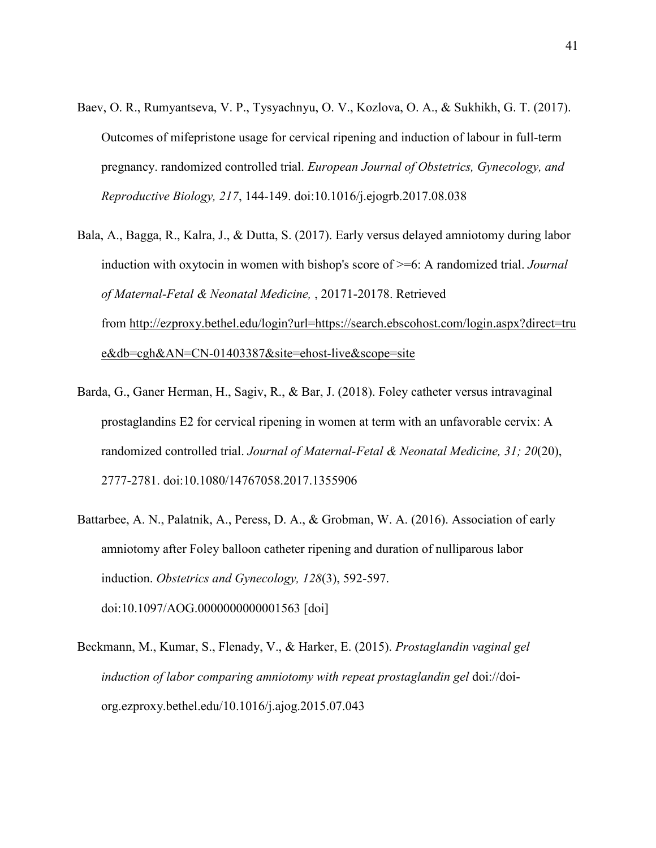- Baev, O. R., Rumyantseva, V. P., Tysyachnyu, O. V., Kozlova, O. A., & Sukhikh, G. T. (2017). Outcomes of mifepristone usage for cervical ripening and induction of labour in full-term pregnancy. randomized controlled trial. *European Journal of Obstetrics, Gynecology, and Reproductive Biology, 217*, 144-149. doi:10.1016/j.ejogrb.2017.08.038
- Bala, A., Bagga, R., Kalra, J., & Dutta, S. (2017). Early versus delayed amniotomy during labor induction with oxytocin in women with bishop's score of >=6: A randomized trial. *Journal of Maternal-Fetal & Neonatal Medicine,* , 20171-20178. Retrieved from [http://ezproxy.bethel.edu/login?url=https://search.ebscohost.com/login.aspx?direct=tru](http://ezproxy.bethel.edu/login?url=https://search.ebscohost.com/login.aspx?direct=true&db=cgh&AN=CN-01403387&site=ehost-live&scope=site) [e&db=cgh&AN=CN-01403387&site=ehost-live&scope=site](http://ezproxy.bethel.edu/login?url=https://search.ebscohost.com/login.aspx?direct=true&db=cgh&AN=CN-01403387&site=ehost-live&scope=site)
- Barda, G., Ganer Herman, H., Sagiv, R., & Bar, J. (2018). Foley catheter versus intravaginal prostaglandins E2 for cervical ripening in women at term with an unfavorable cervix: A randomized controlled trial. *Journal of Maternal-Fetal & Neonatal Medicine, 31; 20*(20), 2777-2781. doi:10.1080/14767058.2017.1355906
- Battarbee, A. N., Palatnik, A., Peress, D. A., & Grobman, W. A. (2016). Association of early amniotomy after Foley balloon catheter ripening and duration of nulliparous labor induction. *Obstetrics and Gynecology, 128*(3), 592-597. doi:10.1097/AOG.0000000000001563 [doi]
- Beckmann, M., Kumar, S., Flenady, V., & Harker, E. (2015). *Prostaglandin vaginal gel induction of labor comparing amniotomy with repeat prostaglandin gel* doi://doiorg.ezproxy.bethel.edu/10.1016/j.ajog.2015.07.043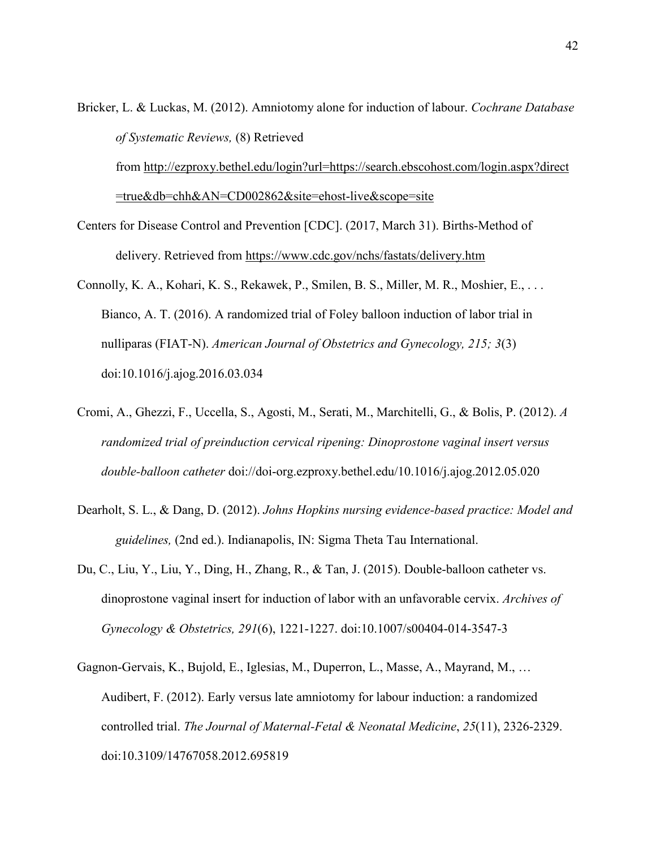Bricker, L. & Luckas, M. (2012). Amniotomy alone for induction of labour. *Cochrane Database of Systematic Reviews,* (8) Retrieved from [http://ezproxy.bethel.edu/login?url=https://search.ebscohost.com/login.aspx?direct](http://ezproxy.bethel.edu/login?url=https://search.ebscohost.com/login.aspx?direct=true&db=chh&AN=CD002862&site=ehost-live&scope=site)

[=true&db=chh&AN=CD002862&site=ehost-live&scope=site](http://ezproxy.bethel.edu/login?url=https://search.ebscohost.com/login.aspx?direct=true&db=chh&AN=CD002862&site=ehost-live&scope=site)

- Centers for Disease Control and Prevention [CDC]. (2017, March 31). Births-Method of delivery. Retrieved from<https://www.cdc.gov/nchs/fastats/delivery.htm>
- Connolly, K. A., Kohari, K. S., Rekawek, P., Smilen, B. S., Miller, M. R., Moshier, E., . . . Bianco, A. T. (2016). A randomized trial of Foley balloon induction of labor trial in nulliparas (FIAT-N). *American Journal of Obstetrics and Gynecology, 215; 3*(3) doi:10.1016/j.ajog.2016.03.034
- Cromi, A., Ghezzi, F., Uccella, S., Agosti, M., Serati, M., Marchitelli, G., & Bolis, P. (2012). *A randomized trial of preinduction cervical ripening: Dinoprostone vaginal insert versus double-balloon catheter* doi://doi-org.ezproxy.bethel.edu/10.1016/j.ajog.2012.05.020
- Dearholt, S. L., & Dang, D. (2012). *Johns Hopkins nursing evidence-based practice: Model and guidelines,* (2nd ed.). Indianapolis, IN: Sigma Theta Tau International.
- Du, C., Liu, Y., Liu, Y., Ding, H., Zhang, R., & Tan, J. (2015). Double-balloon catheter vs. dinoprostone vaginal insert for induction of labor with an unfavorable cervix. *Archives of Gynecology & Obstetrics, 291*(6), 1221-1227. doi:10.1007/s00404-014-3547-3
- Gagnon-Gervais, K., Bujold, E., Iglesias, M., Duperron, L., Masse, A., Mayrand, M., … Audibert, F. (2012). Early versus late amniotomy for labour induction: a randomized controlled trial. *The Journal of Maternal-Fetal & Neonatal Medicine*, *25*(11), 2326-2329. doi:10.3109/14767058.2012.695819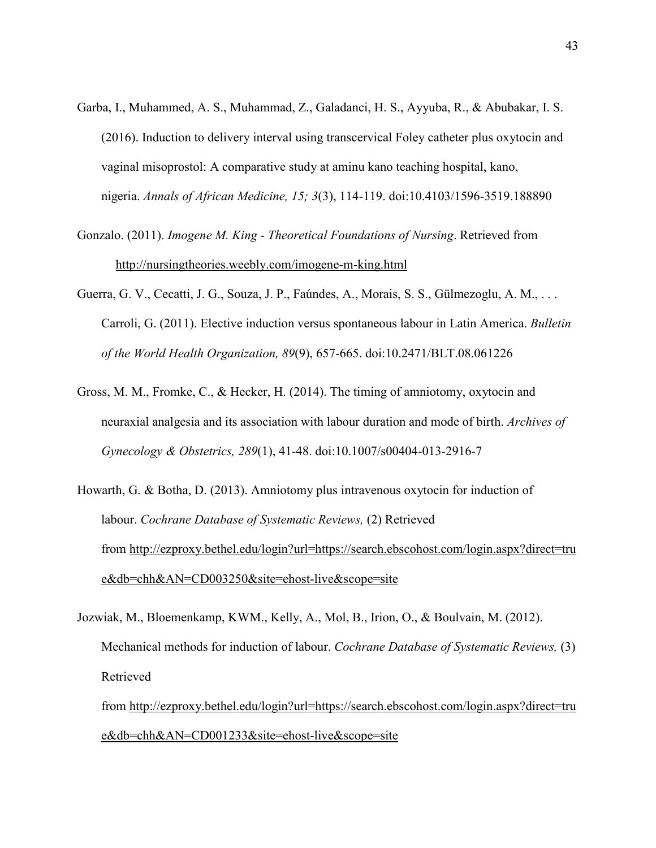- Garba, I., Muhammed, A. S., Muhammad, Z., Galadanci, H. S., Ayyuba, R., & Abubakar, I. S. (2016). Induction to delivery interval using transcervical Foley catheter plus oxytocin and vaginal misoprostol: A comparative study at aminu kano teaching hospital, kano, nigeria. *Annals of African Medicine, 15; 3*(3), 114-119. doi:10.4103/1596-3519.188890
- Gonzalo. (2011). *Imogene M. King Theoretical Foundations of Nursing*. Retrieved from <http://nursingtheories.weebly.com/imogene-m-king.html>
- Guerra, G. V., Cecatti, J. G., Souza, J. P., Faúndes, A., Morais, S. S., Gülmezoglu, A. M., . . . Carroli, G. (2011). Elective induction versus spontaneous labour in Latin America. *Bulletin of the World Health Organization, 89*(9), 657-665. doi:10.2471/BLT.08.061226
- Gross, M. M., Fromke, C., & Hecker, H. (2014). The timing of amniotomy, oxytocin and neuraxial analgesia and its association with labour duration and mode of birth. *Archives of Gynecology & Obstetrics, 289*(1), 41-48. doi:10.1007/s00404-013-2916-7
- Howarth, G. & Botha, D. (2013). Amniotomy plus intravenous oxytocin for induction of labour. *Cochrane Database of Systematic Reviews,* (2) Retrieved from [http://ezproxy.bethel.edu/login?url=https://search.ebscohost.com/login.aspx?direct=tru](http://ezproxy.bethel.edu/login?url=https://search.ebscohost.com/login.aspx?direct=true&db=chh&AN=CD003250&site=ehost-live&scope=site) [e&db=chh&AN=CD003250&site=ehost-live&scope=site](http://ezproxy.bethel.edu/login?url=https://search.ebscohost.com/login.aspx?direct=true&db=chh&AN=CD003250&site=ehost-live&scope=site)
- Jozwiak, M., Bloemenkamp, KWM., Kelly, A., Mol, B., Irion, O., & Boulvain, M. (2012). Mechanical methods for induction of labour. *Cochrane Database of Systematic Reviews,* (3) Retrieved from [http://ezproxy.bethel.edu/login?url=https://search.ebscohost.com/login.aspx?direct=tru](http://ezproxy.bethel.edu/login?url=https://search.ebscohost.com/login.aspx?direct=true&db=chh&AN=CD001233&site=ehost-live&scope=site)

[e&db=chh&AN=CD001233&site=ehost-live&scope=site](http://ezproxy.bethel.edu/login?url=https://search.ebscohost.com/login.aspx?direct=true&db=chh&AN=CD001233&site=ehost-live&scope=site)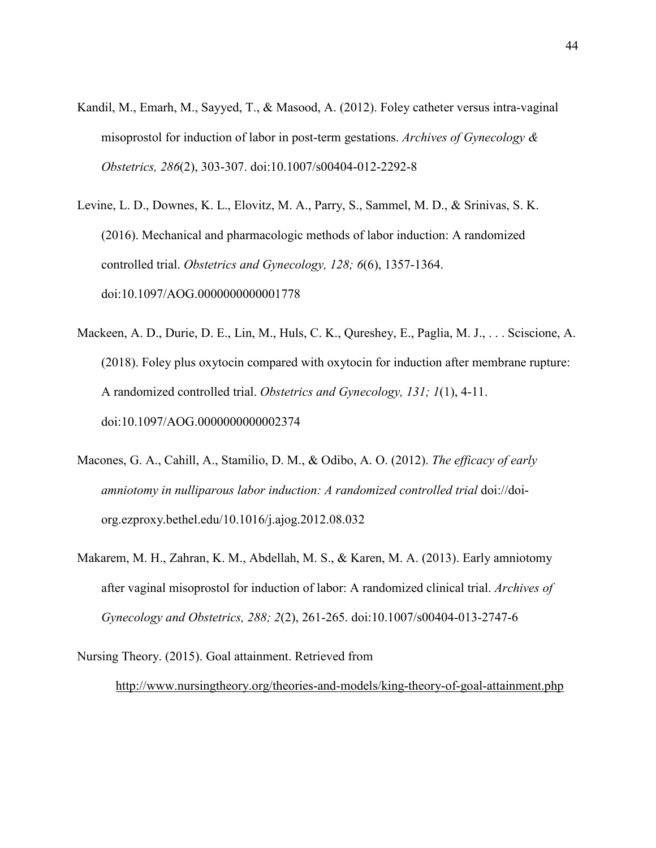- Kandil, M., Emarh, M., Sayyed, T., & Masood, A. (2012). Foley catheter versus intra-vaginal misoprostol for induction of labor in post-term gestations. *Archives of Gynecology & Obstetrics, 286*(2), 303-307. doi:10.1007/s00404-012-2292-8
- Levine, L. D., Downes, K. L., Elovitz, M. A., Parry, S., Sammel, M. D., & Srinivas, S. K. (2016). Mechanical and pharmacologic methods of labor induction: A randomized controlled trial. *Obstetrics and Gynecology, 128; 6*(6), 1357-1364. doi:10.1097/AOG.0000000000001778
- Mackeen, A. D., Durie, D. E., Lin, M., Huls, C. K., Qureshey, E., Paglia, M. J., . . . Sciscione, A. (2018). Foley plus oxytocin compared with oxytocin for induction after membrane rupture: A randomized controlled trial. *Obstetrics and Gynecology, 131; 1*(1), 4-11. doi:10.1097/AOG.0000000000002374
- Macones, G. A., Cahill, A., Stamilio, D. M., & Odibo, A. O. (2012). *The efficacy of early amniotomy in nulliparous labor induction: A randomized controlled trial* doi://doiorg.ezproxy.bethel.edu/10.1016/j.ajog.2012.08.032
- Makarem, M. H., Zahran, K. M., Abdellah, M. S., & Karen, M. A. (2013). Early amniotomy after vaginal misoprostol for induction of labor: A randomized clinical trial. *Archives of Gynecology and Obstetrics, 288; 2*(2), 261-265. doi:10.1007/s00404-013-2747-6

Nursing Theory. (2015). Goal attainment. Retrieved from <http://www.nursingtheory.org/theories-and-models/king-theory-of-goal-attainment.php>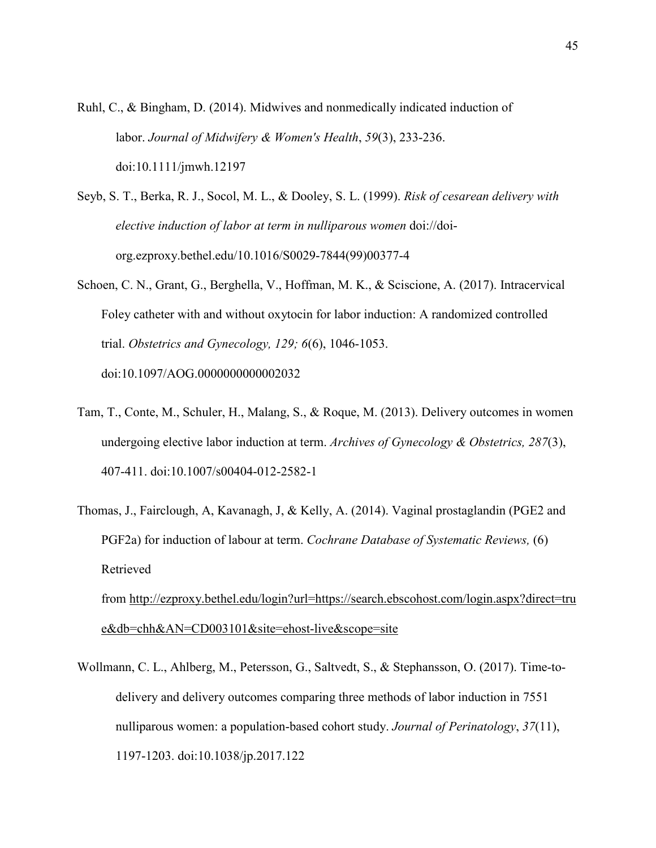- Ruhl, C., & Bingham, D. (2014). Midwives and nonmedically indicated induction of labor. *Journal of Midwifery & Women's Health*, *59*(3), 233-236. doi:10.1111/jmwh.12197
- Seyb, S. T., Berka, R. J., Socol, M. L., & Dooley, S. L. (1999). *Risk of cesarean delivery with elective induction of labor at term in nulliparous women* doi://doiorg.ezproxy.bethel.edu/10.1016/S0029-7844(99)00377-4
- Schoen, C. N., Grant, G., Berghella, V., Hoffman, M. K., & Sciscione, A. (2017). Intracervical Foley catheter with and without oxytocin for labor induction: A randomized controlled trial. *Obstetrics and Gynecology, 129; 6*(6), 1046-1053. doi:10.1097/AOG.0000000000002032
- Tam, T., Conte, M., Schuler, H., Malang, S., & Roque, M. (2013). Delivery outcomes in women undergoing elective labor induction at term. *Archives of Gynecology & Obstetrics, 287*(3), 407-411. doi:10.1007/s00404-012-2582-1
- Thomas, J., Fairclough, A, Kavanagh, J, & Kelly, A. (2014). Vaginal prostaglandin (PGE2 and PGF2a) for induction of labour at term. *Cochrane Database of Systematic Reviews,* (6) Retrieved

from [http://ezproxy.bethel.edu/login?url=https://search.ebscohost.com/login.aspx?direct=tru](http://ezproxy.bethel.edu/login?url=https://search.ebscohost.com/login.aspx?direct=true&db=chh&AN=CD003101&site=ehost-live&scope=site) [e&db=chh&AN=CD003101&site=ehost-live&scope=site](http://ezproxy.bethel.edu/login?url=https://search.ebscohost.com/login.aspx?direct=true&db=chh&AN=CD003101&site=ehost-live&scope=site)

Wollmann, C. L., Ahlberg, M., Petersson, G., Saltvedt, S., & Stephansson, O. (2017). Time-todelivery and delivery outcomes comparing three methods of labor induction in 7551 nulliparous women: a population-based cohort study. *Journal of Perinatology*, *37*(11), 1197-1203. doi:10.1038/jp.2017.122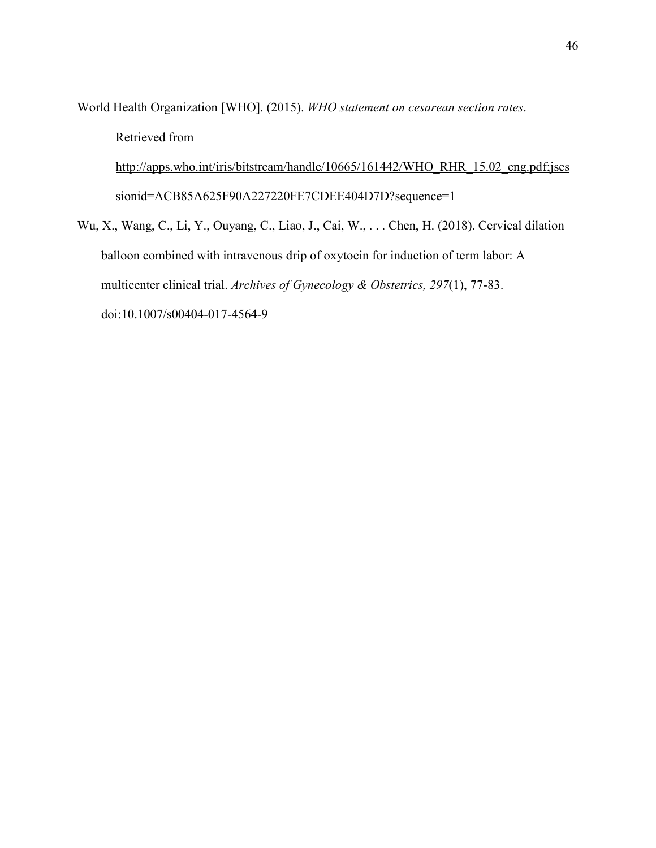World Health Organization [WHO]. (2015). *WHO statement on cesarean section rates*. Retrieved from [http://apps.who.int/iris/bitstream/handle/10665/161442/WHO\\_RHR\\_15.02\\_eng.pdf;jses](http://apps.who.int/iris/bitstream/handle/10665/161442/WHO_RHR_15.02_eng.pdf;jsessionid=ACB85A625F90A227220FE7CDEE404D7D?sequence=1)

[sionid=ACB85A625F90A227220FE7CDEE404D7D?sequence=1](http://apps.who.int/iris/bitstream/handle/10665/161442/WHO_RHR_15.02_eng.pdf;jsessionid=ACB85A625F90A227220FE7CDEE404D7D?sequence=1)

Wu, X., Wang, C., Li, Y., Ouyang, C., Liao, J., Cai, W., . . . Chen, H. (2018). Cervical dilation balloon combined with intravenous drip of oxytocin for induction of term labor: A multicenter clinical trial. *Archives of Gynecology & Obstetrics, 297*(1), 77-83. doi:10.1007/s00404-017-4564-9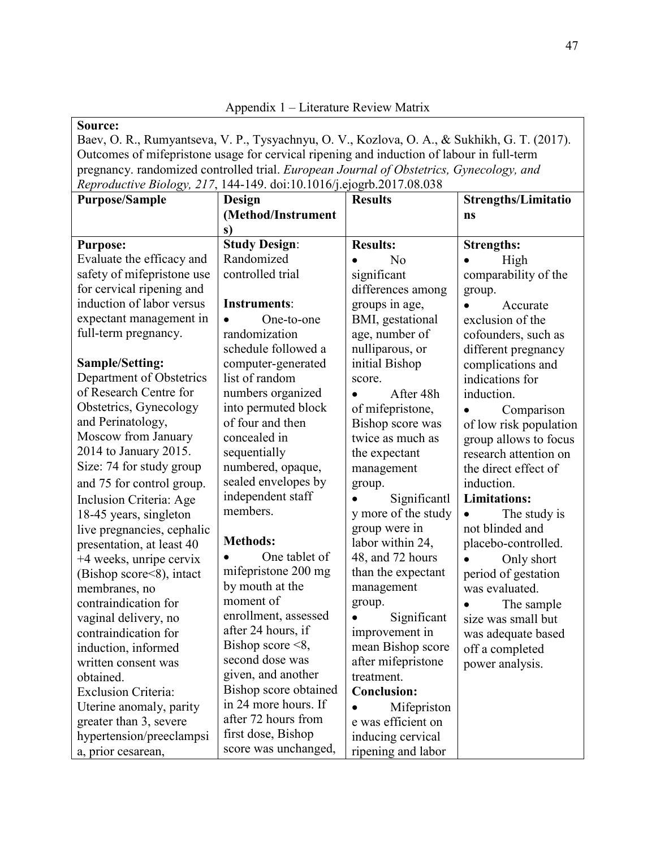**Source:** Baev, O. R., Rumyantseva, V. P., Tysyachnyu, O. V., Kozlova, O. A., & Sukhikh, G. T. (2017). Outcomes of mifepristone usage for cervical ripening and induction of labour in full-term pregnancy. randomized controlled trial. *European Journal of Obstetrics, Gynecology, and Reproductive Biology, 217*, 144-149. doi:10.1016/j.ejogrb.2017.08.038

| $\mathbf{u}$ . Modern Brows , $\mathbf{u}$ , $\mathbf{u}$ , $\mathbf{u}$ , $\mathbf{u}$ , $\mathbf{u}$ , $\mathbf{u}$ , $\mathbf{u}$ , $\mathbf{u}$ , $\mathbf{v}$ , $\mathbf{v}$ , $\mathbf{v}$ , $\mathbf{u}$ , $\mathbf{u}$ , $\mathbf{v}$ , $\mathbf{v}$ , $\mathbf{v}$ , $\mathbf{v}$ , $\mathbf{v}$ , $\mathbf{v}$ , $\mathbf{$<br><b>Purpose/Sample</b> | Design                                    | <b>Results</b>              | <b>Strengths/Limitatio</b> |
|----------------------------------------------------------------------------------------------------------------------------------------------------------------------------------------------------------------------------------------------------------------------------------------------------------------------------------------------------------------|-------------------------------------------|-----------------------------|----------------------------|
|                                                                                                                                                                                                                                                                                                                                                                | (Method/Instrument                        |                             | ns                         |
|                                                                                                                                                                                                                                                                                                                                                                | s)                                        |                             |                            |
| <b>Purpose:</b>                                                                                                                                                                                                                                                                                                                                                | <b>Study Design:</b>                      | <b>Results:</b>             | <b>Strengths:</b>          |
| Evaluate the efficacy and                                                                                                                                                                                                                                                                                                                                      | Randomized                                | N <sub>0</sub><br>$\bullet$ | High<br>$\bullet$          |
| safety of mifepristone use                                                                                                                                                                                                                                                                                                                                     | controlled trial                          | significant                 | comparability of the       |
| for cervical ripening and                                                                                                                                                                                                                                                                                                                                      |                                           | differences among           | group.                     |
| induction of labor versus                                                                                                                                                                                                                                                                                                                                      | Instruments:                              | groups in age,              | Accurate                   |
| expectant management in                                                                                                                                                                                                                                                                                                                                        | One-to-one<br>$\bullet$                   | BMI, gestational            | exclusion of the           |
| full-term pregnancy.                                                                                                                                                                                                                                                                                                                                           | randomization                             | age, number of              | cofounders, such as        |
|                                                                                                                                                                                                                                                                                                                                                                | schedule followed a                       | nulliparous, or             | different pregnancy        |
| <b>Sample/Setting:</b>                                                                                                                                                                                                                                                                                                                                         | computer-generated                        | initial Bishop              | complications and          |
| Department of Obstetrics                                                                                                                                                                                                                                                                                                                                       | list of random                            | score.                      | indications for            |
| of Research Centre for                                                                                                                                                                                                                                                                                                                                         | numbers organized                         | After 48h                   | induction.                 |
| Obstetrics, Gynecology                                                                                                                                                                                                                                                                                                                                         | into permuted block                       | of mifepristone,            | Comparison<br>$\bullet$    |
| and Perinatology,                                                                                                                                                                                                                                                                                                                                              | of four and then                          | Bishop score was            | of low risk population     |
| Moscow from January                                                                                                                                                                                                                                                                                                                                            | concealed in                              | twice as much as            | group allows to focus      |
| 2014 to January 2015.                                                                                                                                                                                                                                                                                                                                          | sequentially                              | the expectant               | research attention on      |
| Size: 74 for study group                                                                                                                                                                                                                                                                                                                                       | numbered, opaque,                         | management                  | the direct effect of       |
| and 75 for control group.                                                                                                                                                                                                                                                                                                                                      | sealed envelopes by                       | group.                      | induction.                 |
| Inclusion Criteria: Age                                                                                                                                                                                                                                                                                                                                        | independent staff                         | Significantl<br>$\bullet$   | <b>Limitations:</b>        |
| 18-45 years, singleton                                                                                                                                                                                                                                                                                                                                         | members.                                  | y more of the study         | The study is<br>$\bullet$  |
| live pregnancies, cephalic                                                                                                                                                                                                                                                                                                                                     |                                           | group were in               | not blinded and            |
| presentation, at least 40                                                                                                                                                                                                                                                                                                                                      | <b>Methods:</b>                           | labor within 24,            | placebo-controlled.        |
| +4 weeks, unripe cervix                                                                                                                                                                                                                                                                                                                                        | One tablet of                             | 48, and 72 hours            | Only short<br>$\bullet$    |
| (Bishop score <8), intact                                                                                                                                                                                                                                                                                                                                      | mifepristone 200 mg                       | than the expectant          | period of gestation        |
| membranes, no                                                                                                                                                                                                                                                                                                                                                  | by mouth at the                           | management                  | was evaluated.             |
| contraindication for                                                                                                                                                                                                                                                                                                                                           | moment of                                 | group.                      | The sample                 |
| vaginal delivery, no                                                                                                                                                                                                                                                                                                                                           | enrollment, assessed                      | Significant                 | size was small but         |
| contraindication for                                                                                                                                                                                                                                                                                                                                           | after 24 hours, if                        | improvement in              | was adequate based         |
| induction, informed                                                                                                                                                                                                                                                                                                                                            | Bishop score $\leq$ 8,<br>second dose was | mean Bishop score           | off a completed            |
| written consent was                                                                                                                                                                                                                                                                                                                                            | given, and another                        | after mifepristone          | power analysis.            |
| obtained.                                                                                                                                                                                                                                                                                                                                                      | Bishop score obtained                     | treatment.                  |                            |
| <b>Exclusion Criteria:</b>                                                                                                                                                                                                                                                                                                                                     | in 24 more hours. If                      | <b>Conclusion:</b>          |                            |
| Uterine anomaly, parity                                                                                                                                                                                                                                                                                                                                        | after 72 hours from                       | Mifepriston                 |                            |
| greater than 3, severe                                                                                                                                                                                                                                                                                                                                         | first dose, Bishop                        | e was efficient on          |                            |
| hypertension/preeclampsi                                                                                                                                                                                                                                                                                                                                       | score was unchanged,                      | inducing cervical           |                            |
| a, prior cesarean,                                                                                                                                                                                                                                                                                                                                             |                                           | ripening and labor          |                            |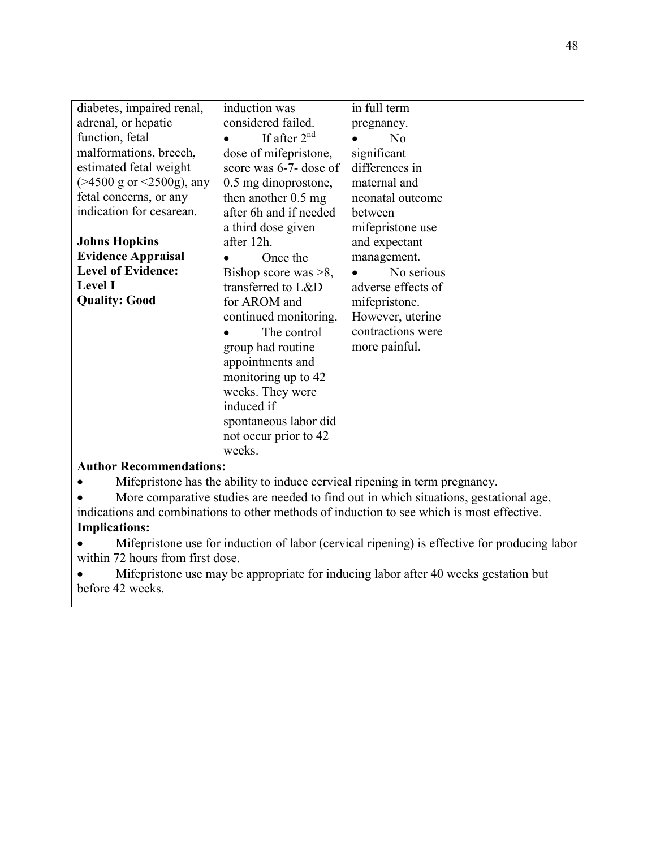| diabetes, impaired renal,      | induction was                 | in full term       |  |
|--------------------------------|-------------------------------|--------------------|--|
| adrenal, or hepatic            | considered failed.            | pregnancy.         |  |
| function, fetal                | If after $2nd$                | N <sub>o</sub>     |  |
| malformations, breech,         | dose of mifepristone,         | significant        |  |
| estimated fetal weight         | score was 6-7- dose of        | differences in     |  |
| $($ >4500 g or <2500g), any    | 0.5 mg dinoprostone,          | maternal and       |  |
| fetal concerns, or any         | then another $0.5 \text{ mg}$ | neonatal outcome   |  |
| indication for cesarean.       | after 6h and if needed        | between            |  |
|                                | a third dose given            | mifepristone use   |  |
| <b>Johns Hopkins</b>           | after 12h.                    | and expectant      |  |
| <b>Evidence Appraisal</b>      | Once the                      | management.        |  |
| <b>Level of Evidence:</b>      | Bishop score was $>8$ ,       | No serious         |  |
| <b>Level I</b>                 | transferred to L&D            | adverse effects of |  |
| <b>Quality: Good</b>           | for AROM and                  | mifepristone.      |  |
|                                | continued monitoring.         | However, uterine   |  |
|                                | The control                   | contractions were  |  |
|                                | group had routine             | more painful.      |  |
|                                | appointments and              |                    |  |
|                                | monitoring up to 42           |                    |  |
|                                | weeks. They were              |                    |  |
|                                | induced if                    |                    |  |
|                                | spontaneous labor did         |                    |  |
|                                | not occur prior to 42         |                    |  |
|                                | weeks.                        |                    |  |
| $1 - 12$<br>$\lambda = 4L = 0$ |                               |                    |  |

• Mifepristone has the ability to induce cervical ripening in term pregnancy.

• More comparative studies are needed to find out in which situations, gestational age, indications and combinations to other methods of induction to see which is most effective.

# **Implications:**

• Mifepristone use for induction of labor (cervical ripening) is effective for producing labor within 72 hours from first dose.

• Mifepristone use may be appropriate for inducing labor after 40 weeks gestation but before 42 weeks.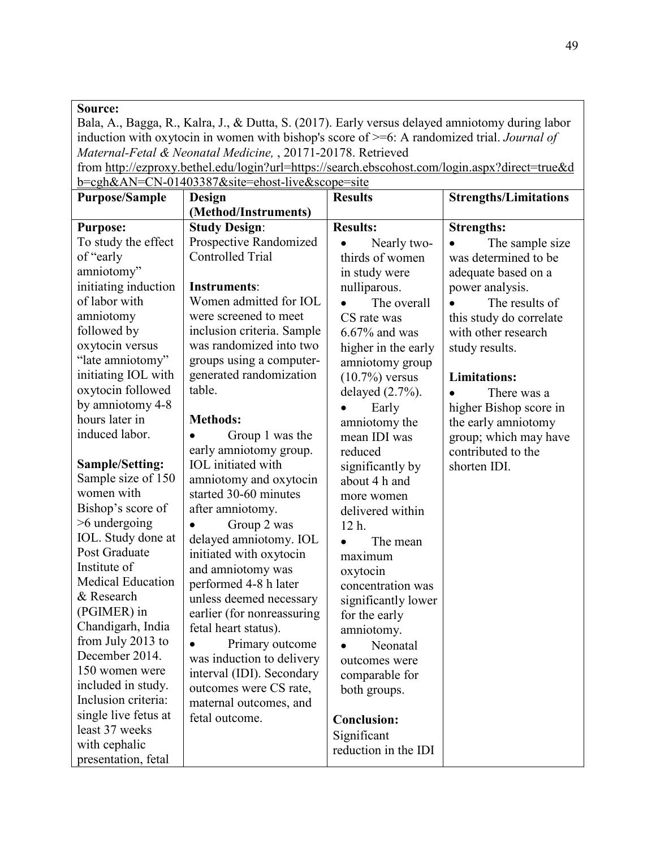| Source: |
|---------|
|---------|

Bala, A., Bagga, R., Kalra, J., & Dutta, S. (2017). Early versus delayed amniotomy during labor induction with oxytocin in women with bishop's score of >=6: A randomized trial. *Journal of Maternal-Fetal & Neonatal Medicine,* , 20171-20178. Retrieved

from [http://ezproxy.bethel.edu/login?url=https://search.ebscohost.com/login.aspx?direct=true&d](http://ezproxy.bethel.edu/login?url=https://search.ebscohost.com/login.aspx?direct=true&db=cgh&AN=CN-01403387&site=ehost-live&scope=site)

| b=cgh&AN=CN-01403387&site=ehost-live&scope=site |                              |                       |                              |  |
|-------------------------------------------------|------------------------------|-----------------------|------------------------------|--|
| <b>Purpose/Sample</b>                           | Design                       | <b>Results</b>        | <b>Strengths/Limitations</b> |  |
|                                                 | (Method/Instruments)         |                       |                              |  |
| <b>Purpose:</b>                                 | <b>Study Design:</b>         | <b>Results:</b>       | <b>Strengths:</b>            |  |
| To study the effect                             | Prospective Randomized       | Nearly two-           | The sample size<br>$\bullet$ |  |
| of "early                                       | <b>Controlled Trial</b>      | thirds of women       | was determined to be         |  |
| amniotomy"                                      |                              | in study were         | adequate based on a          |  |
| initiating induction                            | Instruments:                 | nulliparous.          | power analysis.              |  |
| of labor with                                   | Women admitted for IOL       | The overall           | The results of               |  |
| amniotomy                                       | were screened to meet        | CS rate was           | this study do correlate      |  |
| followed by                                     | inclusion criteria. Sample   | $6.67\%$ and was      | with other research          |  |
| oxytocin versus                                 | was randomized into two      | higher in the early   | study results.               |  |
| "late amniotomy"                                | groups using a computer-     | amniotomy group       |                              |  |
| initiating IOL with                             | generated randomization      | $(10.7%)$ versus      | <b>Limitations:</b>          |  |
| oxytocin followed                               | table.                       | delayed $(2.7\%)$ .   | There was a                  |  |
| by amniotomy 4-8                                |                              | Early                 | higher Bishop score in       |  |
| hours later in                                  | <b>Methods:</b>              | amniotomy the         | the early amniotomy          |  |
| induced labor.                                  | Group 1 was the              | mean IDI was          | group; which may have        |  |
|                                                 | early amniotomy group.       | reduced               | contributed to the           |  |
| <b>Sample/Setting:</b>                          | <b>IOL</b> initiated with    | significantly by      | shorten IDI.                 |  |
| Sample size of 150                              | amniotomy and oxytocin       | about 4 h and         |                              |  |
| women with                                      | started 30-60 minutes        | more women            |                              |  |
| Bishop's score of                               | after amniotomy.             | delivered within      |                              |  |
| >6 undergoing                                   | Group 2 was<br>$\bullet$     | 12 h.                 |                              |  |
| IOL. Study done at                              | delayed amniotomy. IOL       | The mean              |                              |  |
| Post Graduate                                   | initiated with oxytocin      | maximum               |                              |  |
| Institute of                                    | and amniotomy was            | oxytocin              |                              |  |
| <b>Medical Education</b>                        | performed 4-8 h later        | concentration was     |                              |  |
| & Research                                      | unless deemed necessary      | significantly lower   |                              |  |
| (PGIMER) in                                     | earlier (for nonreassuring   | for the early         |                              |  |
| Chandigarh, India                               | fetal heart status).         | amniotomy.            |                              |  |
| from July 2013 to                               | Primary outcome<br>$\bullet$ | Neonatal<br>$\bullet$ |                              |  |
| December 2014.                                  | was induction to delivery    | outcomes were         |                              |  |
| 150 women were                                  | interval (IDI). Secondary    | comparable for        |                              |  |
| included in study.                              | outcomes were CS rate,       | both groups.          |                              |  |
| Inclusion criteria:                             | maternal outcomes, and       |                       |                              |  |
| single live fetus at                            | fetal outcome.               | <b>Conclusion:</b>    |                              |  |
| least 37 weeks                                  |                              | Significant           |                              |  |
| with cephalic                                   |                              | reduction in the IDI  |                              |  |
| presentation, fetal                             |                              |                       |                              |  |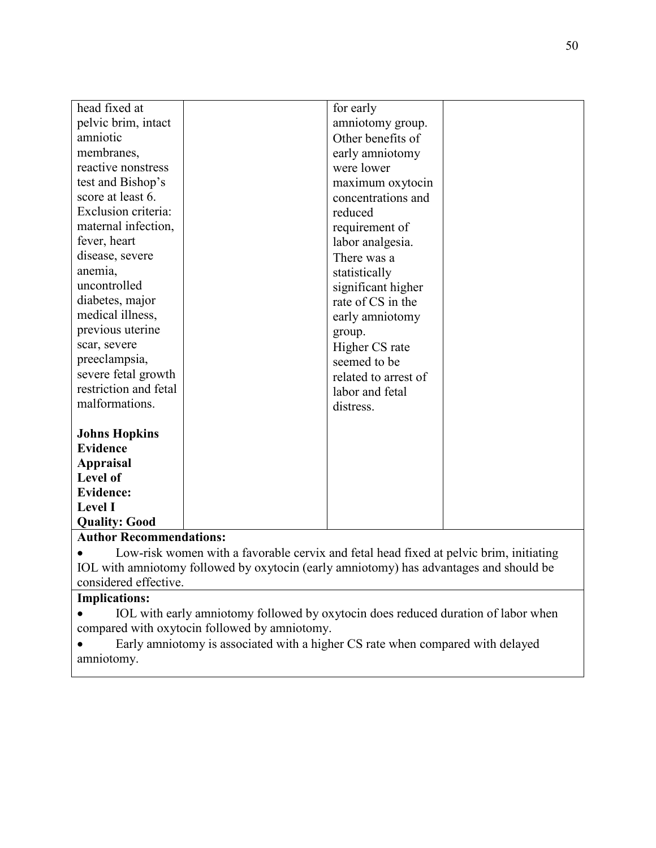| head fixed at         | for early            |
|-----------------------|----------------------|
| pelvic brim, intact   | amniotomy group.     |
| amniotic              | Other benefits of    |
| membranes,            | early amniotomy      |
| reactive nonstress    | were lower           |
| test and Bishop's     | maximum oxytocin     |
| score at least 6.     | concentrations and   |
| Exclusion criteria:   | reduced              |
| maternal infection,   | requirement of       |
| fever, heart          | labor analgesia.     |
| disease, severe       | There was a          |
| anemia,               | statistically        |
| uncontrolled          | significant higher   |
| diabetes, major       | rate of CS in the    |
| medical illness,      | early amniotomy      |
| previous uterine      | group.               |
| scar, severe          | Higher CS rate       |
| preeclampsia,         | seemed to be         |
| severe fetal growth   | related to arrest of |
| restriction and fetal | labor and fetal      |
| malformations.        | distress.            |
|                       |                      |
| <b>Johns Hopkins</b>  |                      |
| <b>Evidence</b>       |                      |
| <b>Appraisal</b>      |                      |
| Level of              |                      |
| <b>Evidence:</b>      |                      |
| <b>Level I</b>        |                      |
| <b>Quality: Good</b>  |                      |

• Low-risk women with a favorable cervix and fetal head fixed at pelvic brim, initiating IOL with amniotomy followed by oxytocin (early amniotomy) has advantages and should be considered effective.

# **Implications:**

• IOL with early amniotomy followed by oxytocin does reduced duration of labor when compared with oxytocin followed by amniotomy.

• Early amniotomy is associated with a higher CS rate when compared with delayed amniotomy.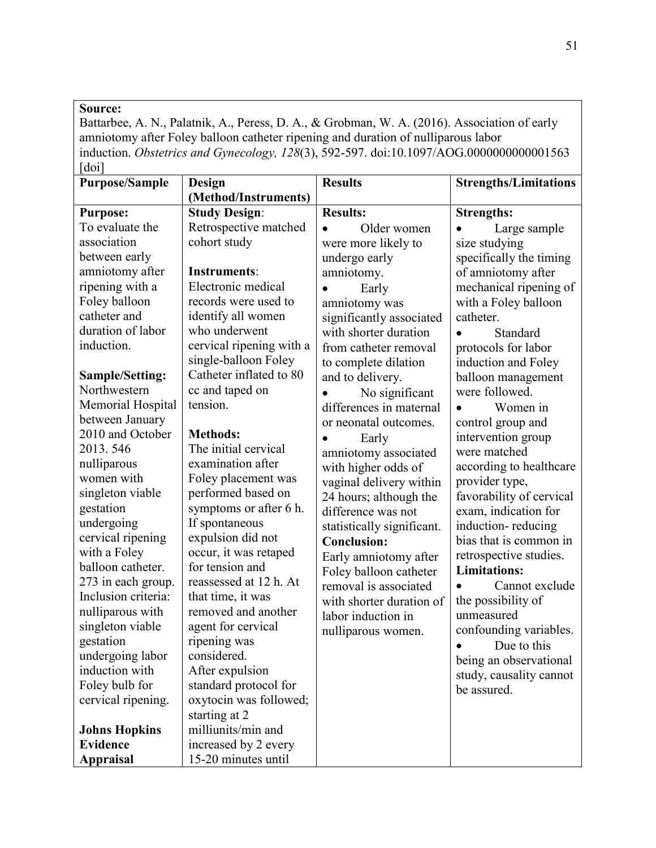Battarbee, A. N., Palatnik, A., Peress, D. A., & Grobman, W. A. (2016). Association of early amniotomy after Foley balloon catheter ripening and duration of nulliparous labor induction. *Obstetrics and Gynecology, 128*(3), 592-597. doi:10.1097/AOG.0000000000001563  $\lceil \text{doi} \rceil$ 

| <b>Purpose/Sample</b>  | Design                   | <b>Results</b>             | <b>Strengths/Limitations</b> |
|------------------------|--------------------------|----------------------------|------------------------------|
|                        | (Method/Instruments)     |                            |                              |
| <b>Purpose:</b>        | <b>Study Design:</b>     | <b>Results:</b>            | <b>Strengths:</b>            |
| To evaluate the        | Retrospective matched    | Older women<br>$\bullet$   | Large sample                 |
| association            | cohort study             | were more likely to        | size studying                |
| between early          |                          | undergo early              | specifically the timing      |
| amniotomy after        | Instruments:             | amniotomy.                 | of amniotomy after           |
| ripening with a        | Electronic medical       | Early                      | mechanical ripening of       |
| Foley balloon          | records were used to     | amniotomy was              | with a Foley balloon         |
| catheter and           | identify all women       | significantly associated   | catheter.                    |
| duration of labor      | who underwent            | with shorter duration      | Standard                     |
| induction.             | cervical ripening with a | from catheter removal      | protocols for labor          |
|                        | single-balloon Foley     | to complete dilation       | induction and Foley          |
| <b>Sample/Setting:</b> | Catheter inflated to 80  | and to delivery.           | balloon management           |
| Northwestern           | cc and taped on          | No significant             | were followed.               |
| Memorial Hospital      | tension.                 | differences in maternal    | Women in<br>$\bullet$        |
| between January        |                          | or neonatal outcomes.      | control group and            |
| 2010 and October       | <b>Methods:</b>          | Early                      | intervention group           |
| 2013.546               | The initial cervical     | amniotomy associated       | were matched                 |
| nulliparous            | examination after        | with higher odds of        | according to healthcare      |
| women with             | Foley placement was      | vaginal delivery within    | provider type,               |
| singleton viable       | performed based on       | 24 hours; although the     | favorability of cervical     |
| gestation              | symptoms or after 6 h.   | difference was not         | exam, indication for         |
| undergoing             | If spontaneous           | statistically significant. | induction-reducing           |
| cervical ripening      | expulsion did not        | <b>Conclusion:</b>         | bias that is common in       |
| with a Foley           | occur, it was retaped    | Early amniotomy after      | retrospective studies.       |
| balloon catheter.      | for tension and          | Foley balloon catheter     | <b>Limitations:</b>          |
| 273 in each group.     | reassessed at 12 h. At   | removal is associated      | Cannot exclude               |
| Inclusion criteria:    | that time, it was        | with shorter duration of   | the possibility of           |
| nulliparous with       | removed and another      | labor induction in         | unmeasured                   |
| singleton viable       | agent for cervical       | nulliparous women.         | confounding variables.       |
| gestation              | ripening was             |                            | Due to this<br>$\bullet$     |
| undergoing labor       | considered.              |                            | being an observational       |
| induction with         | After expulsion          |                            | study, causality cannot      |
| Foley bulb for         | standard protocol for    |                            | be assured.                  |
| cervical ripening.     | oxytocin was followed;   |                            |                              |
|                        | starting at 2            |                            |                              |
| <b>Johns Hopkins</b>   | milliunits/min and       |                            |                              |
| <b>Evidence</b>        | increased by 2 every     |                            |                              |
| <b>Appraisal</b>       | 15-20 minutes until      |                            |                              |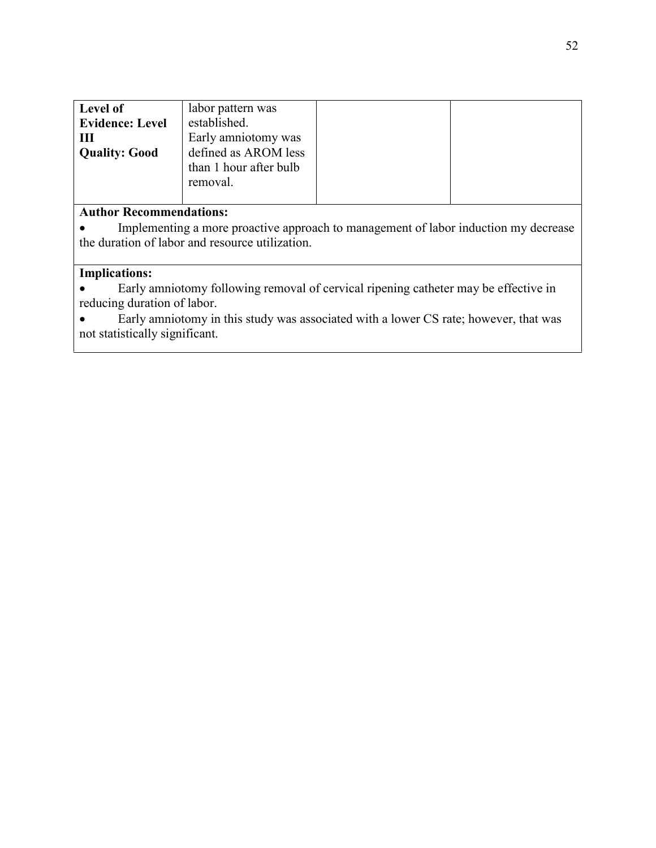| labor pattern was      |  |
|------------------------|--|
| established.           |  |
| Early amniotomy was    |  |
| defined as AROM less   |  |
| than 1 hour after bulb |  |
| removal.               |  |
|                        |  |
|                        |  |

• Implementing a more proactive approach to management of labor induction my decrease the duration of labor and resource utilization.

# **Implications:**

• Early amniotomy following removal of cervical ripening catheter may be effective in reducing duration of labor.

• Early amniotomy in this study was associated with a lower CS rate; however, that was not statistically significant.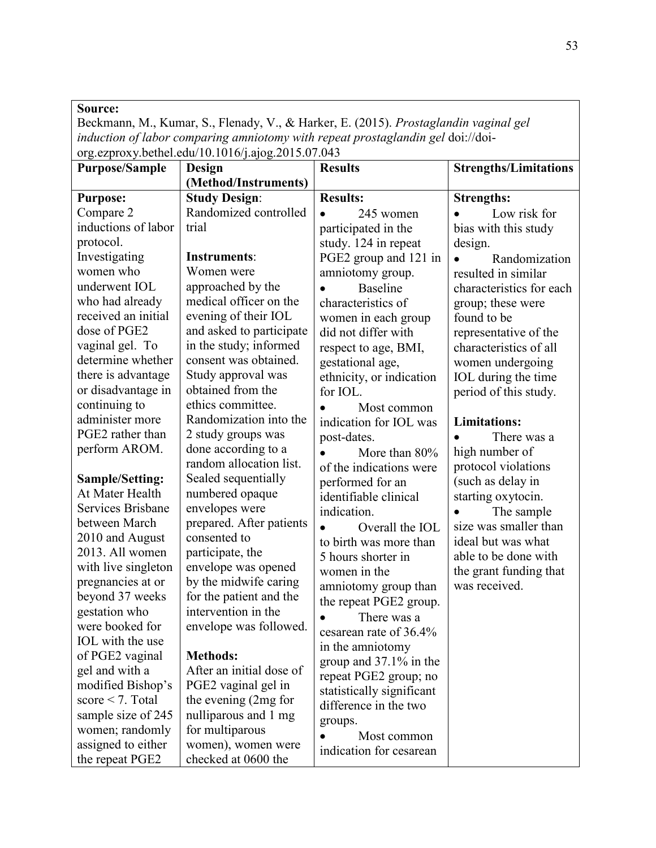| Source:                                                                              |                                                   |                           |                              |
|--------------------------------------------------------------------------------------|---------------------------------------------------|---------------------------|------------------------------|
| Beckmann, M., Kumar, S., Flenady, V., & Harker, E. (2015). Prostaglandin vaginal gel |                                                   |                           |                              |
| induction of labor comparing amniotomy with repeat prostaglandin gel doi://doi-      |                                                   |                           |                              |
|                                                                                      | org.ezproxy.bethel.edu/10.1016/j.ajog.2015.07.043 |                           |                              |
| <b>Purpose/Sample</b>                                                                | Design                                            | <b>Results</b>            | <b>Strengths/Limitations</b> |
|                                                                                      | (Method/Instruments)                              |                           |                              |
| <b>Purpose:</b>                                                                      | <b>Study Design:</b>                              | <b>Results:</b>           | <b>Strengths:</b>            |
| Compare 2                                                                            | Randomized controlled                             | 245 women<br>$\bullet$    | Low risk for                 |
| inductions of labor                                                                  | trial                                             | participated in the       | bias with this study         |
| protocol.                                                                            |                                                   | study. 124 in repeat      | design.                      |
| Investigating                                                                        | Instruments:                                      | PGE2 group and 121 in     | Randomization                |
| women who                                                                            | Women were                                        | amniotomy group.          | resulted in similar          |
| underwent IOL                                                                        | approached by the                                 | Baseline                  | characteristics for each     |
| who had already                                                                      | medical officer on the                            | characteristics of        | group; these were            |
| received an initial                                                                  | evening of their IOL                              | women in each group       | found to be                  |
| dose of PGE2                                                                         | and asked to participate                          | did not differ with       | representative of the        |
| vaginal gel. To                                                                      | in the study; informed                            | respect to age, BMI,      | characteristics of all       |
| determine whether                                                                    | consent was obtained.                             | gestational age,          | women undergoing             |
| there is advantage                                                                   | Study approval was                                | ethnicity, or indication  | IOL during the time          |
| or disadvantage in                                                                   | obtained from the                                 | for IOL.                  | period of this study.        |
| continuing to                                                                        | ethics committee.                                 | Most common               |                              |
| administer more                                                                      | Randomization into the                            | indication for IOL was    | <b>Limitations:</b>          |
| PGE2 rather than                                                                     | 2 study groups was                                | post-dates.               | There was a<br>$\bullet$     |
| perform AROM.                                                                        | done according to a                               | More than 80%             | high number of               |
|                                                                                      | random allocation list.                           | of the indications were   | protocol violations          |
| <b>Sample/Setting:</b>                                                               | Sealed sequentially                               | performed for an          | (such as delay in            |
| At Mater Health                                                                      | numbered opaque                                   | identifiable clinical     | starting oxytocin.           |
| Services Brisbane                                                                    | envelopes were                                    | indication.               | The sample                   |
| between March                                                                        | prepared. After patients                          | Overall the IOL           | size was smaller than        |
| 2010 and August                                                                      | consented to                                      | to birth was more than    | ideal but was what           |
| 2013. All women                                                                      | participate, the                                  | 5 hours shorter in        | able to be done with         |
| with live singleton                                                                  | envelope was opened                               | women in the              | the grant funding that       |
| pregnancies at or                                                                    | by the midwife caring                             | amniotomy group than      | was received.                |
| beyond 37 weeks                                                                      | for the patient and the                           | the repeat PGE2 group.    |                              |
| gestation who                                                                        | intervention in the                               | There was a<br>$\bullet$  |                              |
| were booked for                                                                      | envelope was followed.                            | cesarean rate of 36.4%    |                              |
| IOL with the use                                                                     |                                                   | in the amniotomy          |                              |
| of PGE2 vaginal                                                                      | <b>Methods:</b>                                   | group and $37.1\%$ in the |                              |
| gel and with a                                                                       | After an initial dose of                          | repeat PGE2 group; no     |                              |
| modified Bishop's<br>score $\leq$ 7. Total                                           | PGE2 vaginal gel in                               | statistically significant |                              |
| sample size of 245                                                                   | the evening (2mg for<br>nulliparous and 1 mg      | difference in the two     |                              |
| women; randomly                                                                      | for multiparous                                   | groups.                   |                              |
| assigned to either                                                                   | women), women were                                | Most common               |                              |
| the repeat PGE2                                                                      | checked at 0600 the                               | indication for cesarean   |                              |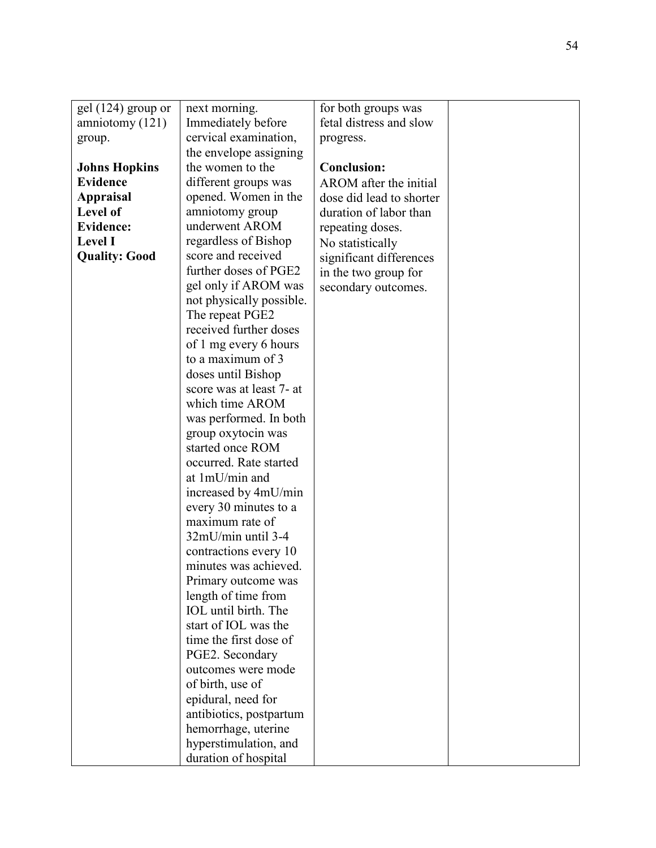| gel $(124)$ group or | next morning.                | for both groups was      |  |
|----------------------|------------------------------|--------------------------|--|
| amniotomy (121)      | Immediately before           | fetal distress and slow  |  |
| group.               | cervical examination,        | progress.                |  |
|                      | the envelope assigning       |                          |  |
| <b>Johns Hopkins</b> | the women to the             | <b>Conclusion:</b>       |  |
| <b>Evidence</b>      | different groups was         | AROM after the initial   |  |
| <b>Appraisal</b>     | opened. Women in the         | dose did lead to shorter |  |
| Level of             | amniotomy group              | duration of labor than   |  |
| <b>Evidence:</b>     | underwent AROM               | repeating doses.         |  |
| <b>Level I</b>       | regardless of Bishop         | No statistically         |  |
| <b>Quality: Good</b> | score and received           | significant differences  |  |
|                      | further doses of PGE2        | in the two group for     |  |
|                      | gel only if AROM was         | secondary outcomes.      |  |
|                      | not physically possible.     |                          |  |
|                      | The repeat PGE2              |                          |  |
|                      | received further doses       |                          |  |
|                      | of 1 mg every 6 hours        |                          |  |
|                      | to a maximum of 3            |                          |  |
|                      | doses until Bishop           |                          |  |
|                      | score was at least 7- at     |                          |  |
|                      | which time AROM              |                          |  |
|                      | was performed. In both       |                          |  |
|                      | group oxytocin was           |                          |  |
|                      | started once ROM             |                          |  |
|                      | occurred. Rate started       |                          |  |
|                      | at 1mU/min and               |                          |  |
|                      | increased by 4mU/min         |                          |  |
|                      | every 30 minutes to a        |                          |  |
|                      | maximum rate of              |                          |  |
|                      | $32 \text{mU/min}$ until 3-4 |                          |  |
|                      | contractions every 10        |                          |  |
|                      | minutes was achieved.        |                          |  |
|                      | Primary outcome was          |                          |  |
|                      | length of time from          |                          |  |
|                      | IOL until birth. The         |                          |  |
|                      | start of IOL was the         |                          |  |
|                      | time the first dose of       |                          |  |
|                      | PGE2. Secondary              |                          |  |
|                      | outcomes were mode           |                          |  |
|                      | of birth, use of             |                          |  |
|                      | epidural, need for           |                          |  |
|                      | antibiotics, postpartum      |                          |  |
|                      | hemorrhage, uterine          |                          |  |
|                      | hyperstimulation, and        |                          |  |
|                      | duration of hospital         |                          |  |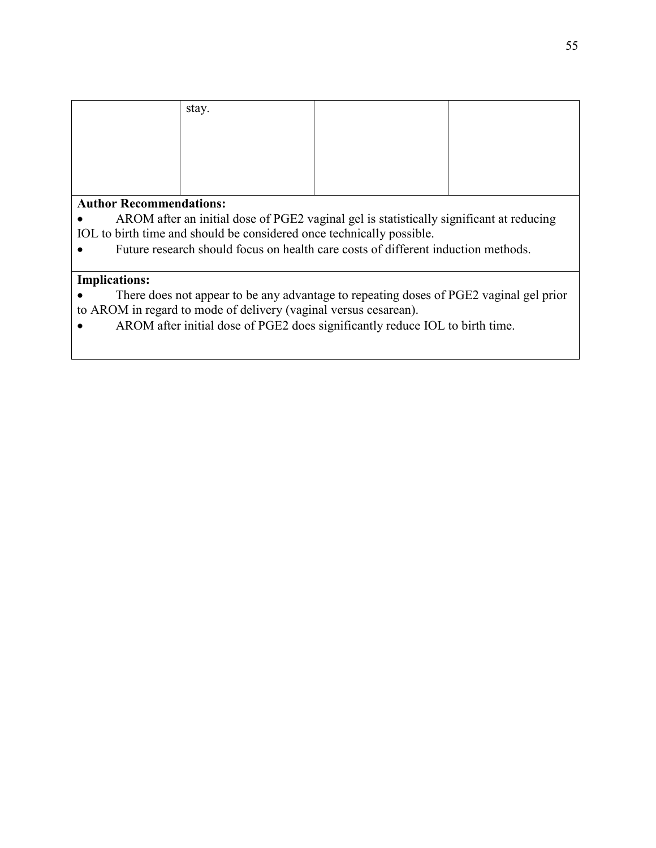| stay. |  |
|-------|--|
|       |  |
|       |  |
|       |  |
|       |  |

- AROM after an initial dose of PGE2 vaginal gel is statistically significant at reducing IOL to birth time and should be considered once technically possible.
- Future research should focus on health care costs of different induction methods.

## **Implications:**

• There does not appear to be any advantage to repeating doses of PGE2 vaginal gel prior to AROM in regard to mode of delivery (vaginal versus cesarean).

• AROM after initial dose of PGE2 does significantly reduce IOL to birth time.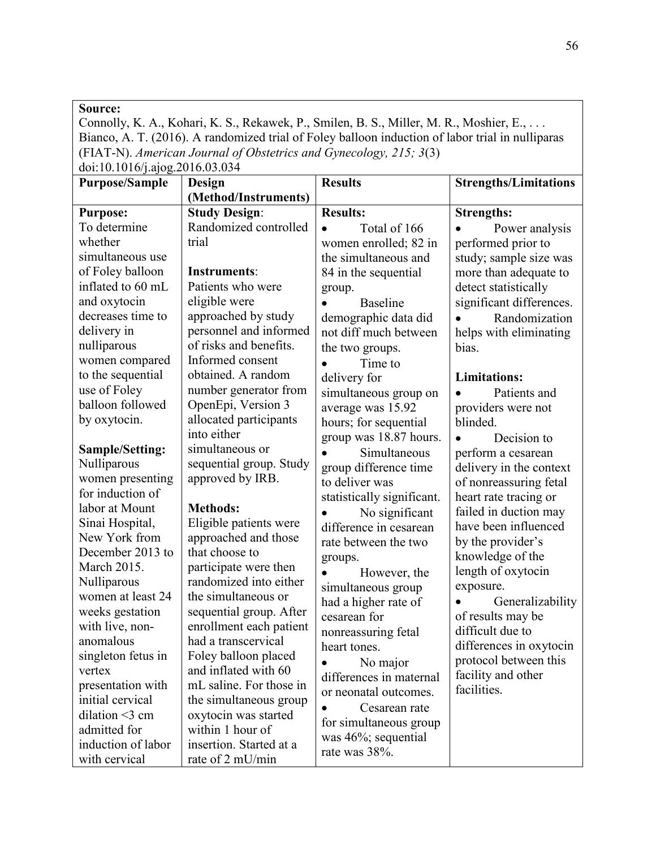| <b>Source:</b>                 |                                                                                                  |                       |                              |
|--------------------------------|--------------------------------------------------------------------------------------------------|-----------------------|------------------------------|
|                                | Connolly, K. A., Kohari, K. S., Rekawek, P., Smilen, B. S., Miller, M. R., Moshier, E.,          |                       |                              |
|                                | Bianco, A. T. (2016). A randomized trial of Foley balloon induction of labor trial in nulliparas |                       |                              |
|                                | (FIAT-N). American Journal of Obstetrics and Gynecology, 215; 3(3)                               |                       |                              |
| doi:10.1016/j.ajog.2016.03.034 |                                                                                                  |                       |                              |
| <b>Purpose/Sample</b>          | <b>Design</b>                                                                                    | <b>Results</b>        | <b>Strengths/Limitations</b> |
|                                | (Method/Instruments)                                                                             |                       |                              |
| <b>Purpose:</b>                | <b>Study Design:</b>                                                                             | <b>Results:</b>       | <b>Strengths:</b>            |
| To determine                   | Randomized controlled                                                                            | Total of 166          | Power analysis               |
| whether                        | trial                                                                                            | women enrolled; 82 in | performed prior to           |
| simultaneous use               |                                                                                                  | the simultaneous and  | study; sample size was       |
| of Foley balloon               | Instruments:                                                                                     | 84 in the sequential  | more than adequate to        |
| inflated to 60 mL              | Patients who were                                                                                | group.                | detect statistically         |
| and oxytocin                   | eligible were                                                                                    | Baseline              | significant differences.     |
| decreases time to              | approached by study                                                                              | demographic data did  | Randomization                |

| <b>Purpose:</b>        | <b>Study Design:</b>    | <b>Results:</b>            | <b>Strengths:</b>        |
|------------------------|-------------------------|----------------------------|--------------------------|
| To determine           | Randomized controlled   | Total of 166               | Power analysis           |
| whether                | trial                   | women enrolled; 82 in      | performed prior to       |
| simultaneous use       |                         | the simultaneous and       | study; sample size was   |
| of Foley balloon       | Instruments:            | 84 in the sequential       | more than adequate to    |
| inflated to 60 mL      | Patients who were       | group.                     | detect statistically     |
| and oxytocin           | eligible were           | Baseline                   | significant differences. |
| decreases time to      | approached by study     | demographic data did       | Randomization            |
| delivery in            | personnel and informed  | not diff much between      | helps with eliminating   |
| nulliparous            | of risks and benefits.  | the two groups.            | bias.                    |
| women compared         | Informed consent        | Time to                    |                          |
| to the sequential      | obtained. A random      | delivery for               | <b>Limitations:</b>      |
| use of Foley           | number generator from   | simultaneous group on      | Patients and             |
| balloon followed       | OpenEpi, Version 3      | average was 15.92          | providers were not       |
| by oxytocin.           | allocated participants  | hours; for sequential      | blinded.                 |
|                        | into either             | group was 18.87 hours.     | Decision to              |
| <b>Sample/Setting:</b> | simultaneous or         | Simultaneous               | perform a cesarean       |
| Nulliparous            | sequential group. Study | group difference time      | delivery in the context  |
| women presenting       | approved by IRB.        | to deliver was             | of nonreassuring fetal   |
| for induction of       |                         | statistically significant. | heart rate tracing or    |
| labor at Mount         | <b>Methods:</b>         | No significant             | failed in duction may    |
| Sinai Hospital,        | Eligible patients were  | difference in cesarean     | have been influenced     |
| New York from          | approached and those    | rate between the two       | by the provider's        |
| December 2013 to       | that choose to          | groups.                    | knowledge of the         |
| March 2015.            | participate were then   | However, the               | length of oxytocin       |
| Nulliparous            | randomized into either  | simultaneous group         | exposure.                |
| women at least 24      | the simultaneous or     | had a higher rate of       | Generalizability         |
| weeks gestation        | sequential group. After | cesarean for               | of results may be        |
| with live, non-        | enrollment each patient | nonreassuring fetal        | difficult due to         |
| anomalous              | had a transcervical     | heart tones.               | differences in oxytocin  |
| singleton fetus in     | Foley balloon placed    | No major                   | protocol between this    |
| vertex                 | and inflated with 60    | differences in maternal    | facility and other       |
| presentation with      | mL saline. For those in | or neonatal outcomes.      | facilities.              |
| initial cervical       | the simultaneous group  | Cesarean rate              |                          |
| dilation $\leq$ 3 cm   | oxytocin was started    | for simultaneous group     |                          |
| admitted for           | within 1 hour of        | was 46%; sequential        |                          |
| induction of labor     | insertion. Started at a | rate was 38%.              |                          |
| with cervical          | rate of 2 mU/min        |                            |                          |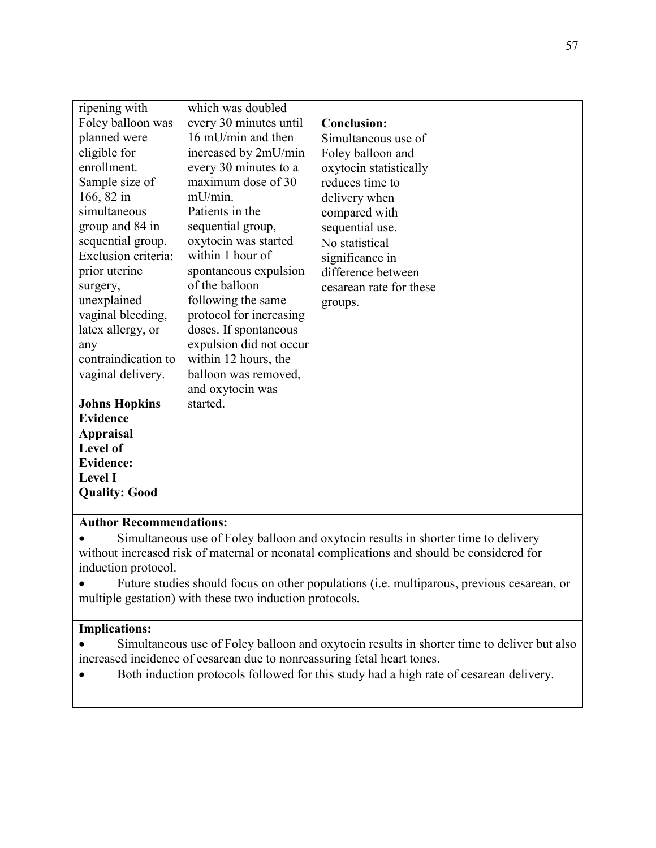| ripening with        | which was doubled       |                         |  |
|----------------------|-------------------------|-------------------------|--|
| Foley balloon was    | every 30 minutes until  | <b>Conclusion:</b>      |  |
| planned were         | 16 mU/min and then      | Simultaneous use of     |  |
| eligible for         | increased by 2mU/min    | Foley balloon and       |  |
| enrollment.          | every 30 minutes to a   | oxytocin statistically  |  |
| Sample size of       | maximum dose of 30      | reduces time to         |  |
| 166, 82 in           | mU/min.                 | delivery when           |  |
| simultaneous         | Patients in the         | compared with           |  |
| group and 84 in      | sequential group,       | sequential use.         |  |
| sequential group.    | oxytocin was started    | No statistical          |  |
| Exclusion criteria:  | within 1 hour of        | significance in         |  |
| prior uterine        | spontaneous expulsion   | difference between      |  |
| surgery,             | of the balloon          | cesarean rate for these |  |
| unexplained          | following the same      | groups.                 |  |
| vaginal bleeding,    | protocol for increasing |                         |  |
| latex allergy, or    | doses. If spontaneous   |                         |  |
| any                  | expulsion did not occur |                         |  |
| contraindication to  | within 12 hours, the    |                         |  |
| vaginal delivery.    | balloon was removed,    |                         |  |
|                      | and oxytocin was        |                         |  |
| <b>Johns Hopkins</b> | started.                |                         |  |
| <b>Evidence</b>      |                         |                         |  |
| <b>Appraisal</b>     |                         |                         |  |
| Level of             |                         |                         |  |
| <b>Evidence:</b>     |                         |                         |  |
| <b>Level I</b>       |                         |                         |  |
| <b>Quality: Good</b> |                         |                         |  |
|                      |                         |                         |  |

• Simultaneous use of Foley balloon and oxytocin results in shorter time to delivery without increased risk of maternal or neonatal complications and should be considered for induction protocol.

• Future studies should focus on other populations (i.e. multiparous, previous cesarean, or multiple gestation) with these two induction protocols.

### **Implications:**

• Simultaneous use of Foley balloon and oxytocin results in shorter time to deliver but also increased incidence of cesarean due to nonreassuring fetal heart tones.

• Both induction protocols followed for this study had a high rate of cesarean delivery.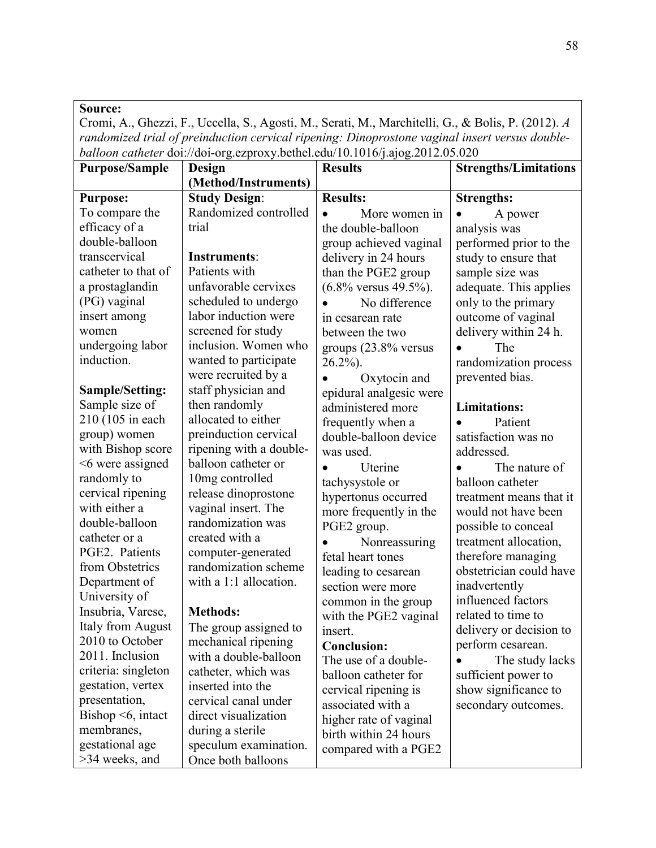Cromi, A., Ghezzi, F., Uccella, S., Agosti, M., Serati, M., Marchitelli, G., & Bolis, P. (2012). *A randomized trial of preinduction cervical ripening: Dinoprostone vaginal insert versus doubleballoon catheter* doi://doi-org.ezproxy.bethel.edu/10.1016/j.ajog.2012.05.020

| <b>Purpose/Sample</b>    | -0. - - r<br>Design     | <b>Results</b>                  | <b>Strengths/Limitations</b> |
|--------------------------|-------------------------|---------------------------------|------------------------------|
|                          | (Method/Instruments)    |                                 |                              |
| <b>Purpose:</b>          | <b>Study Design:</b>    | <b>Results:</b>                 | <b>Strengths:</b>            |
| To compare the           | Randomized controlled   | More women in<br>$\bullet$      | A power                      |
| efficacy of a            | trial                   | the double-balloon              | analysis was                 |
| double-balloon           |                         | group achieved vaginal          | performed prior to the       |
| transcervical            | Instruments:            | delivery in 24 hours            | study to ensure that         |
| catheter to that of      | Patients with           | than the PGE2 group             | sample size was              |
| a prostaglandin          | unfavorable cervixes    | $(6.8\%$ versus $49.5\%$ ).     | adequate. This applies       |
| (PG) vaginal             | scheduled to undergo    | No difference                   | only to the primary          |
| insert among             | labor induction were    | in cesarean rate                | outcome of vaginal           |
| women                    | screened for study      | between the two                 | delivery within 24 h.        |
| undergoing labor         | inclusion. Women who    | groups $(23.8\% \text{ versus}$ | The                          |
| induction.               | wanted to participate   | $26.2\%$ ).                     | randomization process        |
|                          | were recruited by a     | Oxytocin and                    | prevented bias.              |
| <b>Sample/Setting:</b>   | staff physician and     | epidural analgesic were         |                              |
| Sample size of           | then randomly           | administered more               | <b>Limitations:</b>          |
| 210 (105 in each         | allocated to either     | frequently when a               | Patient                      |
| group) women             | preinduction cervical   | double-balloon device           | satisfaction was no          |
| with Bishop score        | ripening with a double- | was used.                       | addressed.                   |
| $<6$ were assigned       | balloon catheter or     | Uterine                         | The nature of                |
| randomly to              | 10mg controlled         | tachysystole or                 | balloon catheter             |
| cervical ripening        | release dinoprostone    | hypertonus occurred             | treatment means that it      |
| with either a            | vaginal insert. The     | more frequently in the          | would not have been          |
| double-balloon           | randomization was       | PGE2 group.                     | possible to conceal          |
| catheter or a            | created with a          | Nonreassuring                   | treatment allocation,        |
| PGE2. Patients           | computer-generated      | fetal heart tones               | therefore managing           |
| from Obstetrics          | randomization scheme    | leading to cesarean             | obstetrician could have      |
| Department of            | with a 1:1 allocation.  | section were more               | inadvertently                |
| University of            |                         | common in the group             | influenced factors           |
| Insubria, Varese,        | <b>Methods:</b>         | with the PGE2 vaginal           | related to time to           |
| Italy from August        | The group assigned to   | insert.                         | delivery or decision to      |
| 2010 to October          | mechanical ripening     | <b>Conclusion:</b>              | perform cesarean.            |
| 2011. Inclusion          | with a double-balloon   | The use of a double-            | The study lacks              |
| criteria: singleton      | catheter, which was     | balloon catheter for            | sufficient power to          |
| gestation, vertex        | inserted into the       | cervical ripening is            | show significance to         |
| presentation,            | cervical canal under    | associated with a               | secondary outcomes.          |
| Bishop $\leq 6$ , intact | direct visualization    | higher rate of vaginal          |                              |
| membranes,               | during a sterile        | birth within 24 hours           |                              |
| gestational age          | speculum examination.   | compared with a PGE2            |                              |
| $>34$ weeks, and         | Once both balloons      |                                 |                              |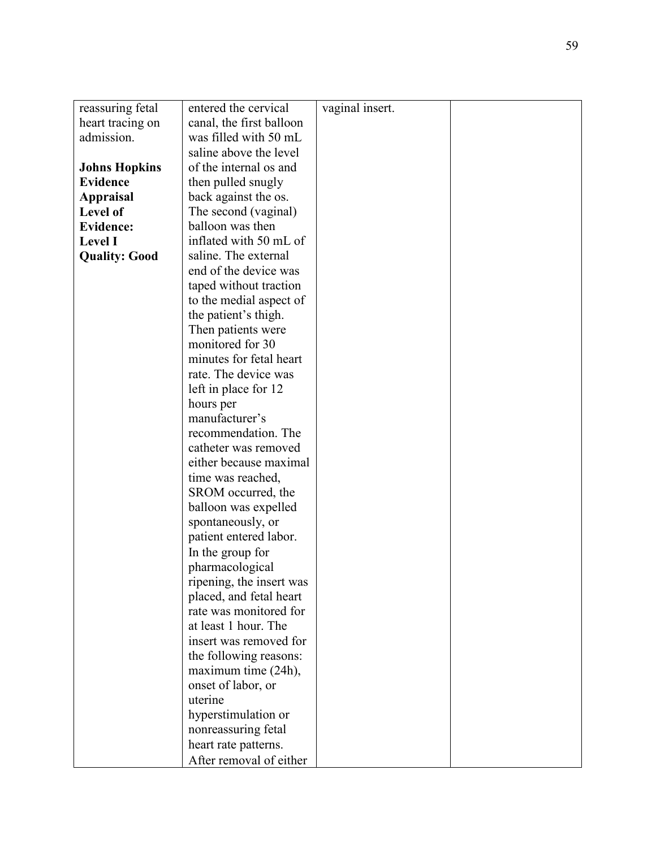| reassuring fetal     | entered the cervical     | vaginal insert. |  |
|----------------------|--------------------------|-----------------|--|
| heart tracing on     | canal, the first balloon |                 |  |
| admission.           | was filled with 50 mL    |                 |  |
|                      | saline above the level   |                 |  |
| <b>Johns Hopkins</b> | of the internal os and   |                 |  |
| <b>Evidence</b>      | then pulled snugly       |                 |  |
| <b>Appraisal</b>     | back against the os.     |                 |  |
| Level of             | The second (vaginal)     |                 |  |
| <b>Evidence:</b>     | balloon was then         |                 |  |
| <b>Level I</b>       | inflated with 50 mL of   |                 |  |
| <b>Quality: Good</b> | saline. The external     |                 |  |
|                      | end of the device was    |                 |  |
|                      | taped without traction   |                 |  |
|                      | to the medial aspect of  |                 |  |
|                      | the patient's thigh.     |                 |  |
|                      | Then patients were       |                 |  |
|                      | monitored for 30         |                 |  |
|                      | minutes for fetal heart  |                 |  |
|                      | rate. The device was     |                 |  |
|                      | left in place for 12     |                 |  |
|                      | hours per                |                 |  |
|                      | manufacturer's           |                 |  |
|                      | recommendation. The      |                 |  |
|                      | catheter was removed     |                 |  |
|                      | either because maximal   |                 |  |
|                      | time was reached,        |                 |  |
|                      | SROM occurred, the       |                 |  |
|                      | balloon was expelled     |                 |  |
|                      | spontaneously, or        |                 |  |
|                      | patient entered labor.   |                 |  |
|                      | In the group for         |                 |  |
|                      | pharmacological          |                 |  |
|                      | ripening, the insert was |                 |  |
|                      | placed, and fetal heart  |                 |  |
|                      | rate was monitored for   |                 |  |
|                      | at least 1 hour. The     |                 |  |
|                      | insert was removed for   |                 |  |
|                      | the following reasons:   |                 |  |
|                      | maximum time (24h),      |                 |  |
|                      | onset of labor, or       |                 |  |
|                      | uterine                  |                 |  |
|                      | hyperstimulation or      |                 |  |
|                      | nonreassuring fetal      |                 |  |
|                      | heart rate patterns.     |                 |  |
|                      | After removal of either  |                 |  |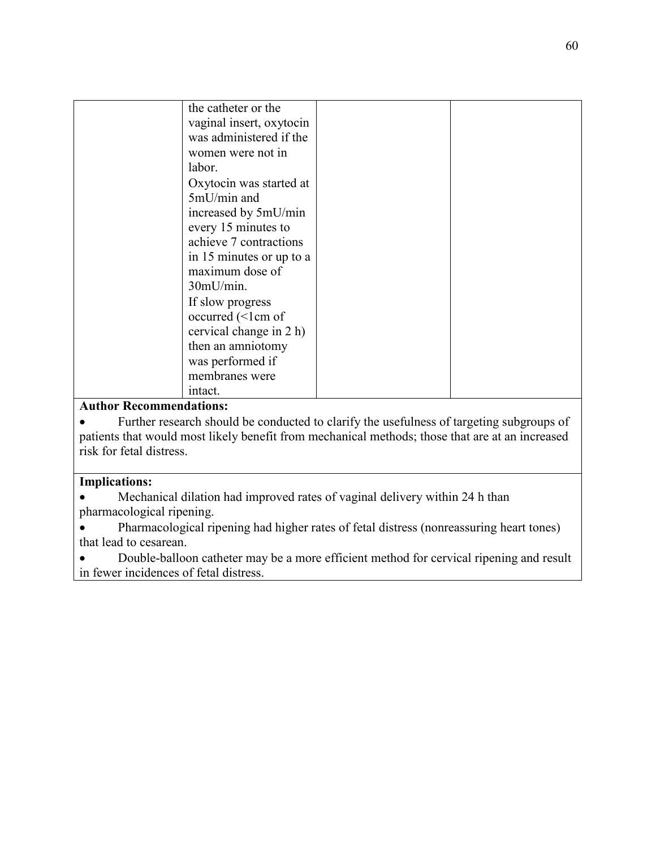| the catheter or the          |  |
|------------------------------|--|
| vaginal insert, oxytocin     |  |
| was administered if the      |  |
| women were not in            |  |
| labor.                       |  |
| Oxytocin was started at      |  |
| 5mU/min and                  |  |
| increased by 5mU/min         |  |
| every 15 minutes to          |  |
| achieve 7 contractions       |  |
| in 15 minutes or up to a     |  |
| maximum dose of              |  |
| 30mU/min.                    |  |
| If slow progress             |  |
| $occurred (<1cm \text{ of})$ |  |
| cervical change in 2 h)      |  |
| then an amniotomy            |  |
| was performed if             |  |
| membranes were               |  |
| intact.                      |  |

• Further research should be conducted to clarify the usefulness of targeting subgroups of patients that would most likely benefit from mechanical methods; those that are at an increased risk for fetal distress.

#### **Implications:**

• Mechanical dilation had improved rates of vaginal delivery within 24 h than pharmacological ripening.

• Pharmacological ripening had higher rates of fetal distress (nonreassuring heart tones) that lead to cesarean.

• Double-balloon catheter may be a more efficient method for cervical ripening and result in fewer incidences of fetal distress.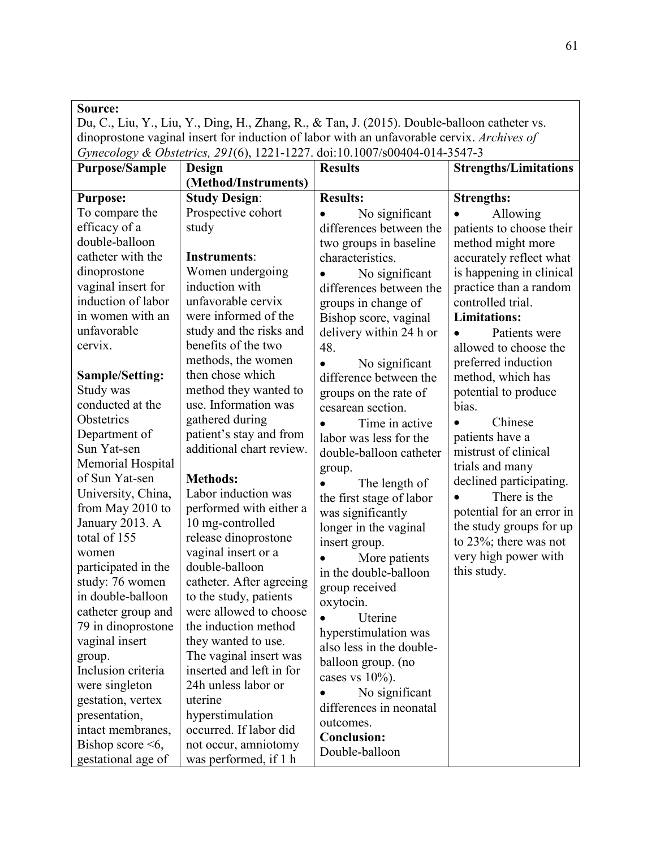Du, C., Liu, Y., Liu, Y., Ding, H., Zhang, R., & Tan, J. (2015). Double-balloon catheter vs. dinoprostone vaginal insert for induction of labor with an unfavorable cervix. *Archives of Gynecology & Obstetrics, 291*(6), 1221-1227. doi:10.1007/s00404-014-3547-3

| <b>Purpose/Sample</b>   | Design                   | <b>Results</b>           | <b>Strengths/Limitations</b> |
|-------------------------|--------------------------|--------------------------|------------------------------|
|                         | (Method/Instruments)     |                          |                              |
| <b>Purpose:</b>         | <b>Study Design:</b>     | <b>Results:</b>          | <b>Strengths:</b>            |
| To compare the          | Prospective cohort       | No significant           | Allowing                     |
| efficacy of a           | study                    | differences between the  | patients to choose their     |
| double-balloon          |                          | two groups in baseline   | method might more            |
| catheter with the       | Instruments:             | characteristics.         | accurately reflect what      |
| dinoprostone            | Women undergoing         | No significant           | is happening in clinical     |
| vaginal insert for      | induction with           | differences between the  | practice than a random       |
| induction of labor      | unfavorable cervix       | groups in change of      | controlled trial.            |
| in women with an        | were informed of the     | Bishop score, vaginal    | <b>Limitations:</b>          |
| unfavorable             | study and the risks and  | delivery within 24 h or  | Patients were                |
| cervix.                 | benefits of the two      | 48.                      | allowed to choose the        |
|                         | methods, the women       | No significant           | preferred induction          |
| Sample/Setting:         | then chose which         | difference between the   | method, which has            |
| Study was               | method they wanted to    | groups on the rate of    | potential to produce         |
| conducted at the        | use. Information was     | cesarean section.        | bias.                        |
| Obstetrics              | gathered during          | Time in active           | Chinese                      |
| Department of           | patient's stay and from  | labor was less for the   | patients have a              |
| Sun Yat-sen             | additional chart review. | double-balloon catheter  | mistrust of clinical         |
| Memorial Hospital       |                          | group.                   | trials and many              |
| of Sun Yat-sen          | <b>Methods:</b>          | The length of            | declined participating.      |
| University, China,      | Labor induction was      | the first stage of labor | There is the                 |
| from May 2010 to        | performed with either a  | was significantly        | potential for an error in    |
| January 2013. A         | 10 mg-controlled         | longer in the vaginal    | the study groups for up      |
| total of 155            | release dinoprostone     | insert group.            | to $23\%$ ; there was not    |
| women                   | vaginal insert or a      | More patients            | very high power with         |
| participated in the     | double-balloon           | in the double-balloon    | this study.                  |
| study: 76 women         | catheter. After agreeing | group received           |                              |
| in double-balloon       | to the study, patients   | oxytocin.                |                              |
| catheter group and      | were allowed to choose   | Uterine                  |                              |
| 79 in dinoprostone      | the induction method     | hyperstimulation was     |                              |
| vaginal insert          | they wanted to use.      | also less in the double- |                              |
| group.                  | The vaginal insert was   | balloon group. (no       |                              |
| Inclusion criteria      | inserted and left in for | cases vs $10\%$ ).       |                              |
| were singleton          | 24h unless labor or      | No significant           |                              |
| gestation, vertex       | uterine                  | differences in neonatal  |                              |
| presentation,           | hyperstimulation         | outcomes.                |                              |
| intact membranes,       | occurred. If labor did   | <b>Conclusion:</b>       |                              |
| Bishop score $\leq 6$ , | not occur, amniotomy     | Double-balloon           |                              |
| gestational age of      | was performed, if 1 h    |                          |                              |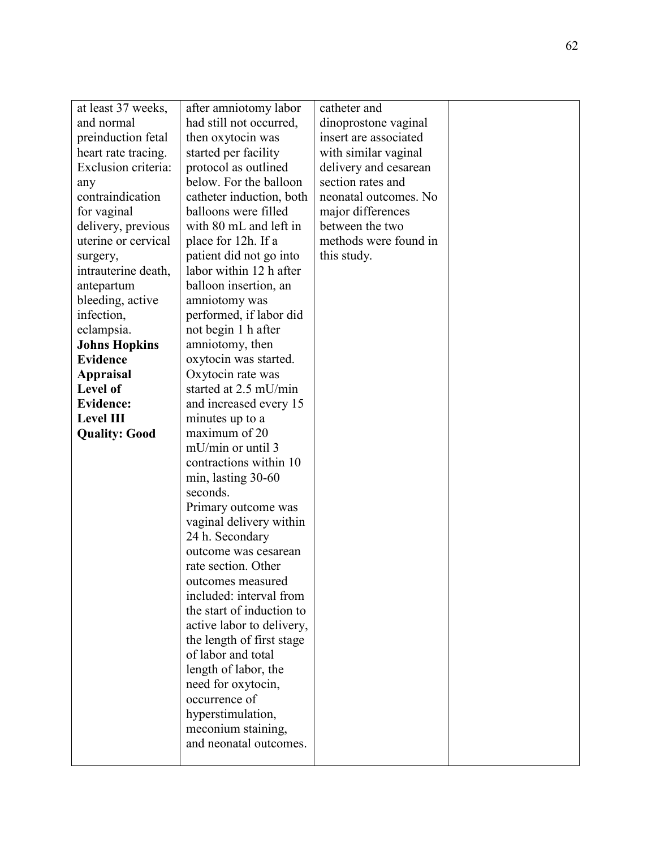| at least 37 weeks,   | after amniotomy labor     | catheter and          |  |
|----------------------|---------------------------|-----------------------|--|
| and normal           | had still not occurred,   | dinoprostone vaginal  |  |
| preinduction fetal   | then oxytocin was         | insert are associated |  |
| heart rate tracing.  | started per facility      | with similar vaginal  |  |
| Exclusion criteria:  | protocol as outlined      | delivery and cesarean |  |
| any                  | below. For the balloon    | section rates and     |  |
| contraindication     | catheter induction, both  | neonatal outcomes. No |  |
| for vaginal          | balloons were filled      | major differences     |  |
| delivery, previous   | with 80 mL and left in    | between the two       |  |
| uterine or cervical  | place for 12h. If a       | methods were found in |  |
| surgery,             | patient did not go into   | this study.           |  |
| intrauterine death,  | labor within 12 h after   |                       |  |
| antepartum           | balloon insertion, an     |                       |  |
| bleeding, active     | amniotomy was             |                       |  |
| infection,           | performed, if labor did   |                       |  |
| eclampsia.           | not begin 1 h after       |                       |  |
| <b>Johns Hopkins</b> | amniotomy, then           |                       |  |
| <b>Evidence</b>      | oxytocin was started.     |                       |  |
| <b>Appraisal</b>     | Oxytocin rate was         |                       |  |
| Level of             | started at 2.5 mU/min     |                       |  |
| <b>Evidence:</b>     | and increased every 15    |                       |  |
| <b>Level III</b>     | minutes up to a           |                       |  |
| <b>Quality: Good</b> | maximum of 20             |                       |  |
|                      | mU/min or until 3         |                       |  |
|                      | contractions within 10    |                       |  |
|                      | min, lasting 30-60        |                       |  |
|                      | seconds.                  |                       |  |
|                      | Primary outcome was       |                       |  |
|                      | vaginal delivery within   |                       |  |
|                      | 24 h. Secondary           |                       |  |
|                      | outcome was cesarean      |                       |  |
|                      | rate section. Other       |                       |  |
|                      | outcomes measured         |                       |  |
|                      | included: interval from   |                       |  |
|                      | the start of induction to |                       |  |
|                      | active labor to delivery, |                       |  |
|                      | the length of first stage |                       |  |
|                      | of labor and total        |                       |  |
|                      | length of labor, the      |                       |  |
|                      | need for oxytocin,        |                       |  |
|                      | occurrence of             |                       |  |
|                      | hyperstimulation,         |                       |  |
|                      | meconium staining,        |                       |  |
|                      | and neonatal outcomes.    |                       |  |
|                      |                           |                       |  |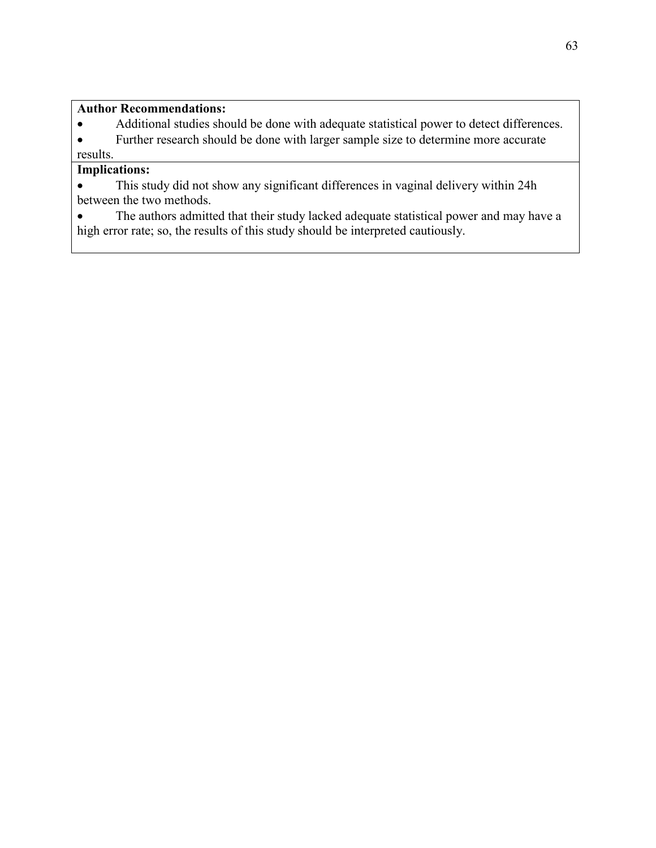• Additional studies should be done with adequate statistical power to detect differences.

• Further research should be done with larger sample size to determine more accurate

#### results.

# **Implications:**

• This study did not show any significant differences in vaginal delivery within 24h between the two methods.

• The authors admitted that their study lacked adequate statistical power and may have a high error rate; so, the results of this study should be interpreted cautiously.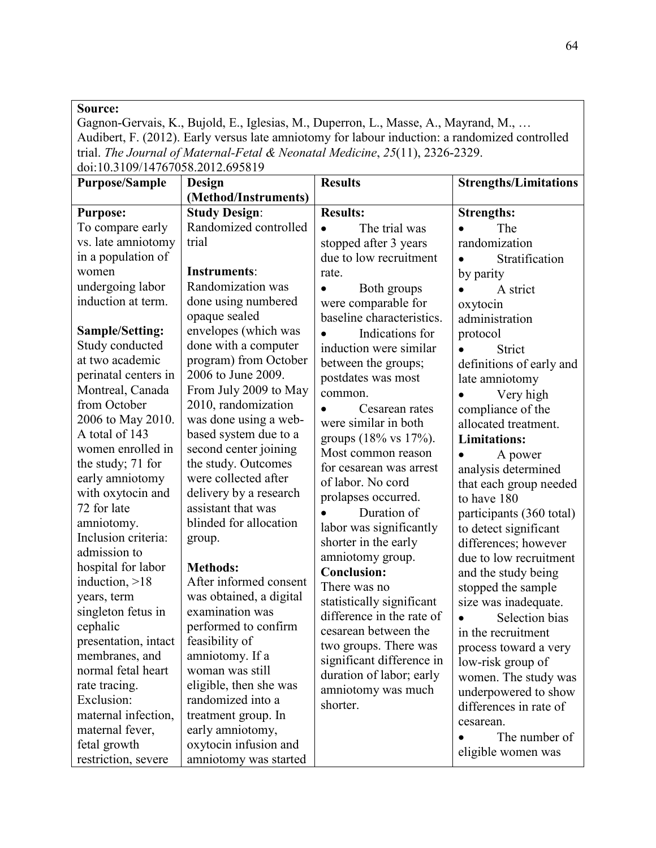Gagnon-Gervais, K., Bujold, E., Iglesias, M., Duperron, L., Masse, A., Mayrand, M., … Audibert, F. (2012). Early versus late amniotomy for labour induction: a randomized controlled trial. *The Journal of Maternal-Fetal & Neonatal Medicine*, *25*(11), 2326-2329. doi:10.3109/14767058.2012.695819

| <u>401.10.9109/14/07090.2012.099019</u> |                         |                           |                              |
|-----------------------------------------|-------------------------|---------------------------|------------------------------|
| <b>Purpose/Sample</b>                   | Design                  | <b>Results</b>            | <b>Strengths/Limitations</b> |
|                                         | (Method/Instruments)    |                           |                              |
| <b>Purpose:</b>                         | <b>Study Design:</b>    | <b>Results:</b>           | <b>Strengths:</b>            |
| To compare early                        | Randomized controlled   | The trial was             | The                          |
| vs. late amniotomy                      | trial                   | stopped after 3 years     | randomization                |
| in a population of                      |                         | due to low recruitment    | Stratification               |
| women                                   | Instruments:            | rate.                     | by parity                    |
| undergoing labor                        | Randomization was       | Both groups               | A strict                     |
| induction at term.                      | done using numbered     | were comparable for       | oxytocin                     |
|                                         | opaque sealed           | baseline characteristics. | administration               |
| <b>Sample/Setting:</b>                  | envelopes (which was    | Indications for           | protocol                     |
| Study conducted                         | done with a computer    | induction were similar    | Strict                       |
| at two academic                         | program) from October   | between the groups;       | definitions of early and     |
| perinatal centers in                    | 2006 to June 2009.      | postdates was most        | late amniotomy               |
| Montreal, Canada                        | From July 2009 to May   | common.                   | Very high                    |
| from October                            | 2010, randomization     | Cesarean rates            | compliance of the            |
| 2006 to May 2010.                       | was done using a web-   | were similar in both      | allocated treatment.         |
| A total of 143                          | based system due to a   | groups (18% vs 17%).      | <b>Limitations:</b>          |
| women enrolled in                       | second center joining   | Most common reason        | A power                      |
| the study; 71 for                       | the study. Outcomes     | for cesarean was arrest   | analysis determined          |
| early amniotomy                         | were collected after    | of labor. No cord         | that each group needed       |
| with oxytocin and                       | delivery by a research  | prolapses occurred.       | to have 180                  |
| 72 for late                             | assistant that was      | Duration of               | participants (360 total)     |
| amniotomy.                              | blinded for allocation  | labor was significantly   | to detect significant        |
| Inclusion criteria:                     | group.                  | shorter in the early      | differences; however         |
| admission to                            |                         | amniotomy group.          | due to low recruitment       |
| hospital for labor                      | <b>Methods:</b>         | <b>Conclusion:</b>        | and the study being          |
| induction, $>18$                        | After informed consent  | There was no              | stopped the sample           |
| years, term                             | was obtained, a digital | statistically significant | size was inadequate.         |
| singleton fetus in                      | examination was         | difference in the rate of | Selection bias               |
| cephalic                                | performed to confirm    | cesarean between the      | in the recruitment           |
| presentation, intact                    | feasibility of          | two groups. There was     | process toward a very        |
| membranes, and                          | amniotomy. If a         | significant difference in | low-risk group of            |
| normal fetal heart                      | woman was still         | duration of labor; early  | women. The study was         |
| rate tracing.                           | eligible, then she was  | amniotomy was much        | underpowered to show         |
| Exclusion:                              | randomized into a       | shorter.                  | differences in rate of       |
| maternal infection,                     | treatment group. In     |                           | cesarean.                    |
| maternal fever,                         | early amniotomy,        |                           | The number of                |
| fetal growth                            | oxytocin infusion and   |                           |                              |
| restriction, severe                     | amniotomy was started   |                           | eligible women was           |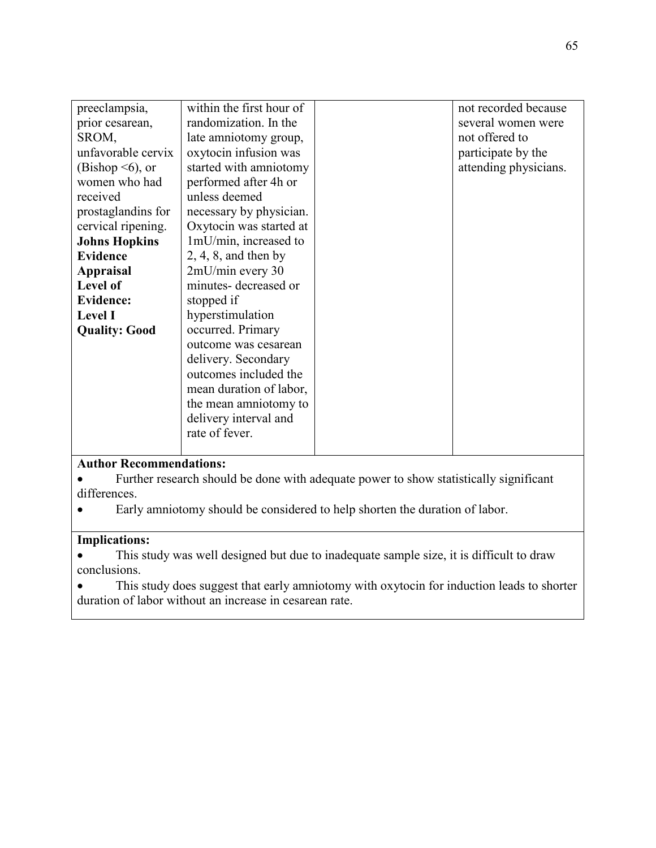| preeclampsia,          | within the first hour of | not recorded because  |
|------------------------|--------------------------|-----------------------|
| prior cesarean,        | randomization. In the    | several women were    |
| SROM,                  | late amniotomy group,    | not offered to        |
| unfavorable cervix     | oxytocin infusion was    | participate by the    |
| (Bishop $\leq 6$ ), or | started with amniotomy   | attending physicians. |
| women who had          | performed after 4h or    |                       |
| received               | unless deemed            |                       |
| prostaglandins for     | necessary by physician.  |                       |
| cervical ripening.     | Oxytocin was started at  |                       |
| <b>Johns Hopkins</b>   | 1mU/min, increased to    |                       |
| <b>Evidence</b>        | $2, 4, 8$ , and then by  |                       |
| <b>Appraisal</b>       | $2mU/min$ every 30       |                       |
| Level of               | minutes-decreased or     |                       |
| <b>Evidence:</b>       | stopped if               |                       |
| <b>Level I</b>         | hyperstimulation         |                       |
| <b>Quality: Good</b>   | occurred. Primary        |                       |
|                        | outcome was cesarean     |                       |
|                        | delivery. Secondary      |                       |
|                        | outcomes included the    |                       |
|                        | mean duration of labor,  |                       |
|                        | the mean amniotomy to    |                       |
|                        | delivery interval and    |                       |
|                        | rate of fever.           |                       |
|                        |                          |                       |

• Further research should be done with adequate power to show statistically significant differences.

• Early amniotomy should be considered to help shorten the duration of labor.

## **Implications:**

• This study was well designed but due to inadequate sample size, it is difficult to draw conclusions.

• This study does suggest that early amniotomy with oxytocin for induction leads to shorter duration of labor without an increase in cesarean rate.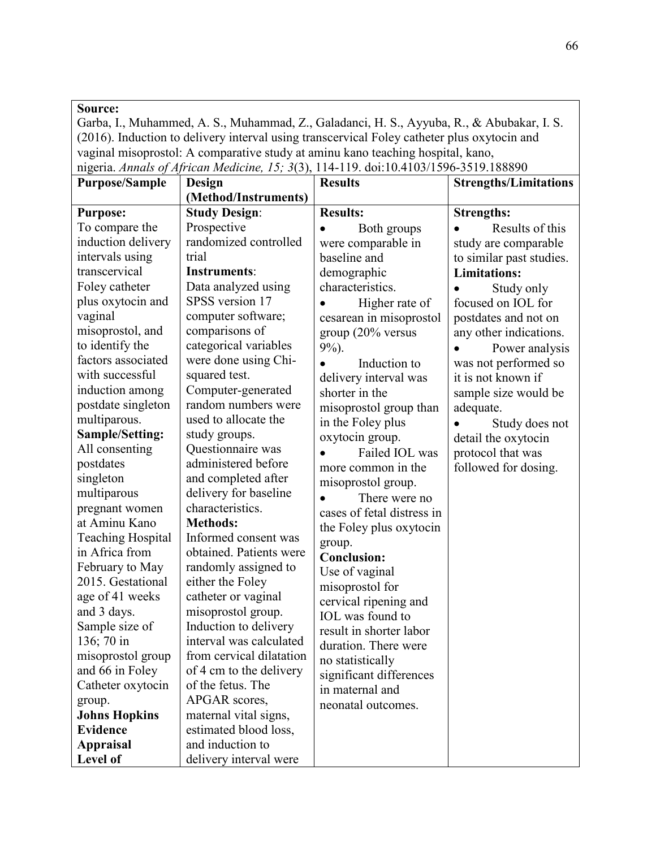| Source:                                                                                   |                                                                                             |                               |                              |
|-------------------------------------------------------------------------------------------|---------------------------------------------------------------------------------------------|-------------------------------|------------------------------|
| Garba, I., Muhammed, A. S., Muhammad, Z., Galadanci, H. S., Ayyuba, R., & Abubakar, I. S. |                                                                                             |                               |                              |
|                                                                                           | (2016). Induction to delivery interval using transcervical Foley catheter plus oxytocin and |                               |                              |
|                                                                                           | vaginal misoprostol: A comparative study at aminu kano teaching hospital, kano,             |                               |                              |
|                                                                                           | nigeria. Annals of African Medicine, 15; 3(3), 114-119. doi:10.4103/1596-3519.188890        |                               |                              |
| <b>Purpose/Sample</b>                                                                     | Design                                                                                      | <b>Results</b>                | <b>Strengths/Limitations</b> |
|                                                                                           | (Method/Instruments)                                                                        |                               |                              |
| <b>Purpose:</b>                                                                           | <b>Study Design:</b>                                                                        | <b>Results:</b>               | <b>Strengths:</b>            |
| To compare the                                                                            | Prospective                                                                                 | Both groups                   | Results of this              |
| induction delivery                                                                        | randomized controlled                                                                       | were comparable in            | study are comparable         |
| intervals using                                                                           | trial                                                                                       | baseline and                  | to similar past studies.     |
| transcervical                                                                             | Instruments:                                                                                | demographic                   | <b>Limitations:</b>          |
| Foley catheter                                                                            | Data analyzed using                                                                         | characteristics.              | Study only                   |
| plus oxytocin and                                                                         | SPSS version 17                                                                             | Higher rate of                | focused on IOL for           |
| vaginal                                                                                   | computer software;                                                                          | cesarean in misoprostol       | postdates and not on         |
| misoprostol, and                                                                          | comparisons of                                                                              | group $(20\% \text{ versus})$ | any other indications.       |
| to identify the                                                                           | categorical variables                                                                       | $9\%$ ).                      | Power analysis               |
| factors associated                                                                        | were done using Chi-                                                                        | Induction to                  | was not performed so         |
| with successful                                                                           | squared test.                                                                               | delivery interval was         | it is not known if           |
| induction among                                                                           | Computer-generated                                                                          | shorter in the                | sample size would be         |
| postdate singleton                                                                        | random numbers were                                                                         | misoprostol group than        | adequate.                    |
| multiparous.                                                                              | used to allocate the                                                                        | in the Foley plus             | Study does not               |
| <b>Sample/Setting:</b>                                                                    | study groups.                                                                               | oxytocin group.               | detail the oxytocin          |
| All consenting                                                                            | Questionnaire was                                                                           | Failed IOL was                | protocol that was            |
| postdates                                                                                 | administered before                                                                         | more common in the            | followed for dosing.         |
| singleton                                                                                 | and completed after                                                                         | misoprostol group.            |                              |
| multiparous                                                                               | delivery for baseline                                                                       | There were no                 |                              |
| pregnant women                                                                            | characteristics.                                                                            | cases of fetal distress in    |                              |
| at Aminu Kano                                                                             | <b>Methods:</b>                                                                             | the Foley plus oxytocin       |                              |
| <b>Teaching Hospital</b>                                                                  | Informed consent was                                                                        | group.                        |                              |
| in Africa from                                                                            | obtained. Patients were                                                                     | <b>Conclusion:</b>            |                              |
| February to May                                                                           | randomly assigned to                                                                        | Use of vaginal                |                              |
| 2015. Gestational                                                                         | either the Foley                                                                            | misoprostol for               |                              |
| age of 41 weeks                                                                           | catheter or vaginal                                                                         | cervical ripening and         |                              |
| and 3 days.                                                                               | misoprostol group.                                                                          | IOL was found to              |                              |
| Sample size of                                                                            | Induction to delivery                                                                       | result in shorter labor       |                              |
| 136; 70 in                                                                                | interval was calculated                                                                     | duration. There were          |                              |
| misoprostol group                                                                         | from cervical dilatation                                                                    | no statistically              |                              |
| and 66 in Foley                                                                           | of 4 cm to the delivery<br>of the fetus. The                                                | significant differences       |                              |
| Catheter oxytocin                                                                         |                                                                                             | in maternal and               |                              |
| group.                                                                                    | APGAR scores,                                                                               | neonatal outcomes.            |                              |
| <b>Johns Hopkins</b>                                                                      | maternal vital signs,                                                                       |                               |                              |
| <b>Evidence</b>                                                                           | estimated blood loss,                                                                       |                               |                              |
| <b>Appraisal</b>                                                                          | and induction to                                                                            |                               |                              |
| Level of                                                                                  | delivery interval were                                                                      |                               |                              |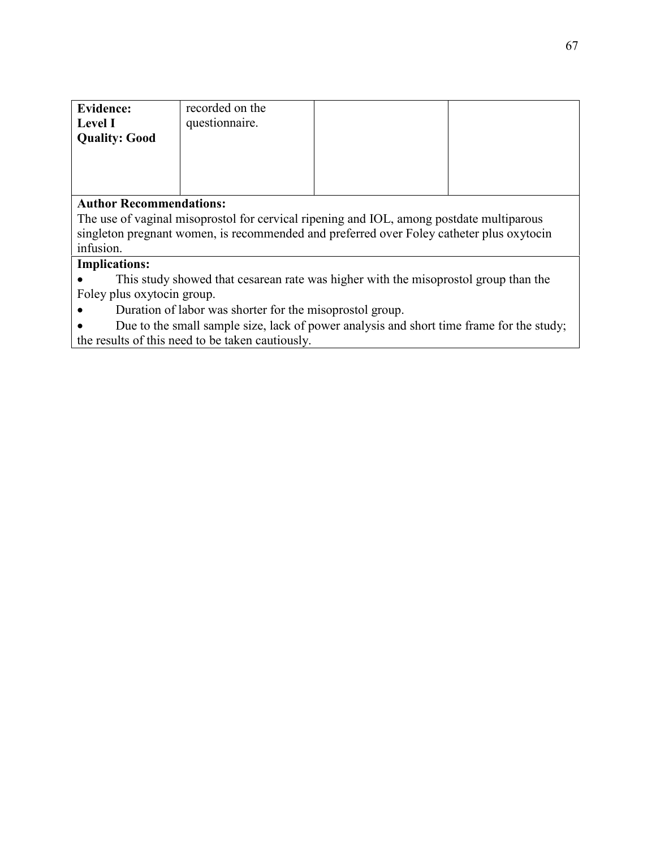| <b>Evidence:</b><br><b>Level I</b> | recorded on the<br>questionnaire. |  |
|------------------------------------|-----------------------------------|--|
| <b>Quality: Good</b>               |                                   |  |
|                                    |                                   |  |

The use of vaginal misoprostol for cervical ripening and IOL, among postdate multiparous singleton pregnant women, is recommended and preferred over Foley catheter plus oxytocin infusion.

## **Implications:**

• This study showed that cesarean rate was higher with the misoprostol group than the Foley plus oxytocin group.

• Duration of labor was shorter for the misoprostol group.

• Due to the small sample size, lack of power analysis and short time frame for the study; the results of this need to be taken cautiously.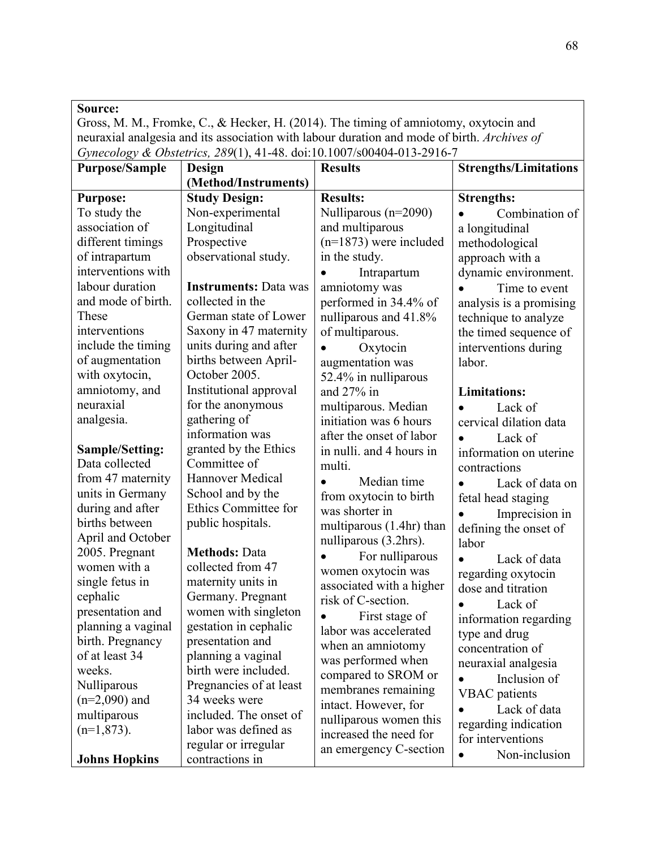Gross, M. M., Fromke, C., & Hecker, H. (2014). The timing of amniotomy, oxytocin and neuraxial analgesia and its association with labour duration and mode of birth. *Archives of Gynecology & Obstetrics, 289*(1), 41-48. doi:10.1007/s00404-013-2916-7

|                        | $\frac{1}{2}$                |                                                  |                              |
|------------------------|------------------------------|--------------------------------------------------|------------------------------|
| <b>Purpose/Sample</b>  | Design                       | <b>Results</b>                                   | <b>Strengths/Limitations</b> |
|                        | (Method/Instruments)         |                                                  |                              |
| <b>Purpose:</b>        | <b>Study Design:</b>         | <b>Results:</b>                                  | <b>Strengths:</b>            |
| To study the           | Non-experimental             | Nulliparous (n=2090)                             | Combination of               |
| association of         | Longitudinal                 | and multiparous                                  | a longitudinal               |
| different timings      | Prospective                  | $(n=1873)$ were included                         | methodological               |
| of intrapartum         | observational study.         | in the study.                                    | approach with a              |
| interventions with     |                              | Intrapartum                                      | dynamic environment.         |
| labour duration        | <b>Instruments: Data was</b> | amniotomy was                                    | Time to event                |
| and mode of birth.     | collected in the             | performed in 34.4% of                            | analysis is a promising      |
| These                  | German state of Lower        | nulliparous and 41.8%                            | technique to analyze         |
| interventions          | Saxony in 47 maternity       | of multiparous.                                  | the timed sequence of        |
| include the timing     | units during and after       | Oxytocin                                         | interventions during         |
| of augmentation        | births between April-        | augmentation was                                 | labor.                       |
| with oxytocin,         | October 2005.                | 52.4% in nulliparous                             |                              |
| amniotomy, and         | Institutional approval       | and 27% in                                       | <b>Limitations:</b>          |
| neuraxial              | for the anonymous            | multiparous. Median                              | Lack of                      |
| analgesia.             | gathering of                 | initiation was 6 hours                           | cervical dilation data       |
|                        | information was              | after the onset of labor                         | Lack of<br>$\bullet$         |
| <b>Sample/Setting:</b> | granted by the Ethics        | in nulli. and 4 hours in                         | information on uterine       |
| Data collected         | Committee of                 | multi.                                           | contractions                 |
| from 47 maternity      | <b>Hannover Medical</b>      | Median time                                      | Lack of data on              |
| units in Germany       | School and by the            | from oxytocin to birth                           | fetal head staging           |
| during and after       | Ethics Committee for         | was shorter in                                   | Imprecision in               |
| births between         | public hospitals.            | multiparous (1.4hr) than                         | defining the onset of        |
| April and October      |                              | nulliparous (3.2hrs).                            | labor                        |
| 2005. Pregnant         | <b>Methods: Data</b>         | For nulliparous                                  |                              |
| women with a           | collected from 47            | women oxytocin was                               | Lack of data<br>$\bullet$    |
| single fetus in        | maternity units in           | associated with a higher                         | regarding oxytocin           |
| cephalic               | Germany. Pregnant            | risk of C-section.                               | dose and titration           |
| presentation and       | women with singleton         | First stage of                                   | Lack of                      |
| planning a vaginal     | gestation in cephalic        | labor was accelerated                            | information regarding        |
| birth. Pregnancy       | presentation and             |                                                  | type and drug                |
| of at least 34         | planning a vaginal           | when an amniotomy<br>was performed when          | concentration of             |
| weeks.                 | birth were included.         | compared to SROM or                              | neuraxial analgesia          |
| Nulliparous            | Pregnancies of at least      | membranes remaining                              | Inclusion of<br>$\bullet$    |
| $(n=2,090)$ and        | 34 weeks were                | intact. However, for                             | <b>VBAC</b> patients         |
| multiparous            | included. The onset of       |                                                  | Lack of data                 |
| $(n=1,873)$ .          | labor was defined as         | nulliparous women this<br>increased the need for | regarding indication         |
|                        | regular or irregular         |                                                  | for interventions            |
| <b>Johns Hopkins</b>   | contractions in              | an emergency C-section                           | Non-inclusion                |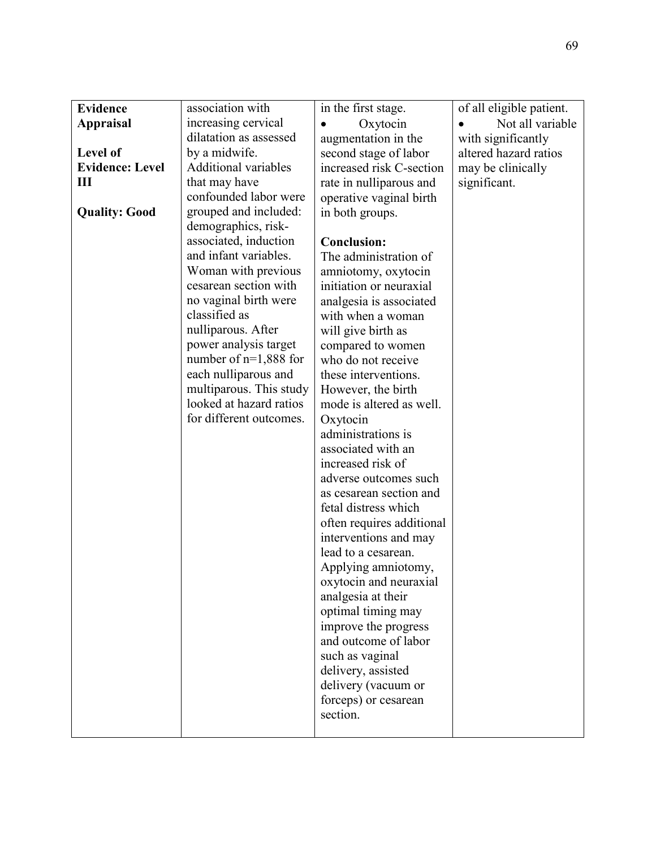| <b>Evidence</b>        | association with            | in the first stage.       | of all eligible patient. |
|------------------------|-----------------------------|---------------------------|--------------------------|
| <b>Appraisal</b>       | increasing cervical         |                           |                          |
|                        | dilatation as assessed      | Oxytocin                  | Not all variable         |
| Level of               | by a midwife.               | augmentation in the       | with significantly       |
|                        |                             | second stage of labor     | altered hazard ratios    |
| <b>Evidence: Level</b> | <b>Additional variables</b> | increased risk C-section  | may be clinically        |
| Ш                      | that may have               | rate in nulliparous and   | significant.             |
|                        | confounded labor were       | operative vaginal birth   |                          |
| <b>Quality: Good</b>   | grouped and included:       | in both groups.           |                          |
|                        | demographics, risk-         |                           |                          |
|                        | associated, induction       | <b>Conclusion:</b>        |                          |
|                        | and infant variables.       | The administration of     |                          |
|                        | Woman with previous         | amniotomy, oxytocin       |                          |
|                        | cesarean section with       | initiation or neuraxial   |                          |
|                        | no vaginal birth were       | analgesia is associated   |                          |
|                        | classified as               | with when a woman         |                          |
|                        | nulliparous. After          | will give birth as        |                          |
|                        | power analysis target       | compared to women         |                          |
|                        | number of $n=1,888$ for     | who do not receive        |                          |
|                        | each nulliparous and        | these interventions.      |                          |
|                        | multiparous. This study     | However, the birth        |                          |
|                        | looked at hazard ratios     | mode is altered as well.  |                          |
|                        | for different outcomes.     | Oxytocin                  |                          |
|                        |                             | administrations is        |                          |
|                        |                             | associated with an        |                          |
|                        |                             | increased risk of         |                          |
|                        |                             | adverse outcomes such     |                          |
|                        |                             | as cesarean section and   |                          |
|                        |                             | fetal distress which      |                          |
|                        |                             | often requires additional |                          |
|                        |                             | interventions and may     |                          |
|                        |                             | lead to a cesarean.       |                          |
|                        |                             | Applying amniotomy,       |                          |
|                        |                             | oxytocin and neuraxial    |                          |
|                        |                             | analgesia at their        |                          |
|                        |                             | optimal timing may        |                          |
|                        |                             | improve the progress      |                          |
|                        |                             | and outcome of labor      |                          |
|                        |                             | such as vaginal           |                          |
|                        |                             | delivery, assisted        |                          |
|                        |                             | delivery (vacuum or       |                          |
|                        |                             | forceps) or cesarean      |                          |
|                        |                             | section.                  |                          |
|                        |                             |                           |                          |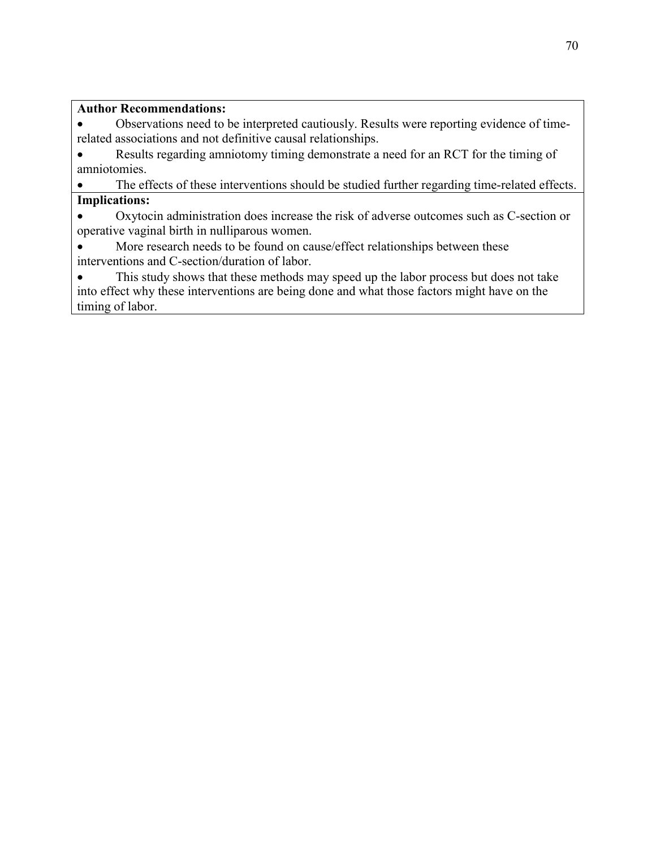• Observations need to be interpreted cautiously. Results were reporting evidence of timerelated associations and not definitive causal relationships.

• Results regarding amniotomy timing demonstrate a need for an RCT for the timing of amniotomies.

• The effects of these interventions should be studied further regarding time-related effects. **Implications:**

• Oxytocin administration does increase the risk of adverse outcomes such as C-section or operative vaginal birth in nulliparous women.

• More research needs to be found on cause/effect relationships between these interventions and C-section/duration of labor.

• This study shows that these methods may speed up the labor process but does not take into effect why these interventions are being done and what those factors might have on the timing of labor.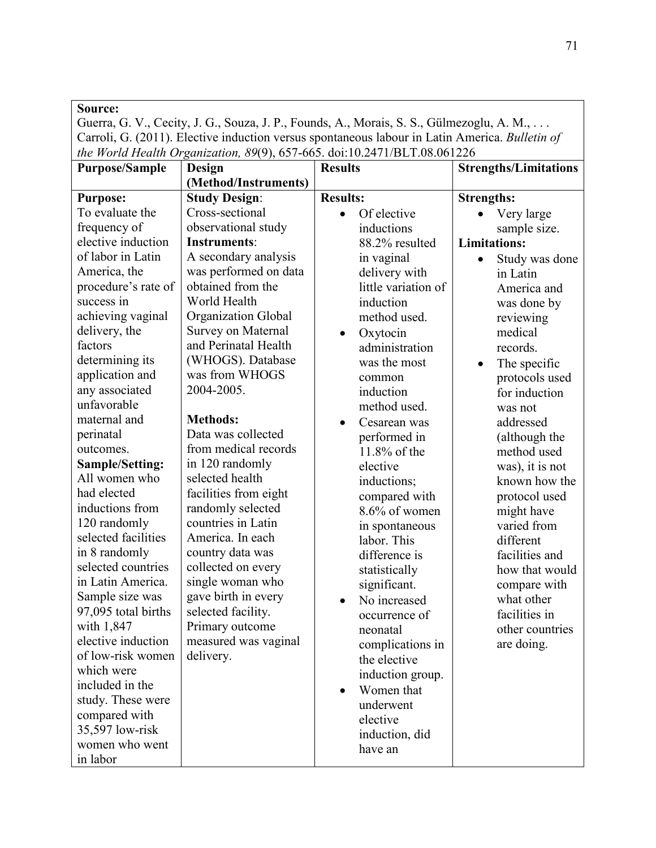Guerra, G. V., Cecity, J. G., Souza, J. P., Founds, A., Morais, S. S., Gülmezoglu, A. M., . . . Carroli, G. (2011). Elective induction versus spontaneous labour in Latin America. *Bulletin of the World Health Organization, 89*(9), 657-665. doi:10.2471/BLT.08.061226

| <b>Purpose/Sample</b>  | Design                | <b>Results</b>            | <b>Strengths/Limitations</b> |
|------------------------|-----------------------|---------------------------|------------------------------|
|                        | (Method/Instruments)  |                           |                              |
| <b>Purpose:</b>        | <b>Study Design:</b>  | <b>Results:</b>           | <b>Strengths:</b>            |
| To evaluate the        | Cross-sectional       | Of elective<br>$\bullet$  | Very large                   |
| frequency of           | observational study   | inductions                | sample size.                 |
| elective induction     | <b>Instruments:</b>   | 88.2% resulted            | <b>Limitations:</b>          |
| of labor in Latin      | A secondary analysis  | in vaginal                | Study was done<br>$\bullet$  |
| America, the           | was performed on data | delivery with             | in Latin                     |
| procedure's rate of    | obtained from the     | little variation of       | America and                  |
| success in             | World Health          | induction                 | was done by                  |
| achieving vaginal      | Organization Global   | method used.              | reviewing                    |
| delivery, the          | Survey on Maternal    | Oxytocin<br>$\bullet$     | medical                      |
| factors                | and Perinatal Health  | administration            | records.                     |
| determining its        | (WHOGS). Database     | was the most              | The specific<br>$\bullet$    |
| application and        | was from WHOGS        | common                    | protocols used               |
| any associated         | 2004-2005.            | induction                 | for induction                |
| unfavorable            |                       | method used.              | was not                      |
| maternal and           | <b>Methods:</b>       | Cesarean was<br>$\bullet$ | addressed                    |
| perinatal              | Data was collected    | performed in              | (although the                |
| outcomes.              | from medical records  | 11.8% of the              | method used                  |
| <b>Sample/Setting:</b> | in 120 randomly       | elective                  | was), it is not              |
| All women who          | selected health       | inductions;               | known how the                |
| had elected            | facilities from eight | compared with             | protocol used                |
| inductions from        | randomly selected     | 8.6% of women             | might have                   |
| 120 randomly           | countries in Latin    | in spontaneous            | varied from                  |
| selected facilities    | America. In each      | labor. This               | different                    |
| in 8 randomly          | country data was      | difference is             | facilities and               |
| selected countries     | collected on every    | statistically             | how that would               |
| in Latin America.      | single woman who      | significant.              | compare with                 |
| Sample size was        | gave birth in every   | No increased<br>$\bullet$ | what other                   |
| 97,095 total births    | selected facility.    | occurrence of             | facilities in                |
| with 1,847             | Primary outcome       | neonatal                  | other countries              |
| elective induction     | measured was vaginal  | complications in          | are doing.                   |
| of low-risk women      | delivery.             | the elective              |                              |
| which were             |                       | induction group.          |                              |
| included in the        |                       | Women that<br>$\bullet$   |                              |
| study. These were      |                       | underwent                 |                              |
| compared with          |                       | elective                  |                              |
| 35,597 low-risk        |                       | induction, did            |                              |
| women who went         |                       | have an                   |                              |
| in labor               |                       |                           |                              |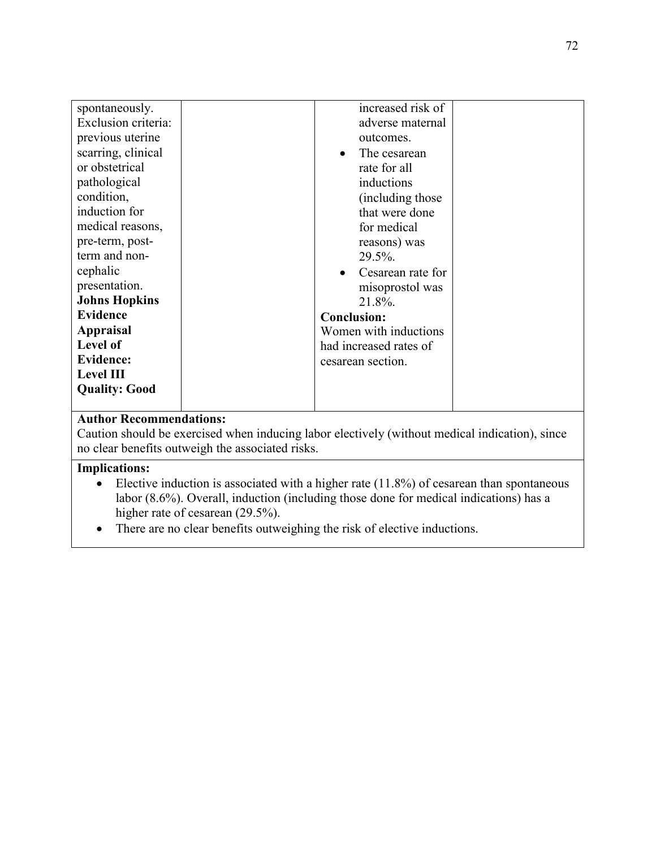| spontaneously.       | increased risk of              |
|----------------------|--------------------------------|
|                      |                                |
| Exclusion criteria:  | adverse maternal               |
| previous uterine     | outcomes.                      |
| scarring, clinical   | The cesarean<br>$\bullet$      |
| or obstetrical       | rate for all                   |
| pathological         | inductions                     |
| condition,           | (including those               |
| induction for        | that were done                 |
| medical reasons,     | for medical                    |
| pre-term, post-      | reasons) was                   |
| term and non-        | $29.5\%$ .                     |
| cephalic             | Cesarean rate for<br>$\bullet$ |
| presentation.        | misoprostol was                |
| <b>Johns Hopkins</b> | 21.8%                          |
| <b>Evidence</b>      | <b>Conclusion:</b>             |
| <b>Appraisal</b>     | Women with inductions          |
| Level of             | had increased rates of         |
| <b>Evidence:</b>     | cesarean section.              |
| <b>Level III</b>     |                                |
| <b>Quality: Good</b> |                                |
|                      |                                |
|                      |                                |

Caution should be exercised when inducing labor electively (without medical indication), since no clear benefits outweigh the associated risks.

- Elective induction is associated with a higher rate  $(11.8\%)$  of cesarean than spontaneous labor (8.6%). Overall, induction (including those done for medical indications) has a higher rate of cesarean (29.5%).
- There are no clear benefits outweighing the risk of elective inductions.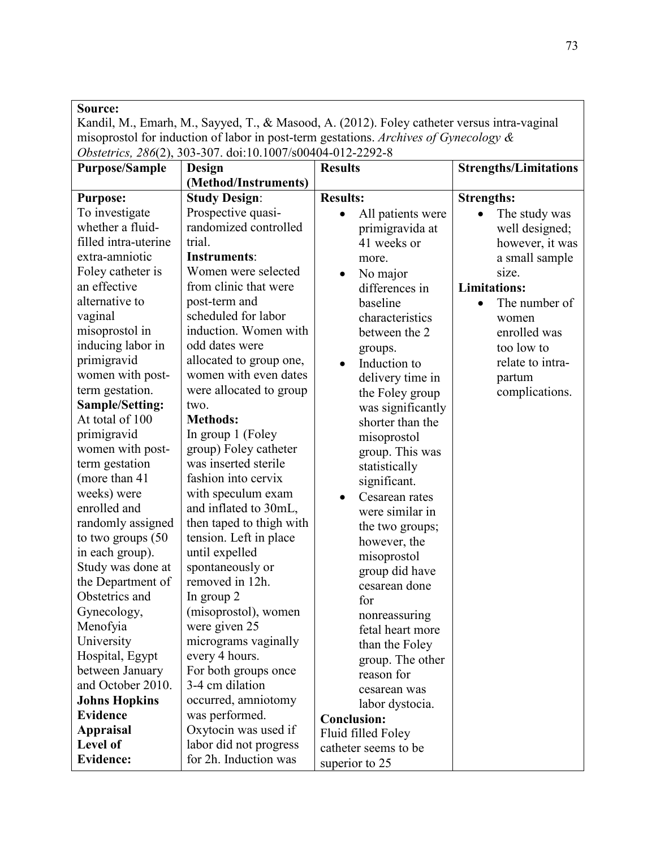| Source:               |                                                            |                                                                                             |                              |
|-----------------------|------------------------------------------------------------|---------------------------------------------------------------------------------------------|------------------------------|
|                       |                                                            | Kandil, M., Emarh, M., Sayyed, T., & Masood, A. (2012). Foley catheter versus intra-vaginal |                              |
|                       |                                                            | misoprostol for induction of labor in post-term gestations. Archives of Gynecology &        |                              |
|                       | Obstetrics, 286(2), 303-307. doi:10.1007/s00404-012-2292-8 |                                                                                             |                              |
| <b>Purpose/Sample</b> | Design                                                     | <b>Results</b>                                                                              | <b>Strengths/Limitations</b> |
|                       | (Method/Instruments)                                       |                                                                                             |                              |
| <b>Purpose:</b>       | <b>Study Design:</b>                                       | <b>Results:</b>                                                                             | <b>Strengths:</b>            |
| To investigate        | Prospective quasi-                                         | All patients were<br>$\bullet$                                                              | The study was                |
| whether a fluid-      | randomized controlled                                      | primigravida at                                                                             | well designed;               |
| filled intra-uterine  | trial.                                                     | 41 weeks or                                                                                 | however, it was              |
| extra-amniotic        | Instruments:                                               | more.                                                                                       | a small sample               |
| Foley catheter is     | Women were selected                                        | No major<br>$\bullet$                                                                       | size.                        |
| an effective          | from clinic that were                                      | differences in                                                                              | <b>Limitations:</b>          |
| alternative to        | post-term and                                              | baseline                                                                                    | The number of                |
| vaginal               | scheduled for labor                                        | characteristics                                                                             | women                        |
| misoprostol in        | induction. Women with                                      | between the 2                                                                               | enrolled was                 |
| inducing labor in     | odd dates were                                             | groups.                                                                                     | too low to                   |
| primigravid           | allocated to group one,                                    | Induction to<br>$\bullet$                                                                   | relate to intra-             |
| women with post-      | women with even dates                                      | delivery time in                                                                            | partum                       |
| term gestation.       | were allocated to group                                    | the Foley group                                                                             | complications.               |
| Sample/Setting:       | two.                                                       | was significantly                                                                           |                              |
| At total of 100       | <b>Methods:</b>                                            | shorter than the                                                                            |                              |
| primigravid           | In group 1 (Foley                                          | misoprostol                                                                                 |                              |
| women with post-      | group) Foley catheter                                      | group. This was                                                                             |                              |
| term gestation        | was inserted sterile                                       | statistically                                                                               |                              |
| (more than 41         | fashion into cervix                                        | significant.                                                                                |                              |
| weeks) were           | with speculum exam                                         | Cesarean rates<br>$\bullet$                                                                 |                              |
| enrolled and          | and inflated to 30mL,                                      | were similar in                                                                             |                              |
| randomly assigned     | then taped to thigh with                                   | the two groups;                                                                             |                              |
| to two groups $(50$   | tension. Left in place                                     | however, the                                                                                |                              |
| in each group).       | until expelled                                             | misoprostol                                                                                 |                              |
| Study was done at     | spontaneously or                                           | group did have                                                                              |                              |
| the Department of     | removed in 12h                                             | cesarean done                                                                               |                              |
| Obstetrics and        | In group 2                                                 | for                                                                                         |                              |
| Gynecology,           | (misoprostol), women                                       | nonreassuring                                                                               |                              |
| Menofyia              | were given 25                                              | fetal heart more                                                                            |                              |
| University            | micrograms vaginally                                       | than the Foley                                                                              |                              |
| Hospital, Egypt       | every 4 hours.                                             | group. The other                                                                            |                              |
| between January       | For both groups once                                       | reason for                                                                                  |                              |
| and October 2010.     | 3-4 cm dilation                                            | cesarean was                                                                                |                              |
| <b>Johns Hopkins</b>  | occurred, amniotomy                                        | labor dystocia.                                                                             |                              |
| <b>Evidence</b>       | was performed.                                             | <b>Conclusion:</b>                                                                          |                              |
| <b>Appraisal</b>      | Oxytocin was used if                                       | Fluid filled Foley                                                                          |                              |
| Level of              | labor did not progress                                     | catheter seems to be                                                                        |                              |
| <b>Evidence:</b>      | for 2h. Induction was                                      | superior to 25                                                                              |                              |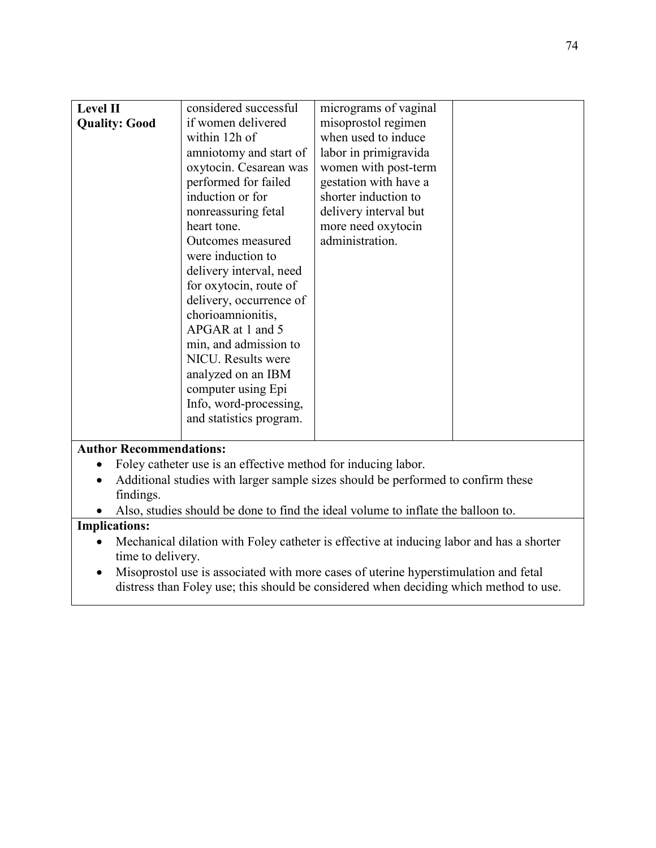| Level II                                                                                 | considered successful                                         | micrograms of vaginal                                                            |  |  |
|------------------------------------------------------------------------------------------|---------------------------------------------------------------|----------------------------------------------------------------------------------|--|--|
| <b>Quality: Good</b>                                                                     | if women delivered                                            | misoprostol regimen                                                              |  |  |
|                                                                                          | within 12h of                                                 | when used to induce                                                              |  |  |
|                                                                                          | amniotomy and start of                                        | labor in primigravida                                                            |  |  |
|                                                                                          | oxytocin. Cesarean was                                        | women with post-term                                                             |  |  |
|                                                                                          | performed for failed                                          | gestation with have a                                                            |  |  |
|                                                                                          | induction or for                                              | shorter induction to                                                             |  |  |
|                                                                                          | nonreassuring fetal                                           | delivery interval but                                                            |  |  |
|                                                                                          | heart tone.                                                   | more need oxytocin                                                               |  |  |
|                                                                                          | Outcomes measured                                             | administration.                                                                  |  |  |
|                                                                                          | were induction to                                             |                                                                                  |  |  |
|                                                                                          | delivery interval, need                                       |                                                                                  |  |  |
|                                                                                          | for oxytocin, route of                                        |                                                                                  |  |  |
|                                                                                          | delivery, occurrence of                                       |                                                                                  |  |  |
|                                                                                          | chorioamnionitis,                                             |                                                                                  |  |  |
|                                                                                          |                                                               |                                                                                  |  |  |
|                                                                                          | APGAR at 1 and 5                                              |                                                                                  |  |  |
|                                                                                          | min, and admission to                                         |                                                                                  |  |  |
|                                                                                          | NICU. Results were                                            |                                                                                  |  |  |
|                                                                                          | analyzed on an IBM                                            |                                                                                  |  |  |
|                                                                                          | computer using Epi                                            |                                                                                  |  |  |
|                                                                                          | Info, word-processing,                                        |                                                                                  |  |  |
|                                                                                          | and statistics program.                                       |                                                                                  |  |  |
|                                                                                          |                                                               |                                                                                  |  |  |
| <b>Author Recommendations:</b>                                                           |                                                               |                                                                                  |  |  |
| $\bullet$                                                                                | Foley catheter use is an effective method for inducing labor. |                                                                                  |  |  |
| $\bullet$                                                                                |                                                               | Additional studies with larger sample sizes should be performed to confirm these |  |  |
| findings.                                                                                |                                                               |                                                                                  |  |  |
| Also, studies should be done to find the ideal volume to inflate the balloon to.         |                                                               |                                                                                  |  |  |
| <b>Implications:</b>                                                                     |                                                               |                                                                                  |  |  |
| Mechanical dilation with Foley catheter is effective at inducing labor and has a shorter |                                                               |                                                                                  |  |  |
|                                                                                          | time to delivery.                                             |                                                                                  |  |  |

• Misoprostol use is associated with more cases of uterine hyperstimulation and fetal distress than Foley use; this should be considered when deciding which method to use.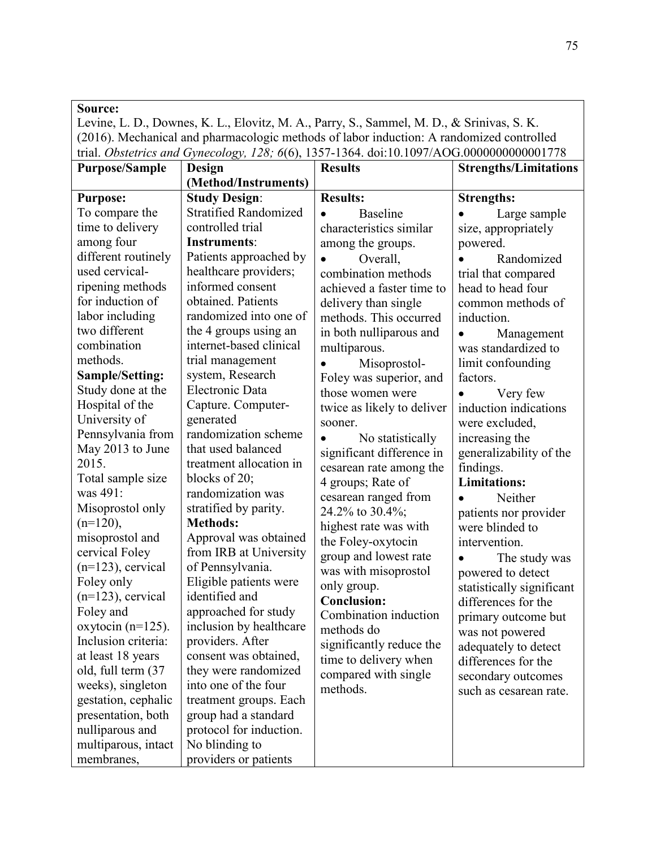| Source:                                   |                                               |                                                                                           |                              |
|-------------------------------------------|-----------------------------------------------|-------------------------------------------------------------------------------------------|------------------------------|
|                                           |                                               | Levine, L. D., Downes, K. L., Elovitz, M. A., Parry, S., Sammel, M. D., & Srinivas, S. K. |                              |
|                                           |                                               | (2016). Mechanical and pharmacologic methods of labor induction: A randomized controlled  |                              |
|                                           |                                               | trial. Obstetrics and Gynecology, 128; 6(6), 1357-1364. doi:10.1097/AOG.000000000001778   |                              |
| <b>Purpose/Sample</b>                     | Design                                        | <b>Results</b>                                                                            | <b>Strengths/Limitations</b> |
|                                           | (Method/Instruments)                          |                                                                                           |                              |
| <b>Purpose:</b>                           | <b>Study Design:</b>                          | <b>Results:</b>                                                                           | <b>Strengths:</b>            |
| To compare the                            | <b>Stratified Randomized</b>                  | <b>Baseline</b>                                                                           | Large sample                 |
| time to delivery                          | controlled trial                              | characteristics similar                                                                   | size, appropriately          |
| among four                                | Instruments:                                  | among the groups.                                                                         | powered.                     |
| different routinely                       | Patients approached by                        | Overall,                                                                                  | Randomized                   |
| used cervical-                            | healthcare providers;                         | combination methods                                                                       | trial that compared          |
| ripening methods                          | informed consent                              | achieved a faster time to                                                                 | head to head four            |
| for induction of                          | obtained. Patients                            | delivery than single                                                                      | common methods of            |
| labor including                           | randomized into one of                        | methods. This occurred                                                                    | induction.                   |
| two different                             | the 4 groups using an                         | in both nulliparous and                                                                   | Management<br>$\bullet$      |
| combination                               | internet-based clinical                       | multiparous.                                                                              | was standardized to          |
| methods.                                  | trial management                              | Misoprostol-                                                                              | limit confounding            |
| <b>Sample/Setting:</b>                    | system, Research                              | Foley was superior, and                                                                   | factors.                     |
| Study done at the                         | Electronic Data                               | those women were                                                                          | Very few                     |
| Hospital of the                           | Capture. Computer-                            | twice as likely to deliver                                                                | induction indications        |
| University of                             | generated                                     | sooner.                                                                                   | were excluded,               |
| Pennsylvania from                         | randomization scheme                          | No statistically                                                                          | increasing the               |
| May 2013 to June                          | that used balanced                            | significant difference in                                                                 | generalizability of the      |
| 2015.                                     | treatment allocation in                       | cesarean rate among the                                                                   | findings.                    |
| Total sample size                         | blocks of 20;                                 | 4 groups; Rate of                                                                         | <b>Limitations:</b>          |
| was 491:                                  | randomization was                             | cesarean ranged from                                                                      | Neither<br>$\bullet$         |
| Misoprostol only                          | stratified by parity.                         | 24.2% to 30.4%;                                                                           | patients nor provider        |
| $(n=120)$ ,                               | <b>Methods:</b>                               | highest rate was with                                                                     | were blinded to              |
| misoprostol and                           | Approval was obtained                         | the Foley-oxytocin                                                                        | intervention.                |
| cervical Foley                            | from IRB at University                        | group and lowest rate                                                                     | The study was                |
| $(n=123)$ , cervical                      | of Pennsylvania.                              | was with misoprostol                                                                      | powered to detect            |
| Foley only                                | Eligible patients were                        | only group.                                                                               | statistically significant    |
| $(n=123)$ , cervical                      | identified and                                | <b>Conclusion:</b>                                                                        | differences for the          |
| Foley and                                 | approached for study                          | Combination induction                                                                     | primary outcome but          |
| oxytocin $(n=125)$ .                      | inclusion by healthcare                       | methods do                                                                                | was not powered              |
| Inclusion criteria:                       | providers. After                              | significantly reduce the                                                                  | adequately to detect         |
| at least 18 years                         | consent was obtained,<br>they were randomized | time to delivery when                                                                     | differences for the          |
| old, full term (37                        | into one of the four                          | compared with single                                                                      | secondary outcomes           |
| weeks), singleton                         | treatment groups. Each                        | methods.                                                                                  | such as cesarean rate.       |
| gestation, cephalic<br>presentation, both | group had a standard                          |                                                                                           |                              |
| nulliparous and                           | protocol for induction.                       |                                                                                           |                              |
| multiparous, intact                       | No blinding to                                |                                                                                           |                              |
| membranes,                                | providers or patients                         |                                                                                           |                              |
|                                           |                                               |                                                                                           |                              |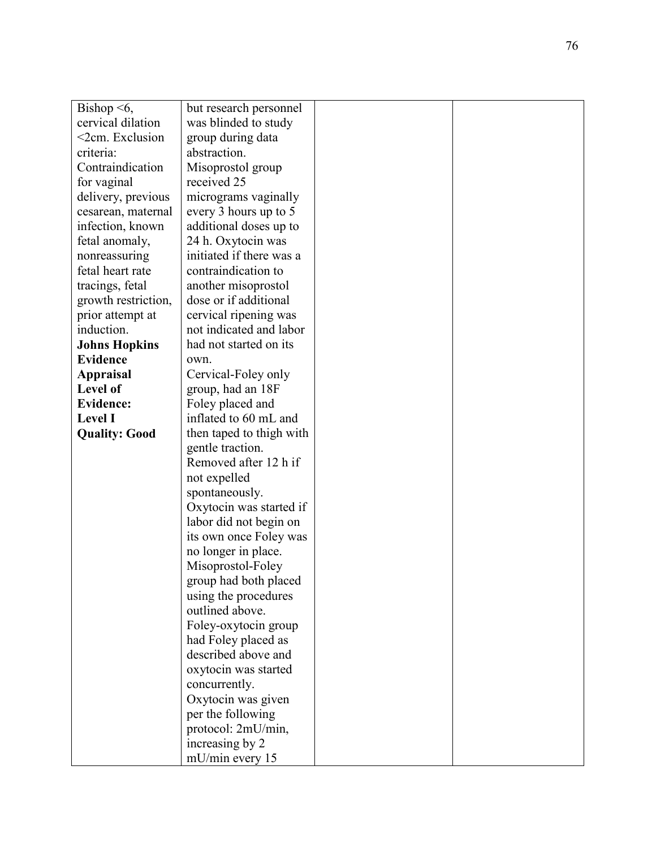| Bishop $\leq 6$ ,    | but research personnel                     |  |
|----------------------|--------------------------------------------|--|
| cervical dilation    | was blinded to study                       |  |
| <2cm. Exclusion      | group during data                          |  |
| criteria:            | abstraction.                               |  |
| Contraindication     | Misoprostol group                          |  |
| for vaginal          | received 25                                |  |
| delivery, previous   | micrograms vaginally                       |  |
| cesarean, maternal   | every 3 hours up to 5                      |  |
| infection, known     | additional doses up to                     |  |
| fetal anomaly,       | 24 h. Oxytocin was                         |  |
| nonreassuring        | initiated if there was a                   |  |
| fetal heart rate     | contraindication to                        |  |
| tracings, fetal      | another misoprostol                        |  |
| growth restriction,  | dose or if additional                      |  |
| prior attempt at     | cervical ripening was                      |  |
| induction.           | not indicated and labor                    |  |
| <b>Johns Hopkins</b> | had not started on its                     |  |
| <b>Evidence</b>      | own.                                       |  |
| <b>Appraisal</b>     | Cervical-Foley only                        |  |
| Level of             | group, had an 18F                          |  |
| <b>Evidence:</b>     | Foley placed and                           |  |
| <b>Level I</b>       | inflated to 60 mL and                      |  |
| <b>Quality: Good</b> | then taped to thigh with                   |  |
|                      | gentle traction.                           |  |
|                      | Removed after 12 h if                      |  |
|                      | not expelled                               |  |
|                      | spontaneously.                             |  |
|                      | Oxytocin was started if                    |  |
|                      | labor did not begin on                     |  |
|                      | its own once Foley was                     |  |
|                      | no longer in place.                        |  |
|                      | Misoprostol-Foley                          |  |
|                      | group had both placed                      |  |
|                      | using the procedures                       |  |
|                      | outlined above.                            |  |
|                      | Foley-oxytocin group                       |  |
|                      | had Foley placed as<br>described above and |  |
|                      | oxytocin was started                       |  |
|                      |                                            |  |
|                      | concurrently.                              |  |
|                      | Oxytocin was given<br>per the following    |  |
|                      | protocol: 2mU/min,                         |  |
|                      |                                            |  |
|                      | increasing by 2<br>mU/min every 15         |  |
|                      |                                            |  |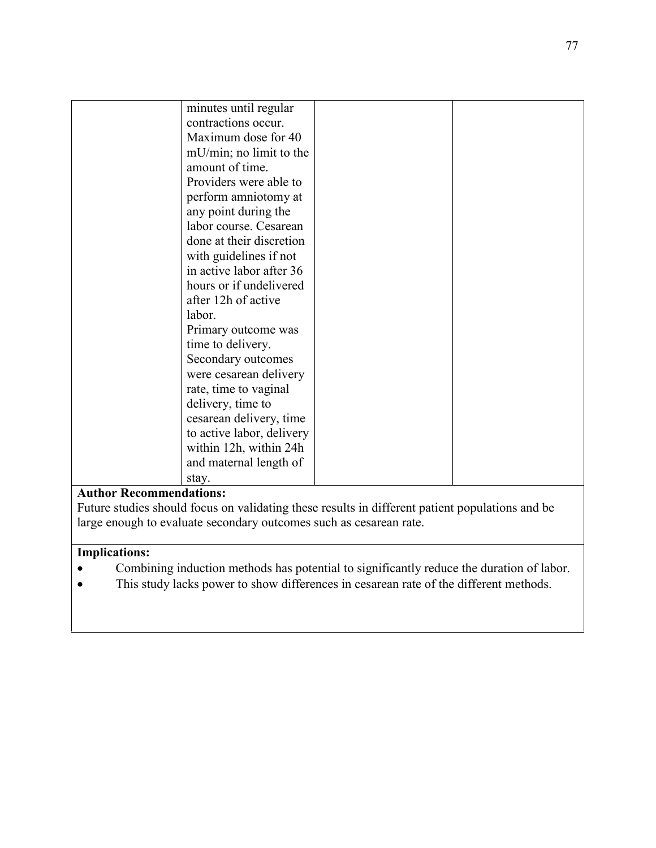| minutes until regular     |  |
|---------------------------|--|
| contractions occur.       |  |
| Maximum dose for 40       |  |
| mU/min; no limit to the   |  |
| amount of time.           |  |
| Providers were able to    |  |
| perform amniotomy at      |  |
| any point during the      |  |
| labor course. Cesarean    |  |
| done at their discretion  |  |
| with guidelines if not    |  |
| in active labor after 36  |  |
| hours or if undelivered   |  |
| after 12h of active       |  |
| labor.                    |  |
| Primary outcome was       |  |
| time to delivery.         |  |
| Secondary outcomes        |  |
| were cesarean delivery    |  |
| rate, time to vaginal     |  |
| delivery, time to         |  |
| cesarean delivery, time   |  |
| to active labor, delivery |  |
| within 12h, within 24h    |  |
| and maternal length of    |  |
| stay.                     |  |

Future studies should focus on validating these results in different patient populations and be large enough to evaluate secondary outcomes such as cesarean rate.

- Combining induction methods has potential to significantly reduce the duration of labor.
- This study lacks power to show differences in cesarean rate of the different methods.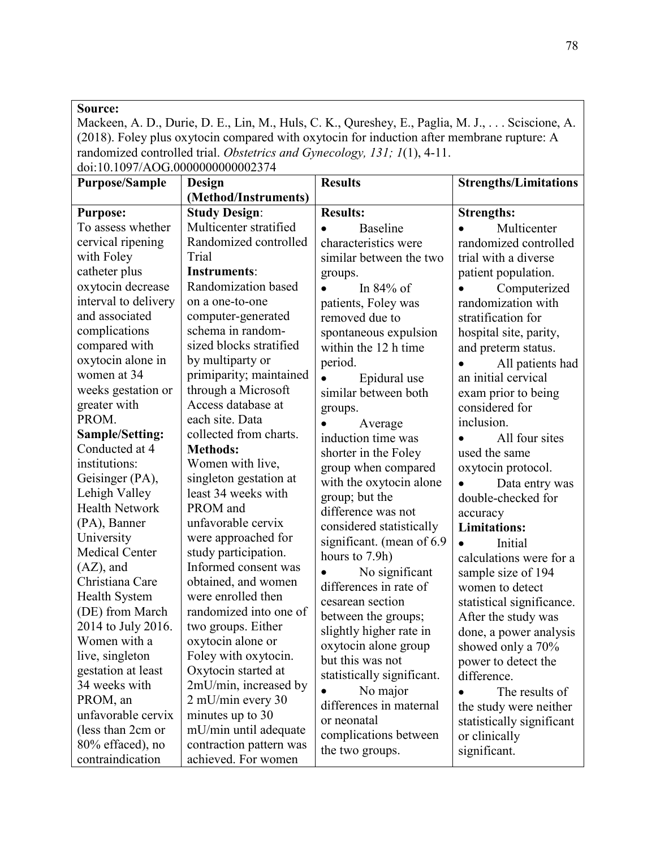| Source:                          |                         |                                                                                                 |                              |
|----------------------------------|-------------------------|-------------------------------------------------------------------------------------------------|------------------------------|
|                                  |                         | Mackeen, A. D., Durie, D. E., Lin, M., Huls, C. K., Qureshey, E., Paglia, M. J.,  Sciscione, A. |                              |
|                                  |                         | (2018). Foley plus oxytocin compared with oxytocin for induction after membrane rupture: A      |                              |
|                                  |                         | randomized controlled trial. Obstetrics and Gynecology, 131; 1(1), 4-11.                        |                              |
| doi:10.1097/AOG.0000000000002374 |                         |                                                                                                 |                              |
| <b>Purpose/Sample</b>            | Design                  | <b>Results</b>                                                                                  | <b>Strengths/Limitations</b> |
|                                  | (Method/Instruments)    |                                                                                                 |                              |
| <b>Purpose:</b>                  | <b>Study Design:</b>    | <b>Results:</b>                                                                                 | <b>Strengths:</b>            |
| To assess whether                | Multicenter stratified  | <b>Baseline</b><br>$\bullet$                                                                    | Multicenter                  |
| cervical ripening                | Randomized controlled   | characteristics were                                                                            | randomized controlled        |
| with Foley                       | Trial                   | similar between the two                                                                         | trial with a diverse         |
| catheter plus                    | <b>Instruments:</b>     | groups.                                                                                         | patient population.          |
| oxytocin decrease                | Randomization based     | In $84\%$ of                                                                                    | Computerized                 |
| interval to delivery             | on a one-to-one         | patients, Foley was                                                                             | randomization with           |
| and associated                   | computer-generated      | removed due to                                                                                  | stratification for           |
| complications                    | schema in random-       | spontaneous expulsion                                                                           | hospital site, parity,       |
| compared with                    | sized blocks stratified | within the 12 h time                                                                            | and preterm status.          |
| oxytocin alone in                | by multiparty or        | period.                                                                                         | All patients had             |
| women at 34                      | primiparity; maintained | Epidural use                                                                                    | an initial cervical          |
| weeks gestation or               | through a Microsoft     | similar between both                                                                            | exam prior to being          |
| greater with                     | Access database at      | groups.                                                                                         | considered for               |
| PROM.                            | each site. Data         | Average                                                                                         | inclusion.                   |
| Sample/Setting:                  | collected from charts.  | induction time was                                                                              | All four sites               |
| Conducted at 4                   | <b>Methods:</b>         | shorter in the Foley                                                                            | used the same                |
| institutions:                    | Women with live,        | group when compared                                                                             | oxytocin protocol.           |
| Geisinger (PA),                  | singleton gestation at  | with the oxytocin alone                                                                         | Data entry was<br>$\bullet$  |
| Lehigh Valley                    | least 34 weeks with     | group; but the                                                                                  | double-checked for           |
| <b>Health Network</b>            | PROM and                | difference was not                                                                              | accuracy                     |
| (PA), Banner                     | unfavorable cervix      | considered statistically                                                                        | <b>Limitations:</b>          |
| University                       | were approached for     | significant. (mean of 6.9)                                                                      | Initial<br>$\bullet$         |
| <b>Medical Center</b>            | study participation.    | hours to 7.9h)                                                                                  | calculations were for a      |
| $(AZ)$ , and                     | Informed consent was    | No significant                                                                                  | sample size of 194           |
| Christiana Care                  | obtained, and women     | differences in rate of                                                                          | women to detect              |
| <b>Health System</b>             | were enrolled then      | cesarean section                                                                                | statistical significance.    |
| (DE) from March                  | randomized into one of  | between the groups;                                                                             | After the study was          |
| 2014 to July 2016.               | two groups. Either      | slightly higher rate in                                                                         | done, a power analysis       |
| Women with a                     | oxytocin alone or       | oxytocin alone group                                                                            | showed only a 70%            |
| live, singleton                  | Foley with oxytocin.    | but this was not                                                                                | power to detect the          |
| gestation at least               | Oxytocin started at     | statistically significant.                                                                      | difference.                  |
| 34 weeks with                    | 2mU/min, increased by   | No major<br>$\bullet$                                                                           | The results of               |
| PROM, an                         | 2 mU/min every 30       | differences in maternal                                                                         | the study were neither       |
| unfavorable cervix               | minutes up to 30        | or neonatal                                                                                     | statistically significant    |
| (less than 2cm or                | mU/min until adequate   | complications between                                                                           | or clinically                |
| 80% effaced), no                 | contraction pattern was | the two groups.                                                                                 | significant.                 |
| contraindication                 | achieved. For women     |                                                                                                 |                              |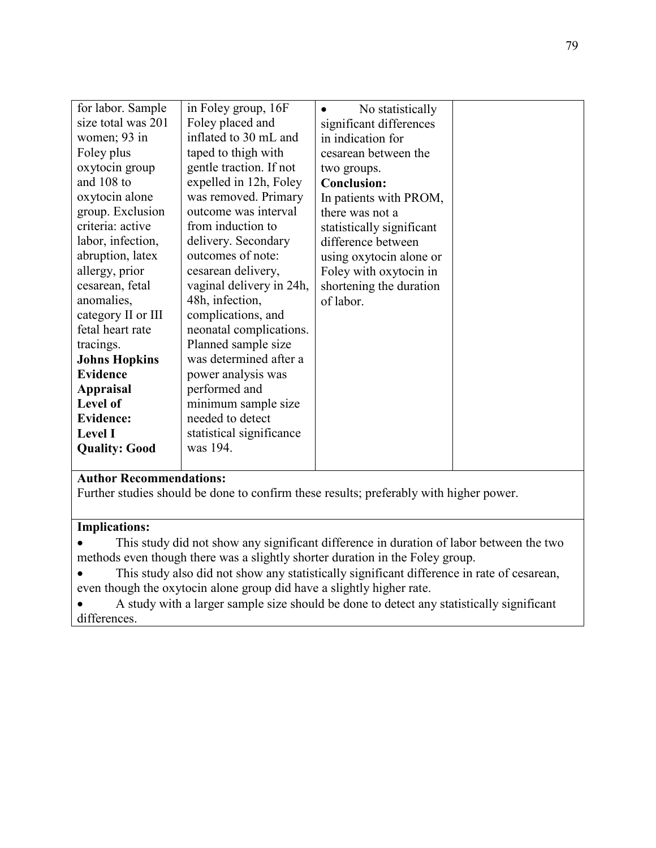| for labor. Sample    | in Foley group, 16F      | No statistically          |  |
|----------------------|--------------------------|---------------------------|--|
| size total was 201   | Foley placed and         | significant differences   |  |
| women; 93 in         | inflated to 30 mL and    | in indication for         |  |
| Foley plus           | taped to thigh with      | cesarean between the      |  |
| oxytocin group       | gentle traction. If not  | two groups.               |  |
| and 108 to           | expelled in 12h, Foley   | <b>Conclusion:</b>        |  |
| oxytocin alone       | was removed. Primary     | In patients with PROM,    |  |
| group. Exclusion     | outcome was interval     | there was not a           |  |
| criteria: active     | from induction to        | statistically significant |  |
| labor, infection,    | delivery. Secondary      | difference between        |  |
| abruption, latex     | outcomes of note:        | using oxytocin alone or   |  |
| allergy, prior       | cesarean delivery,       | Foley with oxytocin in    |  |
| cesarean, fetal      | vaginal delivery in 24h, | shortening the duration   |  |
| anomalies,           | 48h, infection,          | of labor.                 |  |
| category II or III   | complications, and       |                           |  |
| fetal heart rate     | neonatal complications.  |                           |  |
| tracings.            | Planned sample size      |                           |  |
| <b>Johns Hopkins</b> | was determined after a   |                           |  |
| <b>Evidence</b>      | power analysis was       |                           |  |
| <b>Appraisal</b>     | performed and            |                           |  |
| Level of             | minimum sample size      |                           |  |
| <b>Evidence:</b>     | needed to detect         |                           |  |
| <b>Level I</b>       | statistical significance |                           |  |
| <b>Quality: Good</b> | was 194.                 |                           |  |
|                      |                          |                           |  |

Further studies should be done to confirm these results; preferably with higher power.

- This study did not show any significant difference in duration of labor between the two methods even though there was a slightly shorter duration in the Foley group.
- This study also did not show any statistically significant difference in rate of cesarean, even though the oxytocin alone group did have a slightly higher rate.
- A study with a larger sample size should be done to detect any statistically significant differences.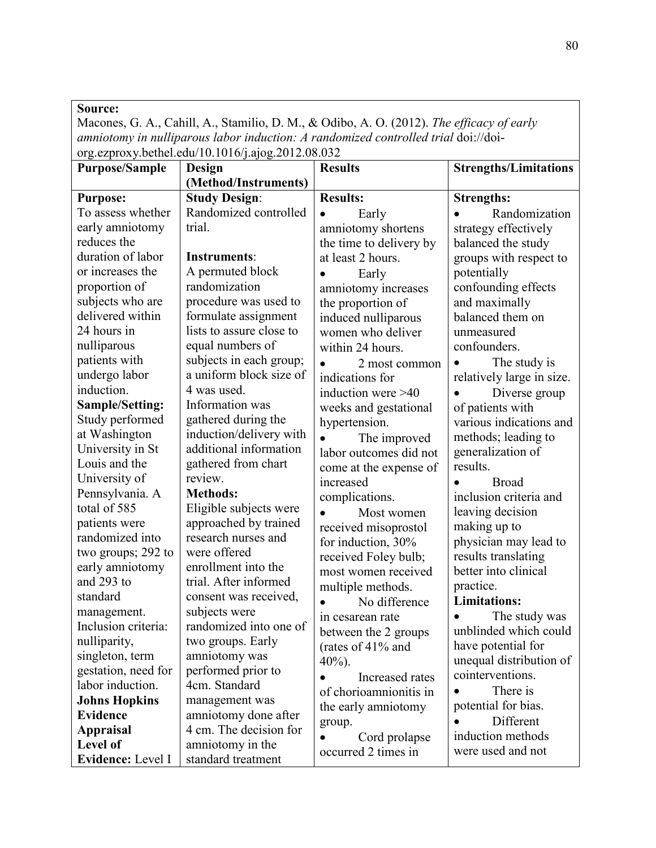Macones, G. A., Cahill, A., Stamilio, D. M., & Odibo, A. O. (2012). *The efficacy of early amniotomy in nulliparous labor induction: A randomized controlled trial* doi://doiorg.ezproxy.bethel.edu/10.1016/j.ajog.2012.08.032

|                        | 10.1010<br>$  -$         |                         |                              |
|------------------------|--------------------------|-------------------------|------------------------------|
| <b>Purpose/Sample</b>  | Design                   | <b>Results</b>          | <b>Strengths/Limitations</b> |
|                        | (Method/Instruments)     |                         |                              |
| <b>Purpose:</b>        | <b>Study Design:</b>     | <b>Results:</b>         | <b>Strengths:</b>            |
| To assess whether      | Randomized controlled    | Early                   | Randomization                |
| early amniotomy        | trial.                   | amniotomy shortens      | strategy effectively         |
| reduces the            |                          | the time to delivery by | balanced the study           |
| duration of labor      | Instruments:             | at least 2 hours.       | groups with respect to       |
| or increases the       | A permuted block         | Early                   | potentially                  |
| proportion of          | randomization            | amniotomy increases     | confounding effects          |
| subjects who are       | procedure was used to    | the proportion of       | and maximally                |
| delivered within       | formulate assignment     | induced nulliparous     | balanced them on             |
| 24 hours in            | lists to assure close to | women who deliver       | unmeasured                   |
| nulliparous            | equal numbers of         | within 24 hours.        | confounders.                 |
| patients with          | subjects in each group;  | 2 most common           | The study is<br>$\bullet$    |
| undergo labor          | a uniform block size of  | indications for         | relatively large in size.    |
| induction.             | 4 was used.              | induction were >40      | Diverse group<br>$\bullet$   |
| <b>Sample/Setting:</b> | Information was          | weeks and gestational   | of patients with             |
| Study performed        | gathered during the      | hypertension.           | various indications and      |
| at Washington          | induction/delivery with  | The improved            | methods; leading to          |
| University in St       | additional information   | labor outcomes did not  | generalization of            |
| Louis and the          | gathered from chart      | come at the expense of  | results.                     |
| University of          | review.                  | increased               | <b>Broad</b><br>$\bullet$    |
| Pennsylvania. A        | <b>Methods:</b>          | complications.          | inclusion criteria and       |
| total of 585           | Eligible subjects were   |                         | leaving decision             |
| patients were          | approached by trained    | Most women              |                              |
| randomized into        | research nurses and      | received misoprostol    | making up to                 |
| two groups; 292 to     | were offered             | for induction, 30%      | physician may lead to        |
| early amniotomy        | enrollment into the      | received Foley bulb;    | results translating          |
| and 293 to             | trial. After informed    | most women received     | better into clinical         |
| standard               | consent was received,    | multiple methods.       | practice.                    |
| management.            | subjects were            | No difference           | <b>Limitations:</b>          |
| Inclusion criteria:    | randomized into one of   | in cesarean rate        | The study was                |
| nulliparity,           | two groups. Early        | between the 2 groups    | unblinded which could        |
| singleton, term        | amniotomy was            | (rates of 41% and       | have potential for           |
| gestation, need for    | performed prior to       | $40\%$ ).               | unequal distribution of      |
| labor induction.       | 4cm. Standard            | Increased rates         | cointerventions.             |
| <b>Johns Hopkins</b>   | management was           | of chorioamnionitis in  | There is                     |
| <b>Evidence</b>        | amniotomy done after     | the early amniotomy     | potential for bias.          |
| <b>Appraisal</b>       | 4 cm. The decision for   | group.                  | Different                    |
| Level of               | amniotomy in the         | Cord prolapse           | induction methods            |
| Evidence: Level I      | standard treatment       | occurred 2 times in     | were used and not            |
|                        |                          |                         |                              |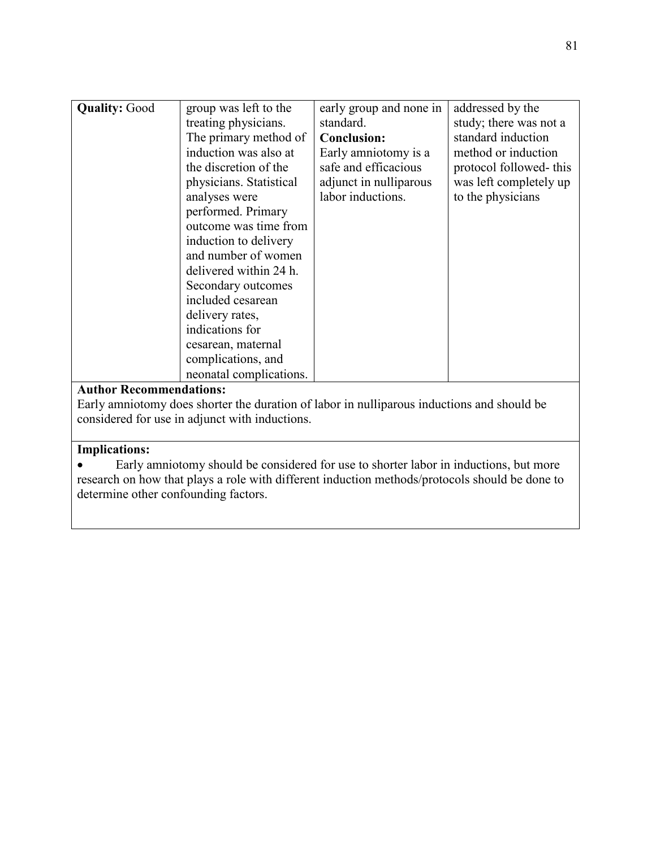| <b>Quality: Good</b>           | group was left to the<br>treating physicians.<br>The primary method of<br>induction was also at<br>the discretion of the<br>physicians. Statistical<br>analyses were<br>performed. Primary<br>outcome was time from<br>induction to delivery<br>and number of women<br>delivered within 24 h.<br>Secondary outcomes<br>included cesarean<br>delivery rates,<br>indications for<br>cesarean, maternal | early group and none in<br>standard.<br><b>Conclusion:</b><br>Early amniotomy is a<br>safe and efficacious<br>adjunct in nulliparous<br>labor inductions. | addressed by the<br>study; there was not a<br>standard induction<br>method or induction<br>protocol followed-this<br>was left completely up<br>to the physicians |
|--------------------------------|------------------------------------------------------------------------------------------------------------------------------------------------------------------------------------------------------------------------------------------------------------------------------------------------------------------------------------------------------------------------------------------------------|-----------------------------------------------------------------------------------------------------------------------------------------------------------|------------------------------------------------------------------------------------------------------------------------------------------------------------------|
|                                |                                                                                                                                                                                                                                                                                                                                                                                                      |                                                                                                                                                           |                                                                                                                                                                  |
|                                | complications, and                                                                                                                                                                                                                                                                                                                                                                                   |                                                                                                                                                           |                                                                                                                                                                  |
|                                | neonatal complications.                                                                                                                                                                                                                                                                                                                                                                              |                                                                                                                                                           |                                                                                                                                                                  |
| <b>Author Recommendations:</b> |                                                                                                                                                                                                                                                                                                                                                                                                      |                                                                                                                                                           |                                                                                                                                                                  |

Early amniotomy does shorter the duration of labor in nulliparous inductions and should be considered for use in adjunct with inductions.

# **Implications:**

• Early amniotomy should be considered for use to shorter labor in inductions, but more research on how that plays a role with different induction methods/protocols should be done to determine other confounding factors.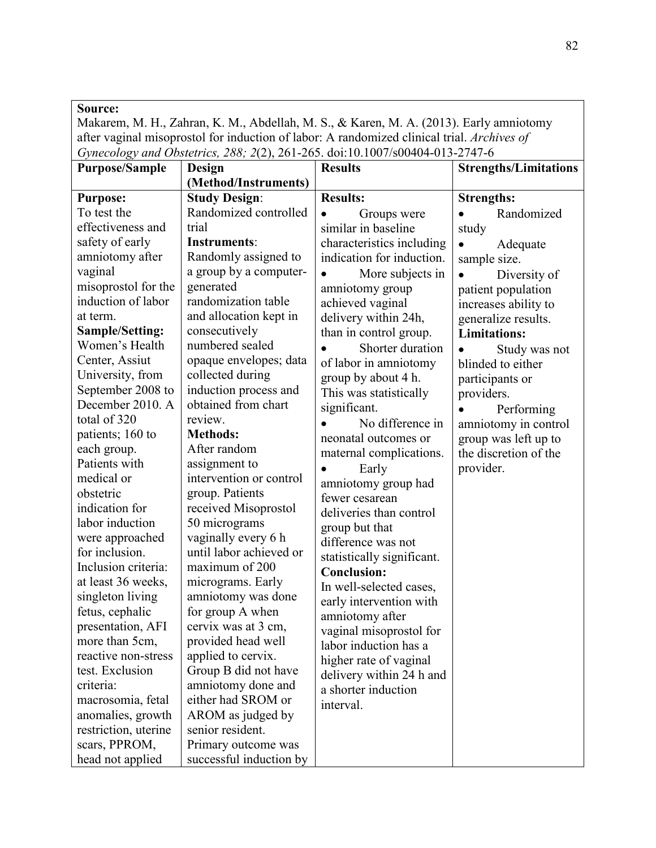Makarem, M. H., Zahran, K. M., Abdellah, M. S., & Karen, M. A. (2013). Early amniotomy after vaginal misoprostol for induction of labor: A randomized clinical trial. *Archives of Gynecology and Obstetrics, 288; 2*(2), 261-265. doi:10.1007/s00404-013-2747-6

| <b>Purpose/Sample</b>  | Design                  | <b>Results</b>             | <b>Strengths/Limitations</b> |
|------------------------|-------------------------|----------------------------|------------------------------|
|                        | (Method/Instruments)    |                            |                              |
| <b>Purpose:</b>        | <b>Study Design:</b>    | <b>Results:</b>            | <b>Strengths:</b>            |
| To test the            | Randomized controlled   | Groups were                | Randomized                   |
| effectiveness and      | trial                   | similar in baseline        | study                        |
| safety of early        | <b>Instruments:</b>     | characteristics including  | Adequate                     |
| amniotomy after        | Randomly assigned to    | indication for induction.  | sample size.                 |
| vaginal                | a group by a computer-  | More subjects in           | Diversity of                 |
| misoprostol for the    | generated               | amniotomy group            | patient population           |
| induction of labor     | randomization table     | achieved vaginal           | increases ability to         |
| at term.               | and allocation kept in  | delivery within 24h,       | generalize results.          |
| <b>Sample/Setting:</b> | consecutively           | than in control group.     | <b>Limitations:</b>          |
| Women's Health         | numbered sealed         | Shorter duration           | Study was not                |
| Center, Assiut         | opaque envelopes; data  | of labor in amniotomy      | blinded to either            |
| University, from       | collected during        | group by about 4 h.        | participants or              |
| September 2008 to      | induction process and   | This was statistically     | providers.                   |
| December 2010. A       | obtained from chart     | significant.               | Performing                   |
| total of 320           | review.                 | No difference in           | amniotomy in control         |
| patients; 160 to       | <b>Methods:</b>         | neonatal outcomes or       | group was left up to         |
| each group.            | After random            | maternal complications.    | the discretion of the        |
| Patients with          | assignment to           | Early                      | provider.                    |
| medical or             | intervention or control | amniotomy group had        |                              |
| obstetric              | group. Patients         | fewer cesarean             |                              |
| indication for         | received Misoprostol    | deliveries than control    |                              |
| labor induction        | 50 micrograms           | group but that             |                              |
| were approached        | vaginally every 6 h     | difference was not         |                              |
| for inclusion.         | until labor achieved or | statistically significant. |                              |
| Inclusion criteria:    | maximum of 200          | <b>Conclusion:</b>         |                              |
| at least 36 weeks,     | micrograms. Early       | In well-selected cases,    |                              |
| singleton living       | amniotomy was done      | early intervention with    |                              |
| fetus, cephalic        | for group A when        | amniotomy after            |                              |
| presentation, AFI      | cervix was at 3 cm,     | vaginal misoprostol for    |                              |
| more than 5cm,         | provided head well      | labor induction has a      |                              |
| reactive non-stress    | applied to cervix.      | higher rate of vaginal     |                              |
| test. Exclusion        | Group B did not have    | delivery within 24 h and   |                              |
| criteria:              | amniotomy done and      | a shorter induction        |                              |
| macrosomia, fetal      | either had SROM or      | interval.                  |                              |
| anomalies, growth      | AROM as judged by       |                            |                              |
| restriction, uterine   | senior resident.        |                            |                              |
| scars, PPROM,          | Primary outcome was     |                            |                              |
| head not applied       | successful induction by |                            |                              |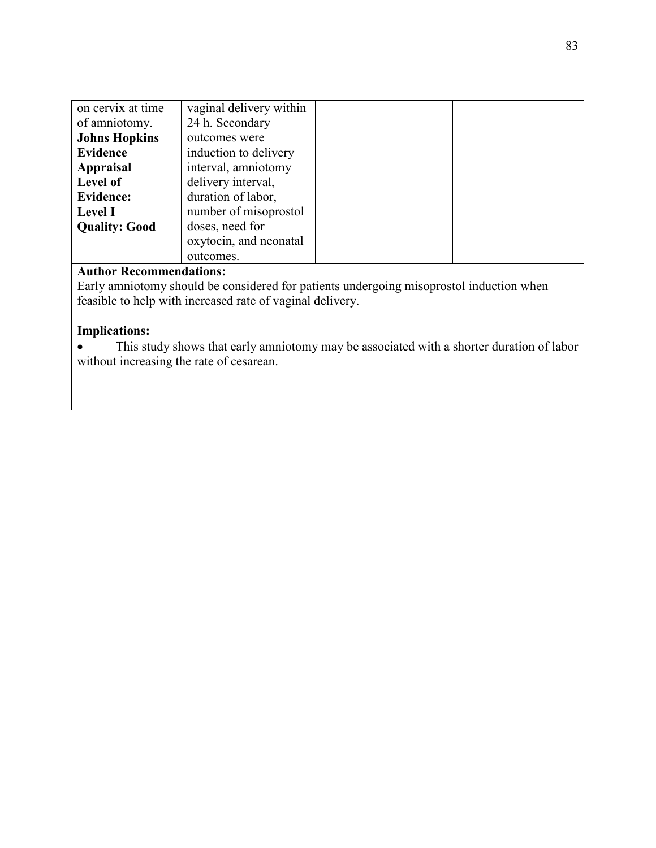| on cervix at time    | vaginal delivery within |  |
|----------------------|-------------------------|--|
| of amniotomy.        | 24 h. Secondary         |  |
| <b>Johns Hopkins</b> | outcomes were           |  |
| <b>Evidence</b>      | induction to delivery   |  |
| <b>Appraisal</b>     | interval, amniotomy     |  |
| Level of             | delivery interval,      |  |
| <b>Evidence:</b>     | duration of labor,      |  |
| <b>Level I</b>       | number of misoprostol   |  |
| <b>Quality: Good</b> | doses, need for         |  |
|                      | oxytocin, and neonatal  |  |
|                      | outcomes.               |  |

Early amniotomy should be considered for patients undergoing misoprostol induction when feasible to help with increased rate of vaginal delivery.

# **Implications:**

• This study shows that early amniotomy may be associated with a shorter duration of labor without increasing the rate of cesarean.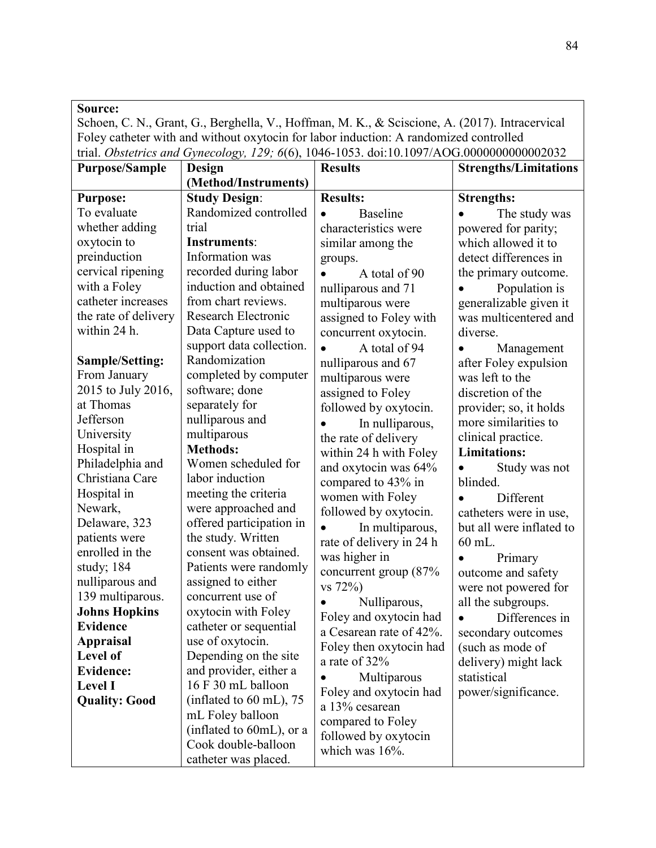| Source: |
|---------|
|---------|

Schoen, C. N., Grant, G., Berghella, V., Hoffman, M. K., & Sciscione, A. (2017). Intracervical Foley catheter with and without oxytocin for labor induction: A randomized controlled trial. *Obstetrics and Gynecology, 129; 6*(6), 1046-1053. doi:10.1097/AOG.0000000000002032

| <b>Purpose/Sample</b>  | Design                    | <b>Results</b>               | <b>Strengths/Limitations</b> |
|------------------------|---------------------------|------------------------------|------------------------------|
|                        | (Method/Instruments)      |                              |                              |
| <b>Purpose:</b>        | <b>Study Design:</b>      | <b>Results:</b>              | <b>Strengths:</b>            |
| To evaluate            | Randomized controlled     | <b>Baseline</b><br>$\bullet$ | The study was                |
| whether adding         | trial                     | characteristics were         | powered for parity;          |
| oxytocin to            | <b>Instruments:</b>       | similar among the            | which allowed it to          |
| preinduction           | Information was           | groups.                      | detect differences in        |
| cervical ripening      | recorded during labor     | A total of 90                | the primary outcome.         |
| with a Foley           | induction and obtained    | nulliparous and 71           | Population is                |
| catheter increases     | from chart reviews.       | multiparous were             | generalizable given it       |
| the rate of delivery   | Research Electronic       | assigned to Foley with       | was multicentered and        |
| within 24 h.           | Data Capture used to      | concurrent oxytocin.         | diverse.                     |
|                        | support data collection.  | A total of 94                | Management<br>$\bullet$      |
| <b>Sample/Setting:</b> | Randomization             | nulliparous and 67           | after Foley expulsion        |
| From January           | completed by computer     | multiparous were             | was left to the              |
| 2015 to July 2016,     | software; done            | assigned to Foley            | discretion of the            |
| at Thomas              | separately for            | followed by oxytocin.        | provider; so, it holds       |
| Jefferson              | nulliparous and           | In nulliparous,              | more similarities to         |
| University             | multiparous               | the rate of delivery         | clinical practice.           |
| Hospital in            | <b>Methods:</b>           | within 24 h with Foley       | <b>Limitations:</b>          |
| Philadelphia and       | Women scheduled for       | and oxytocin was 64%         | Study was not                |
| Christiana Care        | labor induction           | compared to 43% in           | blinded.                     |
| Hospital in            | meeting the criteria      | women with Foley             | Different                    |
| Newark,                | were approached and       | followed by oxytocin.        | catheters were in use,       |
| Delaware, 323          | offered participation in  | In multiparous,              | but all were inflated to     |
| patients were          | the study. Written        | rate of delivery in 24 h     | 60 mL.                       |
| enrolled in the        | consent was obtained.     | was higher in                | Primary                      |
| study; $184$           | Patients were randomly    | concurrent group (87%        | outcome and safety           |
| nulliparous and        | assigned to either        | $vs 72\%)$                   | were not powered for         |
| 139 multiparous.       | concurrent use of         | Nulliparous,                 | all the subgroups.           |
| <b>Johns Hopkins</b>   | oxytocin with Foley       | Foley and oxytocin had       | Differences in               |
| <b>Evidence</b>        | catheter or sequential    | a Cesarean rate of 42%.      | secondary outcomes           |
| Appraisal              | use of oxytocin.          | Foley then oxytocin had      | (such as mode of             |
| Level of               | Depending on the site     | a rate of 32%                | delivery) might lack         |
| <b>Evidence:</b>       | and provider, either a    | Multiparous                  | statistical                  |
| <b>Level I</b>         | 16 F 30 mL balloon        | Foley and oxytocin had       | power/significance.          |
| <b>Quality: Good</b>   | (inflated to $60$ mL), 75 | a 13% cesarean               |                              |
|                        | mL Foley balloon          | compared to Foley            |                              |
|                        | (inflated to 60mL), or a  | followed by oxytocin         |                              |
|                        | Cook double-balloon       | which was $16\%$ .           |                              |
|                        | catheter was placed.      |                              |                              |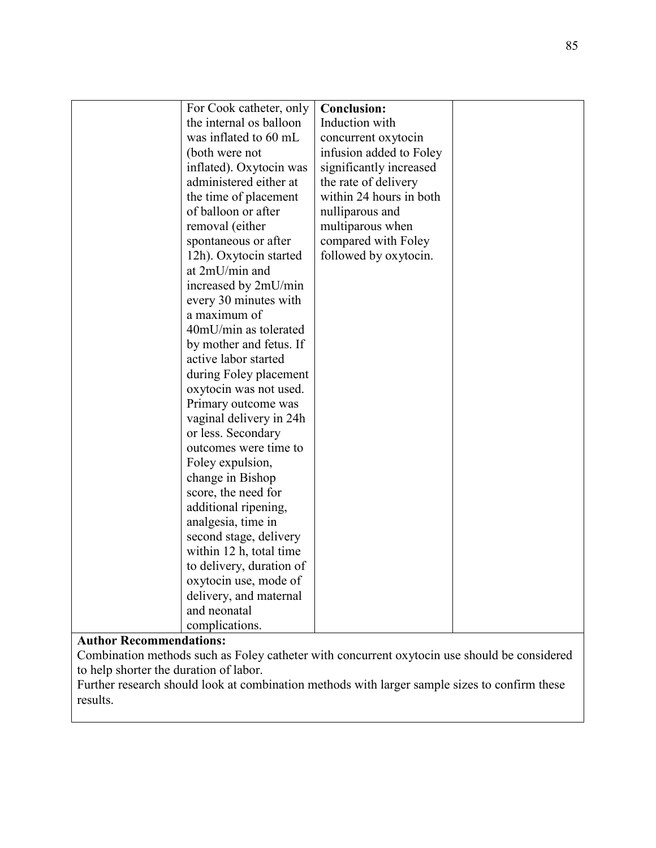|             | For Cook catheter, only<br>the internal os balloon | <b>Conclusion:</b><br>Induction with |  |
|-------------|----------------------------------------------------|--------------------------------------|--|
|             | was inflated to 60 mL                              | concurrent oxytocin                  |  |
|             | (both were not                                     | infusion added to Foley              |  |
|             | inflated). Oxytocin was                            | significantly increased              |  |
|             | administered either at                             | the rate of delivery                 |  |
|             | the time of placement                              | within 24 hours in both              |  |
|             | of balloon or after                                | nulliparous and                      |  |
|             | removal (either                                    | multiparous when                     |  |
|             | spontaneous or after                               | compared with Foley                  |  |
|             | 12h). Oxytocin started                             | followed by oxytocin.                |  |
|             | at 2mU/min and                                     |                                      |  |
|             | increased by 2mU/min                               |                                      |  |
|             | every 30 minutes with                              |                                      |  |
|             | a maximum of                                       |                                      |  |
|             | 40mU/min as tolerated                              |                                      |  |
|             | by mother and fetus. If                            |                                      |  |
|             | active labor started                               |                                      |  |
|             | during Foley placement                             |                                      |  |
|             | oxytocin was not used.                             |                                      |  |
|             | Primary outcome was                                |                                      |  |
|             | vaginal delivery in 24h                            |                                      |  |
|             | or less. Secondary                                 |                                      |  |
|             | outcomes were time to                              |                                      |  |
|             | Foley expulsion,                                   |                                      |  |
|             | change in Bishop                                   |                                      |  |
|             | score, the need for                                |                                      |  |
|             | additional ripening,                               |                                      |  |
|             | analgesia, time in                                 |                                      |  |
|             | second stage, delivery                             |                                      |  |
|             | within 12 h, total time                            |                                      |  |
|             | to delivery, duration of                           |                                      |  |
|             | oxytocin use, mode of                              |                                      |  |
|             | delivery, and maternal                             |                                      |  |
|             | and neonatal                                       |                                      |  |
|             | complications.                                     |                                      |  |
| D<br>. A 1. | 1.                                                 |                                      |  |

Combination methods such as Foley catheter with concurrent oxytocin use should be considered to help shorter the duration of labor.

Further research should look at combination methods with larger sample sizes to confirm these results.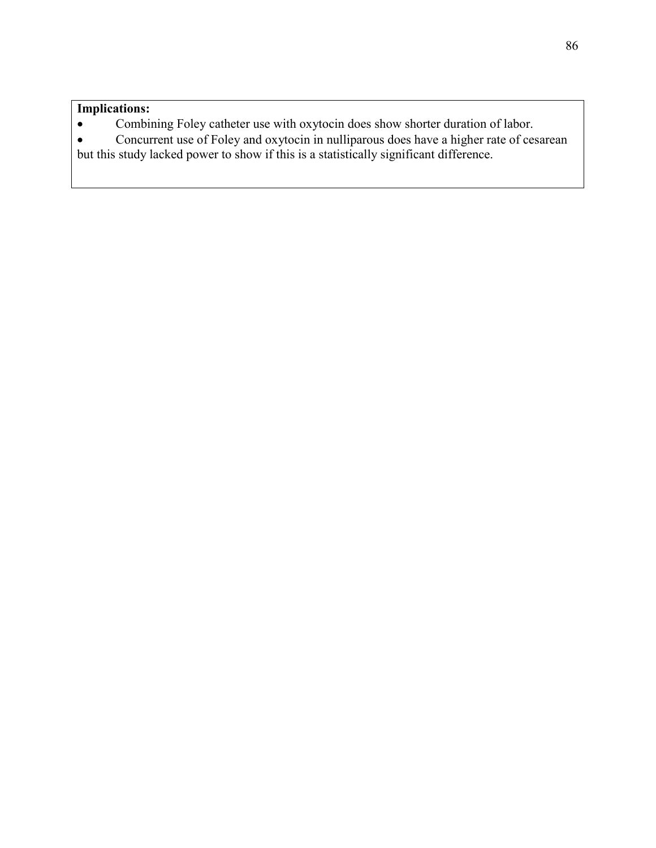# **Implications:**

• Combining Foley catheter use with oxytocin does show shorter duration of labor.

• Concurrent use of Foley and oxytocin in nulliparous does have a higher rate of cesarean but this study lacked power to show if this is a statistically significant difference.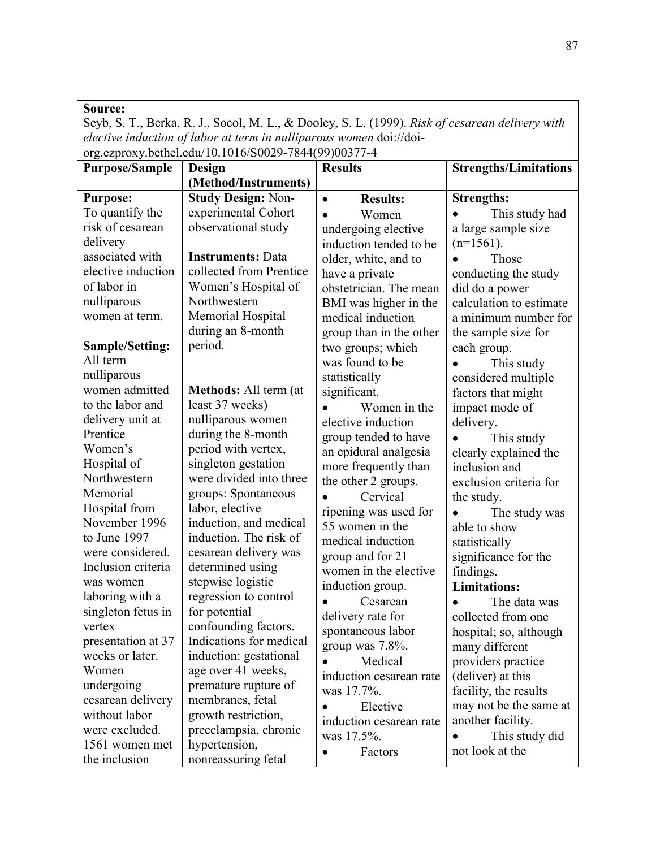Seyb, S. T., Berka, R. J., Socol, M. L., & Dooley, S. L. (1999). *Risk of cesarean delivery with elective induction of labor at term in nulliparous women* doi://doiorg.ezproxy.bethel.edu/10.1016/S0029-7844(99)00377-4

|                        | $\sigma$ , $\sigma$ , $\sigma$ , $\sigma$ , $\sigma$ , $\sigma$ , $\sigma$ , $\sigma$ , $\sigma$ , $\sigma$ , $\sigma$ , $\sigma$ , $\sigma$ , $\sigma$ , $\sigma$ , $\sigma$ , $\sigma$ |                              |                              |
|------------------------|------------------------------------------------------------------------------------------------------------------------------------------------------------------------------------------|------------------------------|------------------------------|
| <b>Purpose/Sample</b>  | Design                                                                                                                                                                                   | <b>Results</b>               | <b>Strengths/Limitations</b> |
|                        | (Method/Instruments)                                                                                                                                                                     |                              |                              |
| <b>Purpose:</b>        | <b>Study Design: Non-</b>                                                                                                                                                                | <b>Results:</b><br>$\bullet$ | <b>Strengths:</b>            |
| To quantify the        | experimental Cohort                                                                                                                                                                      | Women                        | This study had               |
| risk of cesarean       | observational study                                                                                                                                                                      | undergoing elective          | a large sample size          |
| delivery               |                                                                                                                                                                                          | induction tended to be       | $(n=1561)$ .                 |
| associated with        | <b>Instruments: Data</b>                                                                                                                                                                 | older, white, and to         | Those                        |
| elective induction     | collected from Prentice                                                                                                                                                                  | have a private               | conducting the study         |
| of labor in            | Women's Hospital of                                                                                                                                                                      | obstetrician. The mean       | did do a power               |
| nulliparous            | Northwestern                                                                                                                                                                             | BMI was higher in the        | calculation to estimate      |
| women at term.         | Memorial Hospital                                                                                                                                                                        | medical induction            | a minimum number for         |
|                        | during an 8-month                                                                                                                                                                        | group than in the other      | the sample size for          |
| <b>Sample/Setting:</b> | period.                                                                                                                                                                                  | two groups; which            | each group.                  |
| All term               |                                                                                                                                                                                          | was found to be              | This study                   |
| nulliparous            |                                                                                                                                                                                          | statistically                | considered multiple          |
| women admitted         | <b>Methods:</b> All term (at                                                                                                                                                             | significant.                 | factors that might           |
| to the labor and       | least 37 weeks)                                                                                                                                                                          | Women in the                 | impact mode of               |
| delivery unit at       | nulliparous women                                                                                                                                                                        | elective induction           | delivery.                    |
| Prentice               | during the 8-month                                                                                                                                                                       | group tended to have         | This study<br>$\bullet$      |
| Women's                | period with vertex,                                                                                                                                                                      | an epidural analgesia        | clearly explained the        |
| Hospital of            | singleton gestation                                                                                                                                                                      | more frequently than         | inclusion and                |
| Northwestern           | were divided into three                                                                                                                                                                  | the other 2 groups.          | exclusion criteria for       |
| Memorial               | groups: Spontaneous                                                                                                                                                                      | Cervical                     | the study.                   |
| Hospital from          | labor, elective                                                                                                                                                                          | ripening was used for        | The study was                |
| November 1996          | induction, and medical                                                                                                                                                                   | 55 women in the              | able to show                 |
| to June 1997           | induction. The risk of                                                                                                                                                                   | medical induction            | statistically                |
| were considered.       | cesarean delivery was                                                                                                                                                                    | group and for 21             | significance for the         |
| Inclusion criteria     | determined using                                                                                                                                                                         | women in the elective        | findings.                    |
| was women              | stepwise logistic                                                                                                                                                                        | induction group.             | <b>Limitations:</b>          |
| laboring with a        | regression to control                                                                                                                                                                    | Cesarean                     |                              |
| singleton fetus in     | for potential                                                                                                                                                                            | delivery rate for            | The data was                 |
| vertex                 | confounding factors.                                                                                                                                                                     |                              | collected from one           |
| presentation at 37     | Indications for medical                                                                                                                                                                  | spontaneous labor            | hospital; so, although       |
| weeks or later.        | induction: gestational                                                                                                                                                                   | group was $7.8\%$ .          | many different               |
| Women                  | age over 41 weeks,                                                                                                                                                                       | Medical                      | providers practice           |
| undergoing             | premature rupture of                                                                                                                                                                     | induction cesarean rate      | (deliver) at this            |
| cesarean delivery      | membranes, fetal                                                                                                                                                                         | was 17.7%.                   | facility, the results        |
| without labor          | growth restriction,                                                                                                                                                                      | Elective<br>$\bullet$        | may not be the same at       |
| were excluded.         | preeclampsia, chronic                                                                                                                                                                    | induction cesarean rate      | another facility.            |
| 1561 women met         | hypertension,                                                                                                                                                                            | was 17.5%.                   | This study did               |
| the inclusion          | nonreassuring fetal                                                                                                                                                                      | Factors                      | not look at the              |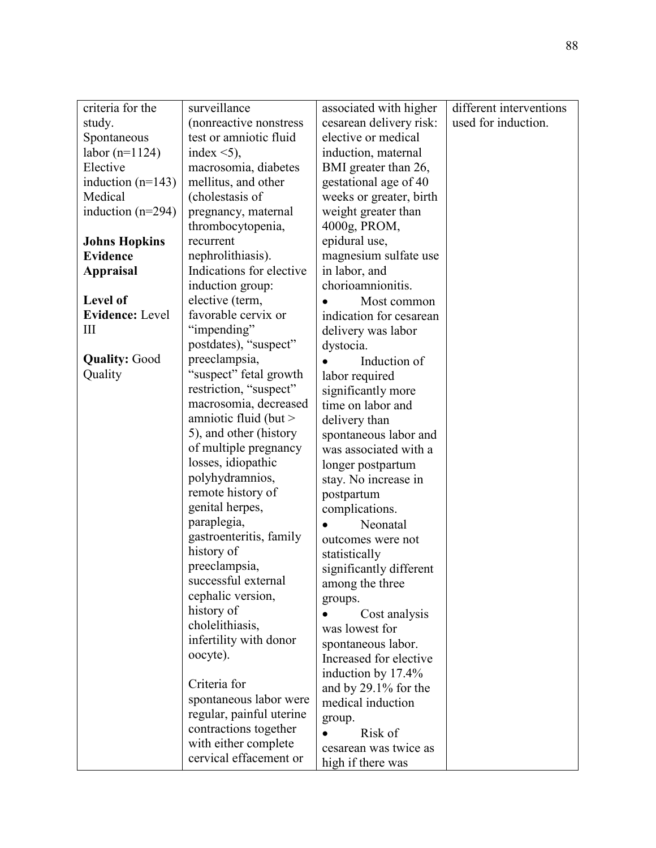| criteria for the       | surveillance             | associated with higher  | different interventions |
|------------------------|--------------------------|-------------------------|-------------------------|
| study.                 | (nonreactive nonstress   | cesarean delivery risk: | used for induction.     |
| Spontaneous            | test or amniotic fluid   | elective or medical     |                         |
| labor $(n=1124)$       | index $\leq$ 5),         | induction, maternal     |                         |
| Elective               | macrosomia, diabetes     | BMI greater than 26,    |                         |
| induction $(n=143)$    | mellitus, and other      | gestational age of 40   |                         |
| Medical                | (cholestasis of          | weeks or greater, birth |                         |
| induction $(n=294)$    | pregnancy, maternal      | weight greater than     |                         |
|                        | thrombocytopenia,        | 4000g, PROM,            |                         |
| <b>Johns Hopkins</b>   | recurrent                | epidural use,           |                         |
| <b>Evidence</b>        | nephrolithiasis).        | magnesium sulfate use   |                         |
| <b>Appraisal</b>       | Indications for elective | in labor, and           |                         |
|                        | induction group:         | chorioamnionitis.       |                         |
| Level of               | elective (term,          | Most common             |                         |
| <b>Evidence:</b> Level | favorable cervix or      | indication for cesarean |                         |
| Ш                      | "impending"              | delivery was labor      |                         |
|                        | postdates), "suspect"    | dystocia.               |                         |
| <b>Quality: Good</b>   | preeclampsia,            | Induction of            |                         |
| Quality                | "suspect" fetal growth   | labor required          |                         |
|                        | restriction, "suspect"   | significantly more      |                         |
|                        | macrosomia, decreased    | time on labor and       |                         |
|                        | amniotic fluid (but $>$  | delivery than           |                         |
|                        | 5), and other (history   | spontaneous labor and   |                         |
|                        | of multiple pregnancy    | was associated with a   |                         |
|                        | losses, idiopathic       | longer postpartum       |                         |
|                        | polyhydramnios,          | stay. No increase in    |                         |
|                        | remote history of        | postpartum              |                         |
|                        | genital herpes,          | complications.          |                         |
|                        | paraplegia,              | Neonatal                |                         |
|                        | gastroenteritis, family  | outcomes were not       |                         |
|                        | history of               | statistically           |                         |
|                        | preeclampsia,            | significantly different |                         |
|                        | successful external      | among the three         |                         |
|                        | cephalic version,        | groups.                 |                         |
|                        | history of               | Cost analysis           |                         |
|                        | cholelithiasis,          | was lowest for          |                         |
|                        | infertility with donor   | spontaneous labor.      |                         |
|                        | oocyte).                 | Increased for elective  |                         |
|                        |                          | induction by 17.4%      |                         |
|                        | Criteria for             | and by $29.1\%$ for the |                         |
|                        | spontaneous labor were   | medical induction       |                         |
|                        | regular, painful uterine | group.                  |                         |
|                        | contractions together    | Risk of                 |                         |
|                        | with either complete     | cesarean was twice as   |                         |
|                        | cervical effacement or   | high if there was       |                         |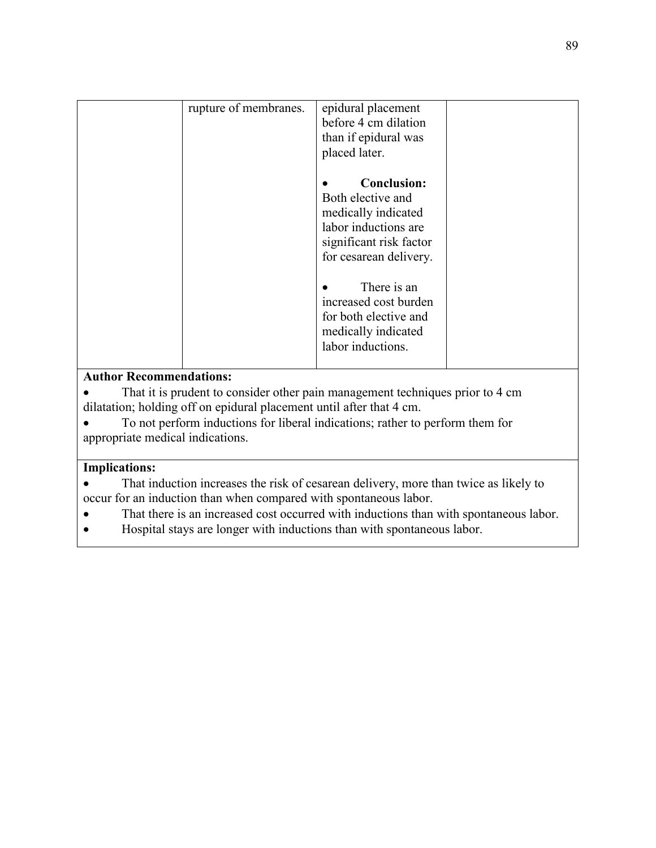|                        | rupture of membranes. | epidural placement      |  |
|------------------------|-----------------------|-------------------------|--|
|                        |                       | before 4 cm dilation    |  |
|                        |                       | than if epidural was    |  |
|                        |                       |                         |  |
|                        |                       | placed later.           |  |
|                        |                       |                         |  |
|                        |                       | <b>Conclusion:</b>      |  |
|                        |                       | Both elective and       |  |
|                        |                       |                         |  |
|                        |                       | medically indicated     |  |
|                        |                       | labor inductions are    |  |
|                        |                       | significant risk factor |  |
|                        |                       | for cesarean delivery.  |  |
|                        |                       |                         |  |
|                        |                       |                         |  |
|                        |                       | There is an             |  |
|                        |                       | increased cost burden   |  |
|                        |                       | for both elective and   |  |
|                        |                       | medically indicated     |  |
|                        |                       |                         |  |
|                        |                       | labor inductions.       |  |
|                        |                       |                         |  |
| Author Decommondations |                       |                         |  |

• That it is prudent to consider other pain management techniques prior to 4 cm dilatation; holding off on epidural placement until after that 4 cm.

• To not perform inductions for liberal indications; rather to perform them for appropriate medical indications.

# **Implications:**

• That induction increases the risk of cesarean delivery, more than twice as likely to occur for an induction than when compared with spontaneous labor.

- That there is an increased cost occurred with inductions than with spontaneous labor.
- Hospital stays are longer with inductions than with spontaneous labor.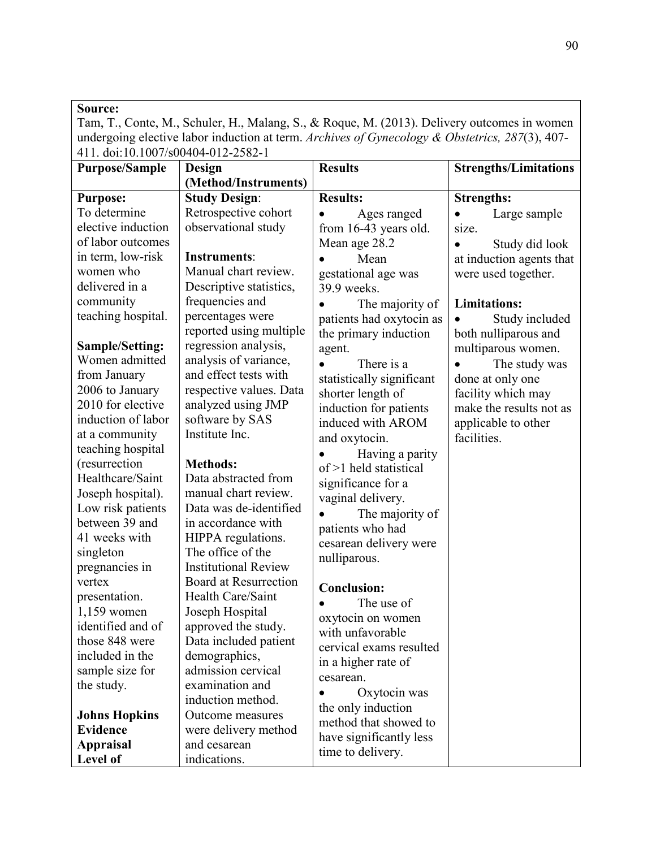Tam, T., Conte, M., Schuler, H., Malang, S., & Roque, M. (2013). Delivery outcomes in women undergoing elective labor induction at term. *Archives of Gynecology & Obstetrics, 287*(3), 407- 411. doi:10.1007/s00404-012-2582-1

| <b>Purpose/Sample</b> | Design                      | <b>Results</b>            | <b>Strengths/Limitations</b> |
|-----------------------|-----------------------------|---------------------------|------------------------------|
|                       | (Method/Instruments)        |                           |                              |
| <b>Purpose:</b>       | <b>Study Design:</b>        | <b>Results:</b>           | <b>Strengths:</b>            |
| To determine          | Retrospective cohort        | Ages ranged               | Large sample<br>$\bullet$    |
| elective induction    | observational study         | from 16-43 years old.     | size.                        |
| of labor outcomes     |                             | Mean age 28.2             | Study did look               |
| in term, low-risk     | Instruments:                | Mean                      | at induction agents that     |
| women who             | Manual chart review.        | gestational age was       | were used together.          |
| delivered in a        | Descriptive statistics,     | 39.9 weeks.               |                              |
| community             | frequencies and             | The majority of           | <b>Limitations:</b>          |
| teaching hospital.    | percentages were            | patients had oxytocin as  | Study included               |
|                       | reported using multiple     | the primary induction     | both nulliparous and         |
| Sample/Setting:       | regression analysis,        | agent.                    | multiparous women.           |
| Women admitted        | analysis of variance,       | There is a                | The study was                |
| from January          | and effect tests with       | statistically significant | done at only one             |
| 2006 to January       | respective values. Data     | shorter length of         | facility which may           |
| 2010 for elective     | analyzed using JMP          | induction for patients    | make the results not as      |
| induction of labor    | software by SAS             | induced with AROM         | applicable to other          |
| at a community        | Institute Inc.              | and oxytocin.             | facilities.                  |
| teaching hospital     |                             | Having a parity           |                              |
| (resurrection         | <b>Methods:</b>             | $of > 1$ held statistical |                              |
| Healthcare/Saint      | Data abstracted from        | significance for a        |                              |
| Joseph hospital).     | manual chart review.        | vaginal delivery.         |                              |
| Low risk patients     | Data was de-identified      | The majority of           |                              |
| between 39 and        | in accordance with          | patients who had          |                              |
| 41 weeks with         | HIPPA regulations.          | cesarean delivery were    |                              |
| singleton             | The office of the           | nulliparous.              |                              |
| pregnancies in        | <b>Institutional Review</b> |                           |                              |
| vertex                | Board at Resurrection       | <b>Conclusion:</b>        |                              |
| presentation.         | Health Care/Saint           | The use of                |                              |
| $1,159$ women         | Joseph Hospital             | oxytocin on women         |                              |
| identified and of     | approved the study.         | with unfavorable          |                              |
| those 848 were        | Data included patient       | cervical exams resulted   |                              |
| included in the       | demographics,               | in a higher rate of       |                              |
| sample size for       | admission cervical          | cesarean.                 |                              |
| the study.            | examination and             | Oxytocin was              |                              |
|                       | induction method.           | the only induction        |                              |
| <b>Johns Hopkins</b>  | Outcome measures            | method that showed to     |                              |
| <b>Evidence</b>       | were delivery method        | have significantly less   |                              |
| <b>Appraisal</b>      | and cesarean                | time to delivery.         |                              |
| Level of              | indications.                |                           |                              |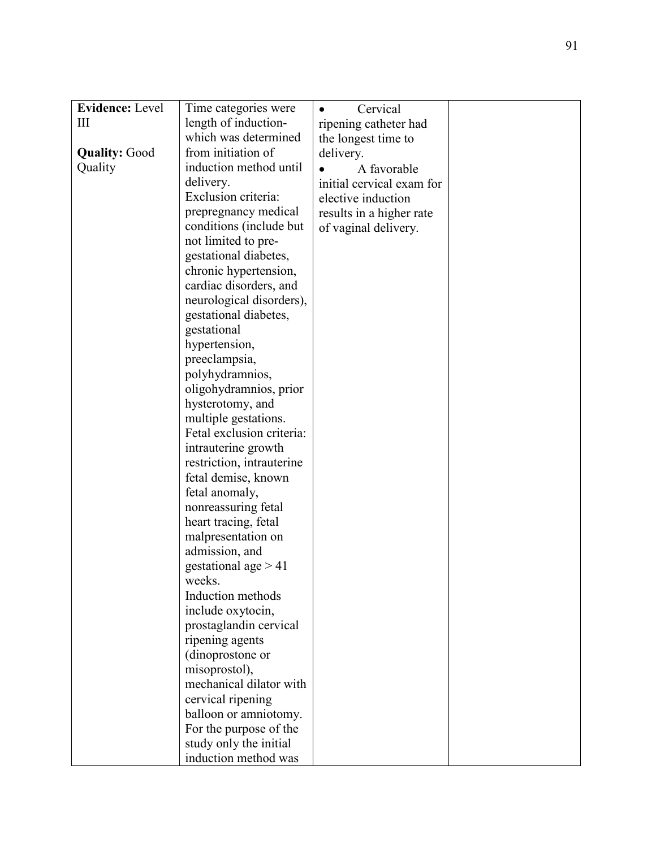| <b>Evidence:</b> Level | Time categories were      | Cervical                  |  |
|------------------------|---------------------------|---------------------------|--|
| Ш                      | length of induction-      | ripening catheter had     |  |
|                        | which was determined      | the longest time to       |  |
| <b>Quality: Good</b>   | from initiation of        | delivery.                 |  |
| Quality                | induction method until    | A favorable               |  |
|                        | delivery.                 | initial cervical exam for |  |
|                        | Exclusion criteria:       | elective induction        |  |
|                        | prepregnancy medical      |                           |  |
|                        | conditions (include but)  | results in a higher rate  |  |
|                        | not limited to pre-       | of vaginal delivery.      |  |
|                        | gestational diabetes,     |                           |  |
|                        | chronic hypertension,     |                           |  |
|                        | cardiac disorders, and    |                           |  |
|                        | neurological disorders),  |                           |  |
|                        | gestational diabetes,     |                           |  |
|                        | gestational               |                           |  |
|                        | hypertension,             |                           |  |
|                        | preeclampsia,             |                           |  |
|                        | polyhydramnios,           |                           |  |
|                        | oligohydramnios, prior    |                           |  |
|                        | hysterotomy, and          |                           |  |
|                        | multiple gestations.      |                           |  |
|                        | Fetal exclusion criteria: |                           |  |
|                        | intrauterine growth       |                           |  |
|                        | restriction, intrauterine |                           |  |
|                        | fetal demise, known       |                           |  |
|                        | fetal anomaly,            |                           |  |
|                        | nonreassuring fetal       |                           |  |
|                        | heart tracing, fetal      |                           |  |
|                        | malpresentation on        |                           |  |
|                        | admission, and            |                           |  |
|                        | gestational age $> 41$    |                           |  |
|                        | weeks.                    |                           |  |
|                        | Induction methods         |                           |  |
|                        | include oxytocin,         |                           |  |
|                        | prostaglandin cervical    |                           |  |
|                        | ripening agents           |                           |  |
|                        | (dinoprostone or          |                           |  |
|                        | misoprostol),             |                           |  |
|                        | mechanical dilator with   |                           |  |
|                        | cervical ripening         |                           |  |
|                        | balloon or amniotomy.     |                           |  |
|                        | For the purpose of the    |                           |  |
|                        | study only the initial    |                           |  |
|                        | induction method was      |                           |  |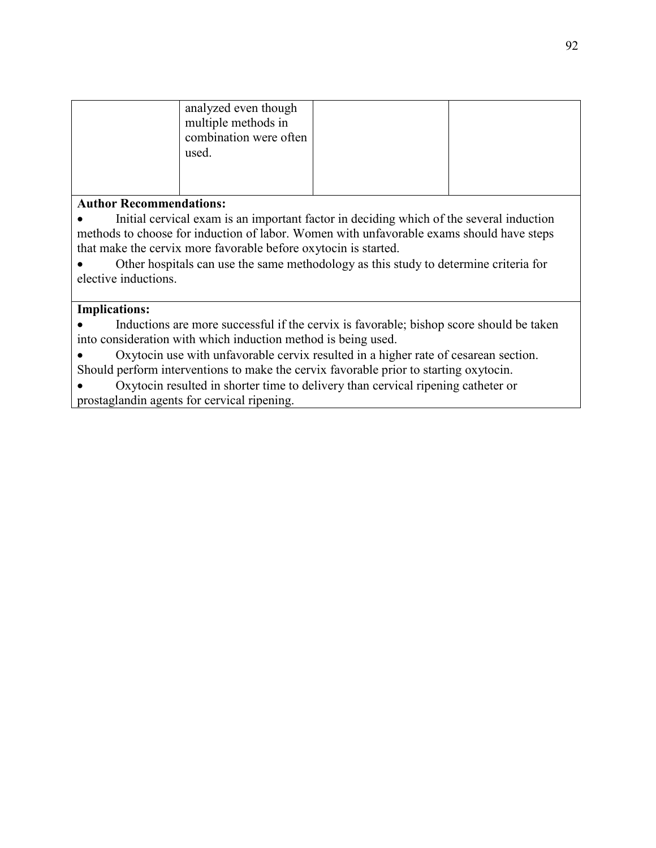| analyzed even though<br>multiple methods in<br>combination were often<br>used. |  |
|--------------------------------------------------------------------------------|--|
|                                                                                |  |

• Initial cervical exam is an important factor in deciding which of the several induction methods to choose for induction of labor. Women with unfavorable exams should have steps that make the cervix more favorable before oxytocin is started.

• Other hospitals can use the same methodology as this study to determine criteria for elective inductions.

#### **Implications:**

• Inductions are more successful if the cervix is favorable; bishop score should be taken into consideration with which induction method is being used.

• Oxytocin use with unfavorable cervix resulted in a higher rate of cesarean section.

Should perform interventions to make the cervix favorable prior to starting oxytocin.

• Oxytocin resulted in shorter time to delivery than cervical ripening catheter or prostaglandin agents for cervical ripening.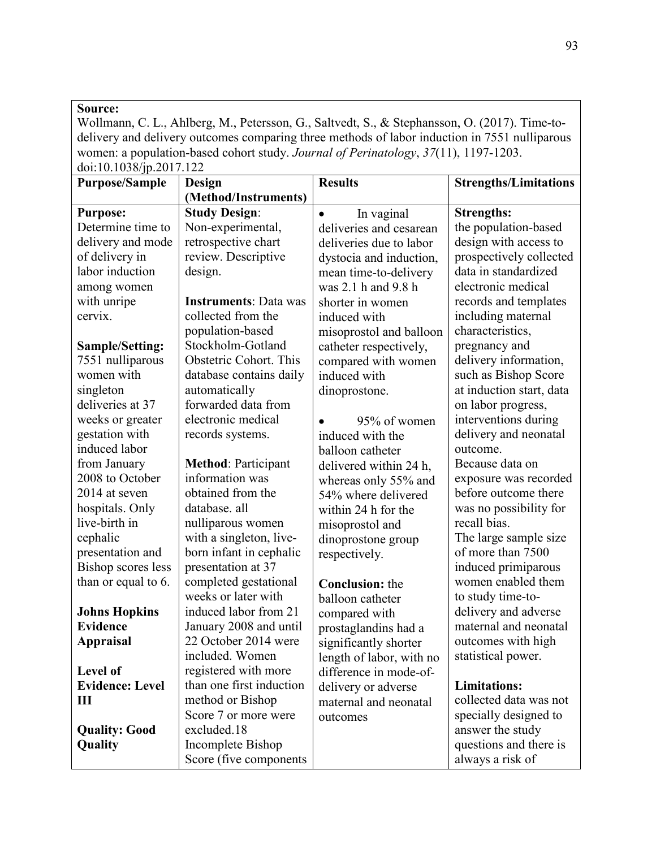Wollmann, C. L., Ahlberg, M., Petersson, G., Saltvedt, S., & Stephansson, O. (2017). Time-todelivery and delivery outcomes comparing three methods of labor induction in 7551 nulliparous women: a population-based cohort study. *Journal of Perinatology*, *37*(11), 1197-1203. doi:10.1038/jp.2017.122

| $0.101.1030$ p.2017.122   |                              |                          |                              |
|---------------------------|------------------------------|--------------------------|------------------------------|
| <b>Purpose/Sample</b>     | Design                       | <b>Results</b>           | <b>Strengths/Limitations</b> |
|                           | (Method/Instruments)         |                          |                              |
| <b>Purpose:</b>           | <b>Study Design:</b>         | In vaginal<br>$\bullet$  | <b>Strengths:</b>            |
| Determine time to         | Non-experimental,            | deliveries and cesarean  | the population-based         |
| delivery and mode         | retrospective chart          | deliveries due to labor  | design with access to        |
| of delivery in            | review. Descriptive          | dystocia and induction,  | prospectively collected      |
| labor induction           | design.                      | mean time-to-delivery    | data in standardized         |
| among women               |                              | was 2.1 h and 9.8 h      | electronic medical           |
| with unripe               | <b>Instruments: Data was</b> | shorter in women         | records and templates        |
| cervix.                   | collected from the           | induced with             | including maternal           |
|                           | population-based             | misoprostol and balloon  | characteristics,             |
| <b>Sample/Setting:</b>    | Stockholm-Gotland            | catheter respectively,   | pregnancy and                |
| 7551 nulliparous          | Obstetric Cohort. This       | compared with women      | delivery information,        |
| women with                | database contains daily      | induced with             | such as Bishop Score         |
| singleton                 | automatically                | dinoprostone.            | at induction start, data     |
| deliveries at 37          | forwarded data from          |                          | on labor progress,           |
| weeks or greater          | electronic medical           | 95% of women             | interventions during         |
| gestation with            | records systems.             | induced with the         | delivery and neonatal        |
| induced labor             |                              | balloon catheter         | outcome.                     |
| from January              | <b>Method: Participant</b>   | delivered within 24 h,   | Because data on              |
| 2008 to October           | information was              | whereas only 55% and     | exposure was recorded        |
| 2014 at seven             | obtained from the            | 54% where delivered      | before outcome there         |
| hospitals. Only           | database. all                | within 24 h for the      | was no possibility for       |
| live-birth in             | nulliparous women            | misoprostol and          | recall bias.                 |
| cephalic                  | with a singleton, live-      | dinoprostone group       | The large sample size        |
| presentation and          | born infant in cephalic      | respectively.            | of more than 7500            |
| <b>Bishop scores less</b> | presentation at 37           |                          | induced primiparous          |
| than or equal to 6.       | completed gestational        | <b>Conclusion:</b> the   | women enabled them           |
|                           | weeks or later with          | balloon catheter         | to study time-to-            |
| <b>Johns Hopkins</b>      | induced labor from 21        | compared with            | delivery and adverse         |
| <b>Evidence</b>           | January 2008 and until       | prostaglandins had a     | maternal and neonatal        |
| <b>Appraisal</b>          | 22 October 2014 were         | significantly shorter    | outcomes with high           |
|                           | included. Women              | length of labor, with no | statistical power.           |
| Level of                  | registered with more         | difference in mode-of-   |                              |
| <b>Evidence: Level</b>    | than one first induction     | delivery or adverse      | <b>Limitations:</b>          |
| Ш                         | method or Bishop             | maternal and neonatal    | collected data was not       |
|                           | Score 7 or more were         | outcomes                 | specially designed to        |
| <b>Quality: Good</b>      | excluded.18                  |                          | answer the study             |
| Quality                   | Incomplete Bishop            |                          | questions and there is       |
|                           | Score (five components)      |                          | always a risk of             |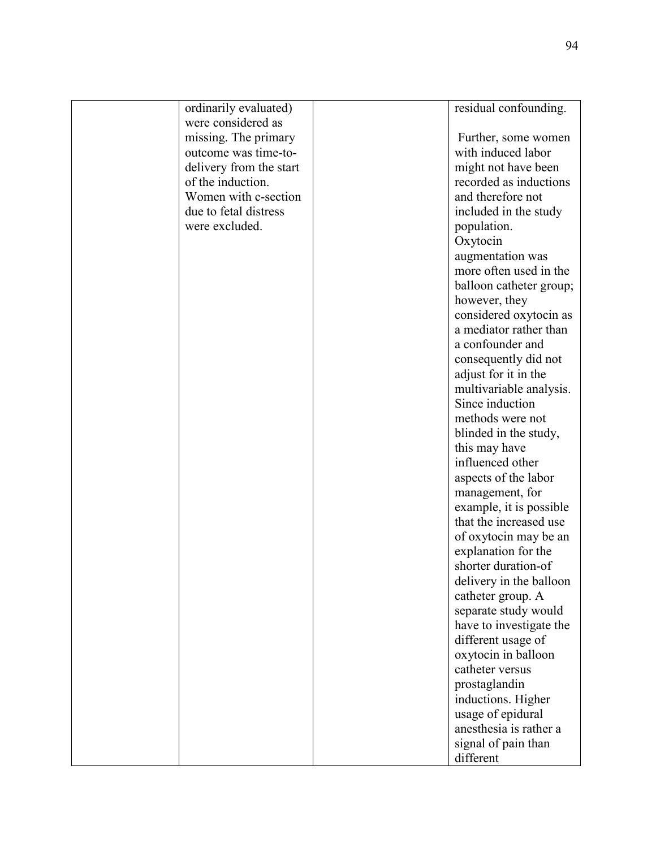| ordinarily evaluated)   | residual confounding.                       |
|-------------------------|---------------------------------------------|
| were considered as      |                                             |
| missing. The primary    | Further, some women                         |
| outcome was time-to-    | with induced labor                          |
| delivery from the start | might not have been                         |
| of the induction.       | recorded as inductions                      |
| Women with c-section    | and therefore not                           |
| due to fetal distress   | included in the study                       |
| were excluded.          | population.                                 |
|                         | Oxytocin                                    |
|                         | augmentation was                            |
|                         | more often used in the                      |
|                         | balloon catheter group;                     |
|                         | however, they                               |
|                         | considered oxytocin as                      |
|                         | a mediator rather than                      |
|                         | a confounder and                            |
|                         | consequently did not                        |
|                         | adjust for it in the                        |
|                         | multivariable analysis.                     |
|                         | Since induction                             |
|                         | methods were not                            |
|                         | blinded in the study,                       |
|                         | this may have                               |
|                         | influenced other                            |
|                         | aspects of the labor                        |
|                         | management, for                             |
|                         | example, it is possible                     |
|                         | that the increased use                      |
|                         | of oxytocin may be an                       |
|                         | explanation for the                         |
|                         | shorter duration-of                         |
|                         | delivery in the balloon                     |
|                         | catheter group. A                           |
|                         | separate study would                        |
|                         | have to investigate the                     |
|                         | different usage of                          |
|                         | oxytocin in balloon                         |
|                         | catheter versus                             |
|                         | prostaglandin                               |
|                         | inductions. Higher                          |
|                         |                                             |
|                         | usage of epidural<br>anesthesia is rather a |
|                         |                                             |
|                         | signal of pain than                         |
|                         | different                                   |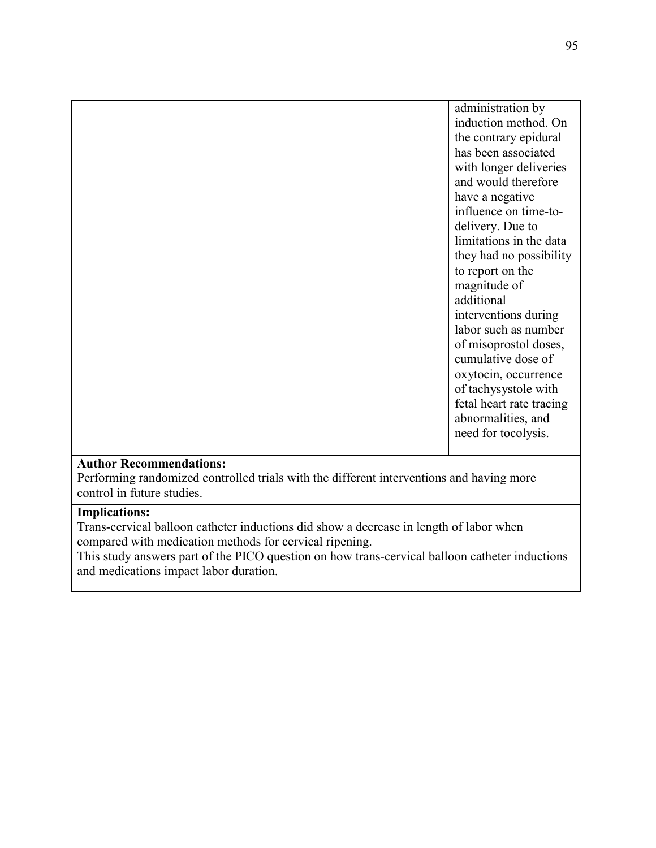|                                                                                          | administration by        |  |  |  |
|------------------------------------------------------------------------------------------|--------------------------|--|--|--|
|                                                                                          | induction method. On     |  |  |  |
|                                                                                          | the contrary epidural    |  |  |  |
|                                                                                          | has been associated      |  |  |  |
|                                                                                          | with longer deliveries   |  |  |  |
|                                                                                          | and would therefore      |  |  |  |
|                                                                                          | have a negative          |  |  |  |
|                                                                                          | influence on time-to-    |  |  |  |
|                                                                                          | delivery. Due to         |  |  |  |
|                                                                                          | limitations in the data  |  |  |  |
|                                                                                          | they had no possibility  |  |  |  |
|                                                                                          | to report on the         |  |  |  |
|                                                                                          | magnitude of             |  |  |  |
|                                                                                          | additional               |  |  |  |
|                                                                                          | interventions during     |  |  |  |
|                                                                                          | labor such as number     |  |  |  |
|                                                                                          | of misoprostol doses,    |  |  |  |
|                                                                                          | cumulative dose of       |  |  |  |
|                                                                                          | oxytocin, occurrence     |  |  |  |
|                                                                                          | of tachysystole with     |  |  |  |
|                                                                                          | fetal heart rate tracing |  |  |  |
|                                                                                          | abnormalities, and       |  |  |  |
|                                                                                          | need for tocolysis.      |  |  |  |
|                                                                                          |                          |  |  |  |
| <b>Author Recommendations:</b>                                                           |                          |  |  |  |
| Performing randomized controlled trials with the different interventions and having more |                          |  |  |  |
| control in future studies.                                                               |                          |  |  |  |

#### **Implications:**

Trans-cervical balloon catheter inductions did show a decrease in length of labor when compared with medication methods for cervical ripening.

This study answers part of the PICO question on how trans-cervical balloon catheter inductions and medications impact labor duration.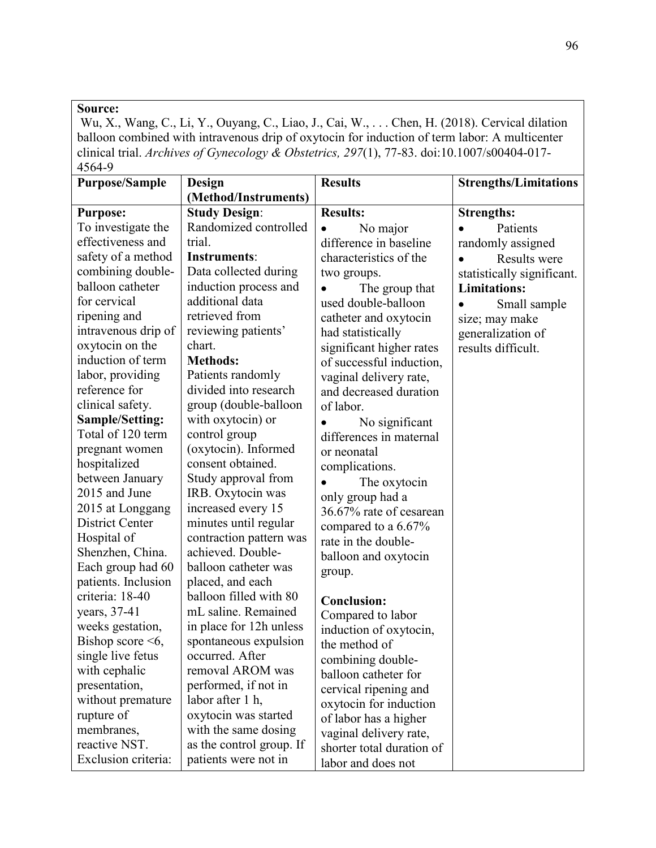Wu, X., Wang, C., Li, Y., Ouyang, C., Liao, J., Cai, W., . . . Chen, H. (2018). Cervical dilation balloon combined with intravenous drip of oxytocin for induction of term labor: A multicenter clinical trial. *Archives of Gynecology & Obstetrics, 297*(1), 77-83. doi:10.1007/s00404-017- 4564-9

| <b>Purpose/Sample</b>   | Design                   | <b>Results</b>            | <b>Strengths/Limitations</b> |
|-------------------------|--------------------------|---------------------------|------------------------------|
|                         | (Method/Instruments)     |                           |                              |
| <b>Purpose:</b>         | <b>Study Design:</b>     | <b>Results:</b>           | <b>Strengths:</b>            |
| To investigate the      | Randomized controlled    | No major<br>$\bullet$     | Patients                     |
| effectiveness and       | trial.                   | difference in baseline    | randomly assigned            |
| safety of a method      | Instruments:             | characteristics of the    | Results were                 |
| combining double-       | Data collected during    | two groups.               | statistically significant.   |
| balloon catheter        | induction process and    | The group that            | <b>Limitations:</b>          |
| for cervical            | additional data          | used double-balloon       | Small sample                 |
| ripening and            | retrieved from           | catheter and oxytocin     | size; may make               |
| intravenous drip of     | reviewing patients'      | had statistically         | generalization of            |
| oxytocin on the         | chart.                   | significant higher rates  | results difficult.           |
| induction of term       | <b>Methods:</b>          | of successful induction,  |                              |
| labor, providing        | Patients randomly        | vaginal delivery rate,    |                              |
| reference for           | divided into research    | and decreased duration    |                              |
| clinical safety.        | group (double-balloon    | of labor.                 |                              |
| <b>Sample/Setting:</b>  | with oxytocin) or        | No significant            |                              |
| Total of 120 term       | control group            | differences in maternal   |                              |
| pregnant women          | (oxytocin). Informed     | or neonatal               |                              |
| hospitalized            | consent obtained.        | complications.            |                              |
| between January         | Study approval from      | The oxytocin              |                              |
| 2015 and June           | IRB. Oxytocin was        | only group had a          |                              |
| 2015 at Longgang        | increased every 15       | 36.67% rate of cesarean   |                              |
| <b>District Center</b>  | minutes until regular    | compared to a 6.67%       |                              |
| Hospital of             | contraction pattern was  | rate in the double-       |                              |
| Shenzhen, China.        | achieved. Double-        | balloon and oxytocin      |                              |
| Each group had 60       | balloon catheter was     | group.                    |                              |
| patients. Inclusion     | placed, and each         |                           |                              |
| criteria: 18-40         | balloon filled with 80   | <b>Conclusion:</b>        |                              |
| years, 37-41            | mL saline. Remained      | Compared to labor         |                              |
| weeks gestation,        | in place for 12h unless  | induction of oxytocin,    |                              |
| Bishop score $\leq 6$ , | spontaneous expulsion    | the method of             |                              |
| single live fetus       | occurred. After          | combining double-         |                              |
| with cephalic           | removal AROM was         | balloon catheter for      |                              |
| presentation,           | performed, if not in     | cervical ripening and     |                              |
| without premature       | labor after 1 h,         | oxytocin for induction    |                              |
| rupture of              | oxytocin was started     | of labor has a higher     |                              |
| membranes,              | with the same dosing     | vaginal delivery rate,    |                              |
| reactive NST.           | as the control group. If | shorter total duration of |                              |
| Exclusion criteria:     | patients were not in     | labor and does not        |                              |